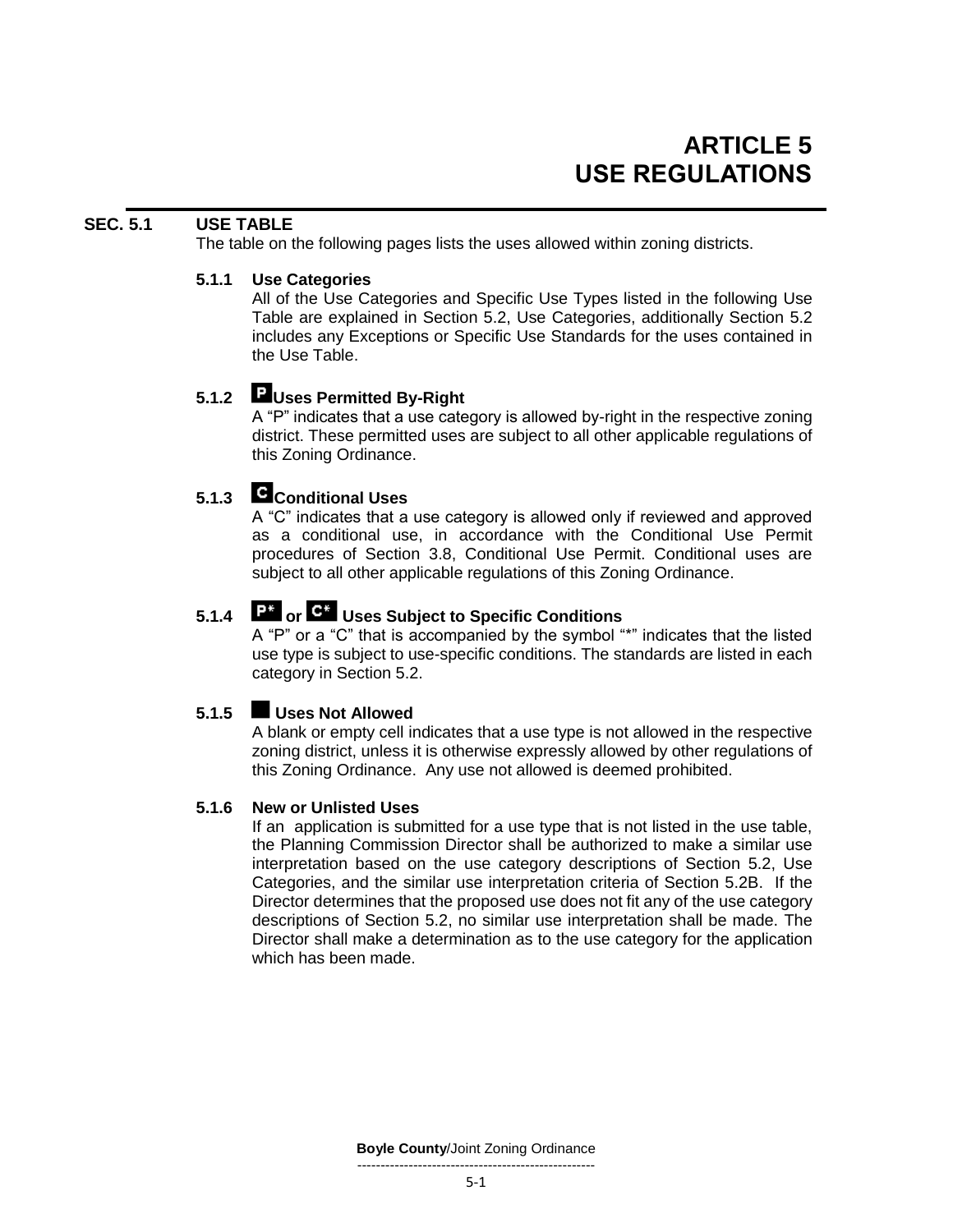# **SEC. 5.1 USE TABLE**

The table on the following pages lists the uses allowed within zoning districts.

#### **5.1.1 Use Categories**

All of the Use Categories and Specific Use Types listed in the following Use Table are explained in Section 5.2, Use Categories, additionally Section 5.2 includes any Exceptions or Specific Use Standards for the uses contained in the Use Table.

# **5.1.2 Uses Permitted By-Right**

A "P" indicates that a use category is allowed by-right in the respective zoning district. These permitted uses are subject to all other applicable regulations of this Zoning Ordinance.

# **5.1.3 Conditional Uses**

A "C" indicates that a use category is allowed only if reviewed and approved as a conditional use, in accordance with the Conditional Use Permit procedures of Section 3.8, Conditional Use Permit. Conditional uses are subject to all other applicable regulations of this Zoning Ordinance.

# **5.1.4 a c**<sup>2</sup> **or e Uses Subject to Specific Conditions**

A "P" or a "C" that is accompanied by the symbol "\*" indicates that the listed use type is subject to use-specific conditions. The standards are listed in each category in Section 5.2.

# **5.1.5 Uses Not Allowed**

A blank or empty cell indicates that a use type is not allowed in the respective zoning district, unless it is otherwise expressly allowed by other regulations of this Zoning Ordinance. Any use not allowed is deemed prohibited.

### **5.1.6 New or Unlisted Uses**

If an application is submitted for a use type that is not listed in the use table, the Planning Commission Director shall be authorized to make a similar use interpretation based on the use category descriptions of Section 5.2, Use Categories, and the similar use interpretation criteria of Section 5.2B. If the Director determines that the proposed use does not fit any of the use category descriptions of Section 5.2, no similar use interpretation shall be made. The Director shall make a determination as to the use category for the application which has been made.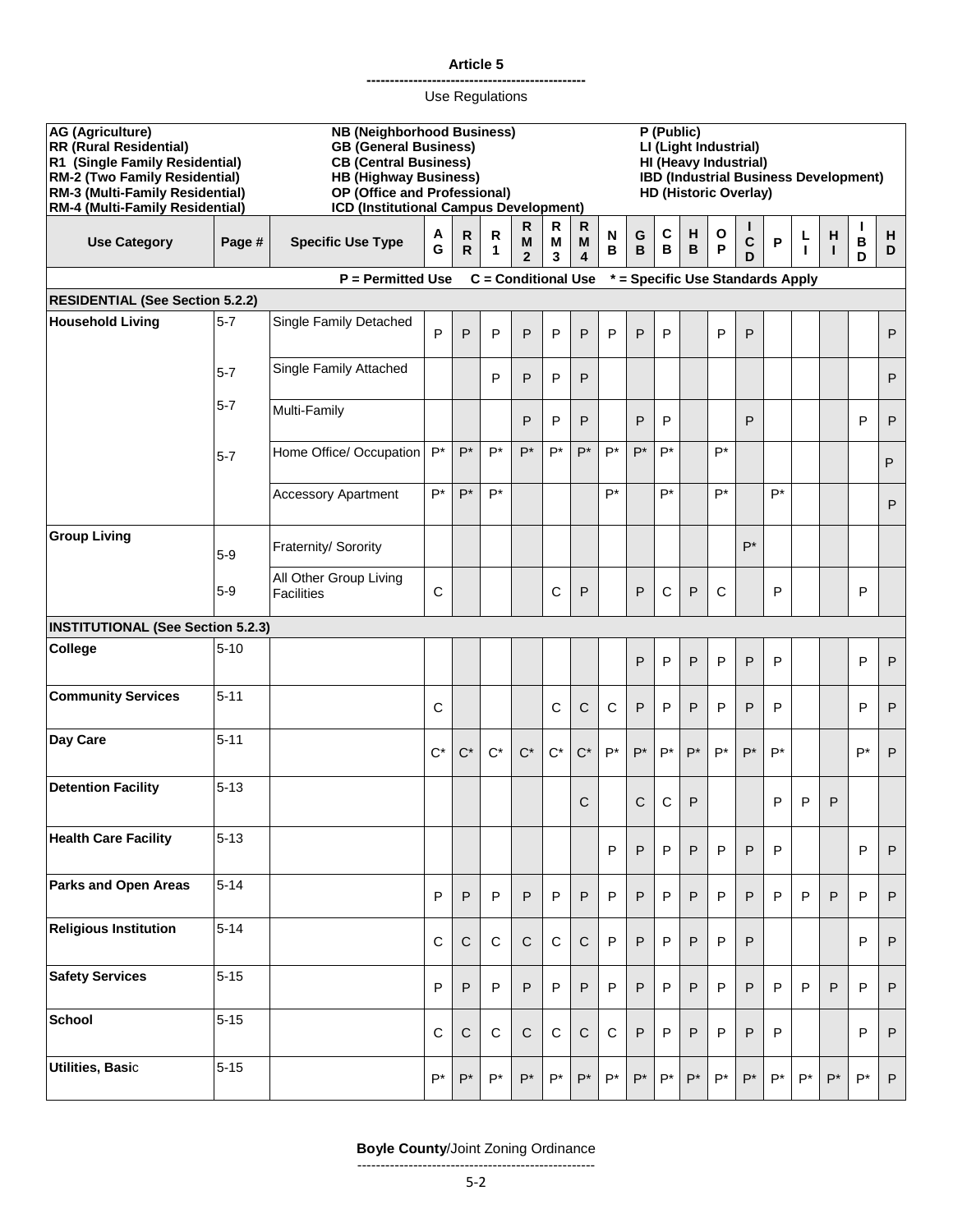#### **-----------------------------------------------** Use Regulations

| <b>AG (Agriculture)</b><br><b>RR (Rural Residential)</b><br>R1 (Single Family Residential)<br><b>RM-2 (Two Family Residential)</b><br>RM-3 (Multi-Family Residential)<br>RM-4 (Multi-Family Residential) |          | <b>NB (Neighborhood Business)</b><br><b>GB</b> (General Business)<br><b>CB (Central Business)</b><br><b>HB (Highway Business)</b><br>OP (Office and Professional)<br>ICD (Institutional Campus Development) |             |              |                            |                          |              |                        | P (Public)<br>LI (Light Industrial)<br>HI (Heavy Industrial)<br>IBD (Industrial Business Development)<br><b>HD (Historic Overlay)</b> |        |             |        |                   |        |                                  |        |                    |                   |              |
|----------------------------------------------------------------------------------------------------------------------------------------------------------------------------------------------------------|----------|-------------------------------------------------------------------------------------------------------------------------------------------------------------------------------------------------------------|-------------|--------------|----------------------------|--------------------------|--------------|------------------------|---------------------------------------------------------------------------------------------------------------------------------------|--------|-------------|--------|-------------------|--------|----------------------------------|--------|--------------------|-------------------|--------------|
| <b>Use Category</b>                                                                                                                                                                                      | Page #   | <b>Specific Use Type</b>                                                                                                                                                                                    | Α<br>G      | R<br>R       | R<br>1                     | R<br>M<br>$\overline{2}$ | R<br>M<br>3  | $\mathsf{R}$<br>M<br>4 | N<br>B                                                                                                                                | G<br>B | C<br>B      | н<br>B | $\mathbf{o}$<br>P | C<br>D | P                                | L<br>ı | н<br>т             | $\, {\bf B}$<br>D | н<br>D       |
|                                                                                                                                                                                                          |          | $P = Permitted Use$                                                                                                                                                                                         |             |              | <b>C</b> = Conditional Use |                          |              |                        |                                                                                                                                       |        |             |        |                   |        | * = Specific Use Standards Apply |        |                    |                   |              |
| <b>RESIDENTIAL (See Section 5.2.2)</b>                                                                                                                                                                   |          |                                                                                                                                                                                                             |             |              |                            |                          |              |                        |                                                                                                                                       |        |             |        |                   |        |                                  |        |                    |                   |              |
| <b>Household Living</b>                                                                                                                                                                                  | $5 - 7$  | Single Family Detached                                                                                                                                                                                      | P           | P            | P                          | P                        | P            | P                      | P                                                                                                                                     | P      | P           |        | P                 | P      |                                  |        |                    |                   | $\mathsf{P}$ |
|                                                                                                                                                                                                          | $5 - 7$  | Single Family Attached                                                                                                                                                                                      |             |              | P                          | P                        | P            | P                      |                                                                                                                                       |        |             |        |                   |        |                                  |        |                    |                   | P            |
|                                                                                                                                                                                                          | $5 - 7$  | Multi-Family                                                                                                                                                                                                |             |              |                            | P                        | P            | P                      |                                                                                                                                       | P      | P           |        |                   | P      |                                  |        |                    | P                 | P            |
|                                                                                                                                                                                                          | $5 - 7$  | Home Office/ Occupation                                                                                                                                                                                     | $P^*$       | $P^*$        | $P^*$                      | $P^*$                    | P*           | P*                     | $P^*$                                                                                                                                 | $P^*$  | P*          |        | $P^*$             |        |                                  |        |                    |                   | P            |
|                                                                                                                                                                                                          |          | <b>Accessory Apartment</b>                                                                                                                                                                                  | $P^*$       | P*           | P*                         |                          |              |                        | P*                                                                                                                                    |        | P*          |        | P*                |        | $P^*$                            |        |                    |                   | P            |
| <b>Group Living</b>                                                                                                                                                                                      | $5-9$    | Fraternity/ Sorority                                                                                                                                                                                        |             |              |                            |                          |              |                        |                                                                                                                                       |        |             |        |                   | $P^*$  |                                  |        |                    |                   |              |
|                                                                                                                                                                                                          | $5-9$    | All Other Group Living<br><b>Facilities</b>                                                                                                                                                                 | C           |              |                            |                          | C            | P                      |                                                                                                                                       | P      | C           | P      | C                 |        | P                                |        |                    | P                 |              |
| <b>INSTITUTIONAL (See Section 5.2.3)</b>                                                                                                                                                                 |          |                                                                                                                                                                                                             |             |              |                            |                          |              |                        |                                                                                                                                       |        |             |        |                   |        |                                  |        |                    |                   |              |
| <b>College</b>                                                                                                                                                                                           | $5 - 10$ |                                                                                                                                                                                                             |             |              |                            |                          |              |                        |                                                                                                                                       | P      | P           | P      | P                 | P      | P                                |        |                    | P                 | P            |
| <b>Community Services</b>                                                                                                                                                                                | $5 - 11$ |                                                                                                                                                                                                             | С           |              |                            |                          | C            | $\mathsf C$            | C                                                                                                                                     | P      | P           | P      | P                 | P      | P                                |        |                    | P                 | $\sf P$      |
| Day Care                                                                                                                                                                                                 | $5 - 11$ |                                                                                                                                                                                                             | $C^*$       | $C^*$        | $C^*$                      | $C^*$                    | $C^*$        | $C^*$                  | $P^*$                                                                                                                                 | $P^*$  | $P^*$       | $P^*$  | P*                | $P^*$  | $P^*$                            |        |                    | $P^*$             | P            |
| <b>Detention Facility</b>                                                                                                                                                                                | $5 - 13$ |                                                                                                                                                                                                             |             |              |                            |                          |              | $\mathsf C$            |                                                                                                                                       | С      | C           | P      |                   |        | P                                | P      | P                  |                   |              |
| <b>Health Care Facility</b>                                                                                                                                                                              | $5 - 13$ |                                                                                                                                                                                                             |             |              |                            |                          |              |                        | P                                                                                                                                     | P      | $\mathsf P$ | P      | P                 | P      | P                                |        |                    | P                 | $\sf P$      |
| <b>Parks and Open Areas</b>                                                                                                                                                                              | $5 - 14$ |                                                                                                                                                                                                             | P           | P            | P                          | P                        | P            | P                      | P                                                                                                                                     | P      | P           | P      | P                 | P      | P                                | P      | P                  | P                 | $\mathsf{P}$ |
| <b>Religious Institution</b>                                                                                                                                                                             | $5 - 14$ |                                                                                                                                                                                                             | $\mathbf C$ | $\mathsf{C}$ | $\mathbf C$                | $\mathbf C$              | $\mathsf{C}$ | $\mathsf C$            | P                                                                                                                                     | P      | P           | P      | P                 | P      |                                  |        |                    | P                 | P            |
| <b>Safety Services</b>                                                                                                                                                                                   | $5 - 15$ |                                                                                                                                                                                                             | P           | P            | P                          | P                        | $\mathsf{P}$ | P                      | P                                                                                                                                     | P      | P           | P      | $\mathsf{P}$      | P      | P                                | P      | P                  | P                 | P            |
| <b>School</b>                                                                                                                                                                                            | $5 - 15$ |                                                                                                                                                                                                             | $\mathbf C$ | C            | $\mathbf C$                | $\mathsf{C}$             | $\mathbf C$  | $\mathsf C$            | $\mathsf C$                                                                                                                           | P      | P           | P      | P                 | P      | P                                |        |                    | P                 | $\mathsf{P}$ |
| <b>Utilities, Basic</b>                                                                                                                                                                                  | $5 - 15$ |                                                                                                                                                                                                             | $P^*$       | $P^*$        | $P^*$                      | $P^*$                    | $P^*$        | $P^*$                  | $P^*$                                                                                                                                 | $P^*$  | $P^*$       | $P^*$  | P*                | $P^*$  | $P^*$                            | $P^*$  | $\mathsf{P}^\star$ | $P^*$             | P            |

# **Boyle County**/Joint Zoning Ordinance

---------------------------------------------------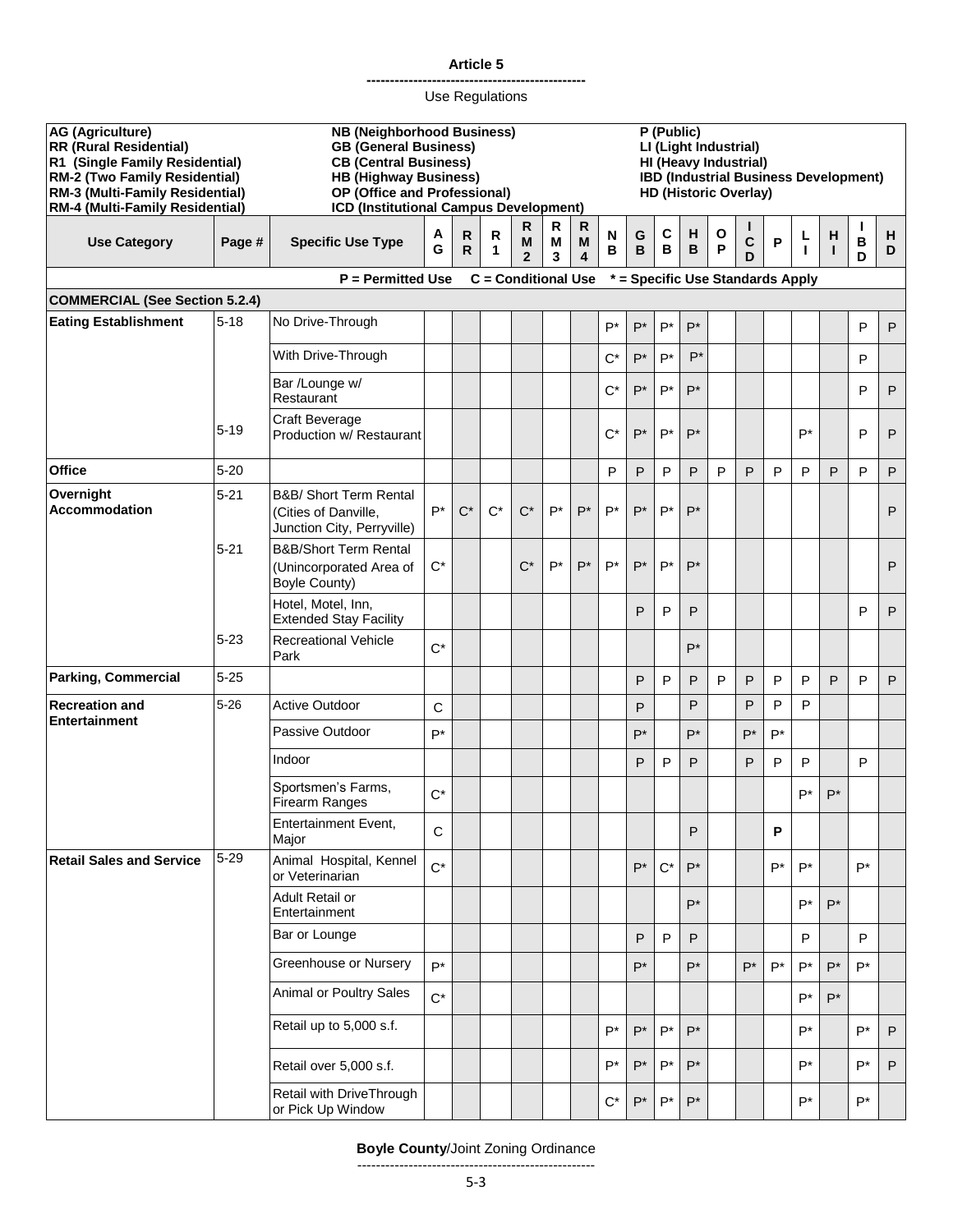#### **-----------------------------------------------** Use Regulations

| <b>AG (Agriculture)</b><br><b>RR (Rural Residential)</b><br>R1 (Single Family Residential)<br>RM-2 (Two Family Residential)<br>RM-3 (Multi-Family Residential)<br>RM-4 (Multi-Family Residential) |          | <b>NB (Neighborhood Business)</b><br><b>GB (General Business)</b><br><b>CB (Central Business)</b><br><b>HB (Highway Business)</b><br>OP (Office and Professional)<br>ICD (Institutional Campus Development) |        |        |                            |                          |             |             | $\overline{P}$ (Public)<br>LI (Light Industrial)<br>HI (Heavy Industrial)<br>IBD (Industrial Business Development)<br><b>HD (Historic Overlay)</b> |        |        |        |                   |             |                                  |         |                   |        |              |
|---------------------------------------------------------------------------------------------------------------------------------------------------------------------------------------------------|----------|-------------------------------------------------------------------------------------------------------------------------------------------------------------------------------------------------------------|--------|--------|----------------------------|--------------------------|-------------|-------------|----------------------------------------------------------------------------------------------------------------------------------------------------|--------|--------|--------|-------------------|-------------|----------------------------------|---------|-------------------|--------|--------------|
| <b>Use Category</b>                                                                                                                                                                               | Page #   | <b>Specific Use Type</b>                                                                                                                                                                                    | Α<br>G | R<br>R | R<br>1                     | R<br>M<br>$\overline{2}$ | R<br>M<br>3 | R<br>M<br>4 | N<br>в                                                                                                                                             | G<br>B | C<br>В | н<br>B | $\mathbf{o}$<br>P | L<br>C<br>D | P                                | L<br>I. | H<br>$\mathbf{I}$ | B<br>D | н<br>D       |
|                                                                                                                                                                                                   |          | $P = Permitted Use$                                                                                                                                                                                         |        |        | <b>C</b> = Conditional Use |                          |             |             |                                                                                                                                                    |        |        |        |                   |             | * = Specific Use Standards Apply |         |                   |        |              |
| <b>COMMERCIAL (See Section 5.2.4)</b>                                                                                                                                                             |          |                                                                                                                                                                                                             |        |        |                            |                          |             |             |                                                                                                                                                    |        |        |        |                   |             |                                  |         |                   |        |              |
| <b>Eating Establishment</b>                                                                                                                                                                       | $5 - 18$ | No Drive-Through                                                                                                                                                                                            |        |        |                            |                          |             |             | $P^*$                                                                                                                                              | $P^*$  | $P^*$  | $P^*$  |                   |             |                                  |         |                   | P      | P            |
|                                                                                                                                                                                                   |          | With Drive-Through                                                                                                                                                                                          |        |        |                            |                          |             |             | $C^*$                                                                                                                                              | $P^*$  | $P^*$  | $P^*$  |                   |             |                                  |         |                   | P      |              |
|                                                                                                                                                                                                   |          | Bar /Lounge w/<br>Restaurant                                                                                                                                                                                |        |        |                            |                          |             |             | $C^*$                                                                                                                                              | $P^*$  | $P^*$  | $P^*$  |                   |             |                                  |         |                   | P      | P            |
|                                                                                                                                                                                                   | $5 - 19$ | <b>Craft Beverage</b><br>Production w/ Restaurant                                                                                                                                                           |        |        |                            |                          |             |             | $C^*$                                                                                                                                              | $P^*$  | $P^*$  | $P^*$  |                   |             |                                  | P*      |                   | P      | P            |
| <b>Office</b>                                                                                                                                                                                     | $5 - 20$ |                                                                                                                                                                                                             |        |        |                            |                          |             |             | P                                                                                                                                                  | P      | P      | P      | P                 | P           | P                                | P       | P                 | P      | P            |
| Overnight<br><b>Accommodation</b>                                                                                                                                                                 | $5 - 21$ | B&B/ Short Term Rental<br>(Cities of Danville,<br>Junction City, Perryville)                                                                                                                                | $P^*$  | $C^*$  | $C^*$                      | $C^*$                    | $P^*$       | $P^*$       | $P^*$                                                                                                                                              | $P^*$  | $P^*$  | $P^*$  |                   |             |                                  |         |                   |        | P            |
|                                                                                                                                                                                                   | $5 - 21$ | <b>B&amp;B/Short Term Rental</b><br>(Unincorporated Area of<br><b>Boyle County)</b>                                                                                                                         | $C^*$  |        |                            | $C^*$                    | $P^*$       | $P^*$       | $P^*$                                                                                                                                              | $P^*$  | $P^*$  | $P^*$  |                   |             |                                  |         |                   |        | P            |
|                                                                                                                                                                                                   |          | Hotel, Motel, Inn,<br><b>Extended Stay Facility</b>                                                                                                                                                         |        |        |                            |                          |             |             |                                                                                                                                                    | P      | P      | P      |                   |             |                                  |         |                   | P      | P            |
|                                                                                                                                                                                                   | $5 - 23$ | <b>Recreational Vehicle</b><br>Park                                                                                                                                                                         | $C^*$  |        |                            |                          |             |             |                                                                                                                                                    |        |        | $P^*$  |                   |             |                                  |         |                   |        |              |
| <b>Parking, Commercial</b>                                                                                                                                                                        | $5 - 25$ |                                                                                                                                                                                                             |        |        |                            |                          |             |             |                                                                                                                                                    | P      | P      | P      | P                 | P           | P                                | P       | P                 | P      | P            |
| <b>Recreation and</b><br><b>Entertainment</b>                                                                                                                                                     | $5 - 26$ | <b>Active Outdoor</b>                                                                                                                                                                                       | C      |        |                            |                          |             |             |                                                                                                                                                    | P      |        | P      |                   | P           | P                                | P       |                   |        |              |
|                                                                                                                                                                                                   |          | Passive Outdoor                                                                                                                                                                                             | $P^*$  |        |                            |                          |             |             |                                                                                                                                                    | $P^*$  |        | $P^*$  |                   | $P^*$       | $P^*$                            |         |                   |        |              |
|                                                                                                                                                                                                   |          | Indoor                                                                                                                                                                                                      |        |        |                            |                          |             |             |                                                                                                                                                    | P      | P      | P      |                   | P           | P                                | P       |                   | P      |              |
|                                                                                                                                                                                                   |          | Sportsmen's Farms,<br>Firearm Ranges                                                                                                                                                                        | $C^*$  |        |                            |                          |             |             |                                                                                                                                                    |        |        |        |                   |             |                                  | P*      | $P^*$             |        |              |
|                                                                                                                                                                                                   |          | <b>Entertainment Event,</b><br>Major                                                                                                                                                                        | C      |        |                            |                          |             |             |                                                                                                                                                    |        |        | P      |                   |             | P                                |         |                   |        |              |
| <b>Retail Sales and Service</b>                                                                                                                                                                   | $5 - 29$ | Animal Hospital, Kennel<br>or Veterinarian                                                                                                                                                                  | $C^*$  |        |                            |                          |             |             |                                                                                                                                                    | $P^*$  | $C^*$  | $P^*$  |                   |             | $P^*$                            | P*      |                   | P*     |              |
|                                                                                                                                                                                                   |          | Adult Retail or<br>Entertainment                                                                                                                                                                            |        |        |                            |                          |             |             |                                                                                                                                                    |        |        | $P^*$  |                   |             |                                  | P*      | $P^*$             |        |              |
|                                                                                                                                                                                                   |          | Bar or Lounge                                                                                                                                                                                               |        |        |                            |                          |             |             |                                                                                                                                                    | P      | P      | P      |                   |             |                                  | P       |                   | P      |              |
|                                                                                                                                                                                                   |          | Greenhouse or Nursery                                                                                                                                                                                       | $P^*$  |        |                            |                          |             |             |                                                                                                                                                    | $P^*$  |        | $P^*$  |                   | $P^*$       | $P^*$                            | $P^*$   | $P^*$             | P*     |              |
|                                                                                                                                                                                                   |          | Animal or Poultry Sales                                                                                                                                                                                     | $C^*$  |        |                            |                          |             |             |                                                                                                                                                    |        |        |        |                   |             |                                  | P*      | $P^*$             |        |              |
|                                                                                                                                                                                                   |          | Retail up to 5,000 s.f.                                                                                                                                                                                     |        |        |                            |                          |             |             | $P^*$                                                                                                                                              | $P^*$  | $P^*$  | $P^*$  |                   |             |                                  | P*      |                   | $P^*$  | P            |
|                                                                                                                                                                                                   |          | Retail over 5,000 s.f.                                                                                                                                                                                      |        |        |                            |                          |             |             | $P^*$                                                                                                                                              | $P^*$  | P*     | $P^*$  |                   |             |                                  | P*      |                   | P*     | $\mathsf{P}$ |
|                                                                                                                                                                                                   |          | Retail with DriveThrough<br>or Pick Up Window                                                                                                                                                               |        |        |                            |                          |             |             | $\mathrm{C}^\star$                                                                                                                                 | $P^*$  | $P^*$  | $P^*$  |                   |             |                                  | P*      |                   | $P^*$  |              |

# **Boyle County**/Joint Zoning Ordinance

---------------------------------------------------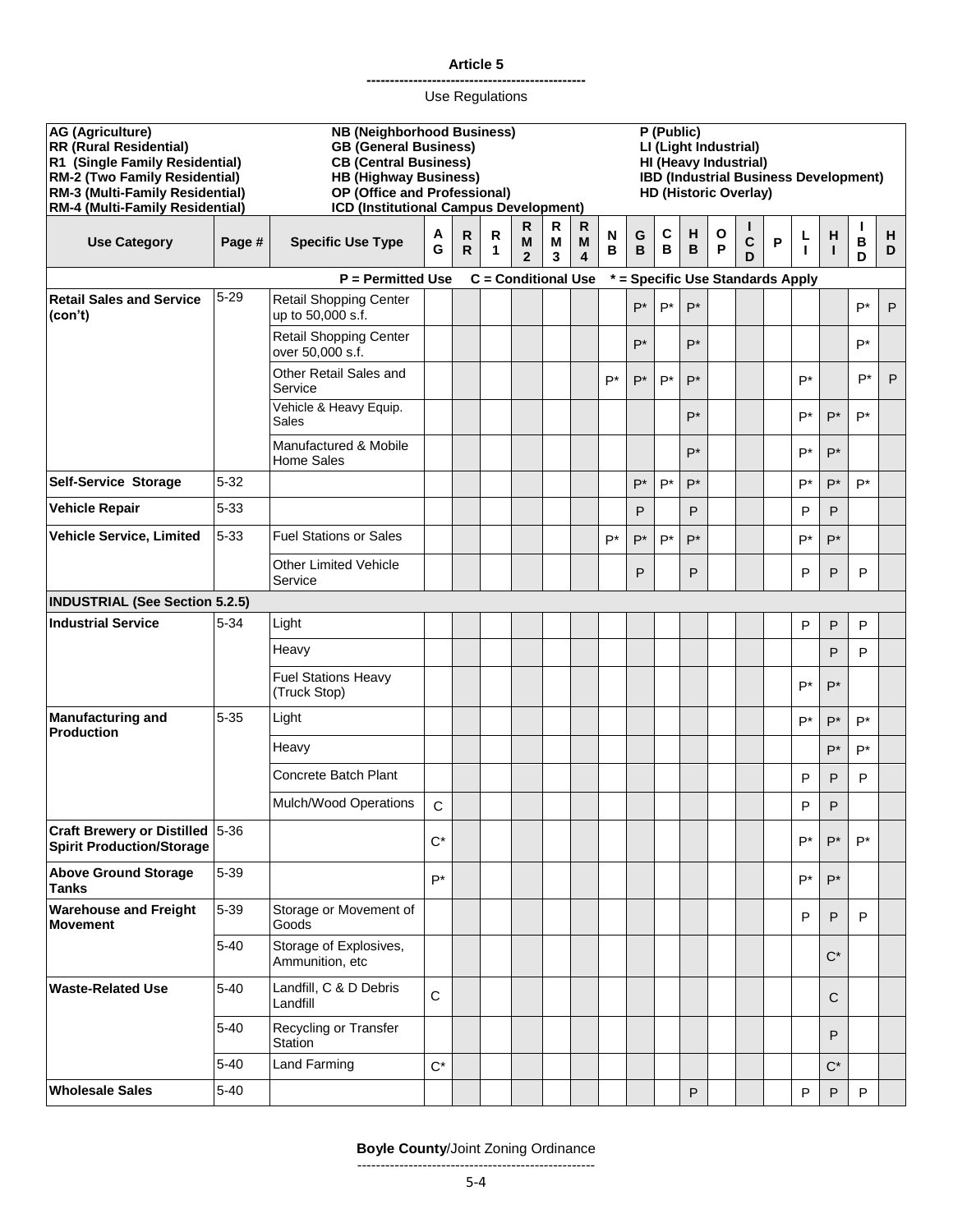#### **-----------------------------------------------** Use Regulations

| AG (Agriculture)<br><b>RR (Rural Residential)</b><br>R1 (Single Family Residential)<br>RM-2 (Two Family Residential)<br>RM-3 (Multi-Family Residential)<br>RM-4 (Multi-Family Residential) |          | <b>NB (Neighborhood Business)</b><br><b>GB (General Business)</b><br><b>CB (Central Business)</b><br><b>HB (Highway Business)</b><br>OP (Office and Professional)<br>ICD (Institutional Campus Development) |             |                   |                            |                          |             |                        | P (Public)<br>LI (Light Industrial)<br>HI (Heavy Industrial)<br><b>IBD (Industrial Business Development)</b><br><b>HD (Historic Overlay)</b> |        |                   |        |                   |             |                                  |                   |                   |        |        |
|--------------------------------------------------------------------------------------------------------------------------------------------------------------------------------------------|----------|-------------------------------------------------------------------------------------------------------------------------------------------------------------------------------------------------------------|-------------|-------------------|----------------------------|--------------------------|-------------|------------------------|----------------------------------------------------------------------------------------------------------------------------------------------|--------|-------------------|--------|-------------------|-------------|----------------------------------|-------------------|-------------------|--------|--------|
| <b>Use Category</b>                                                                                                                                                                        | Page #   | <b>Specific Use Type</b>                                                                                                                                                                                    | A<br>G      | R<br>$\mathsf{R}$ | R<br>1                     | R<br>M<br>$\overline{2}$ | R<br>M<br>3 | $\mathsf{R}$<br>M<br>4 | N<br>В                                                                                                                                       | G<br>B | $\mathbf{C}$<br>В | н<br>В | $\mathbf{o}$<br>P | L<br>C<br>D | P                                | L<br>$\mathbf{I}$ | H<br>$\mathbf{I}$ | B<br>D | н<br>D |
|                                                                                                                                                                                            |          | $P = Permitted Use$                                                                                                                                                                                         |             |                   | <b>C</b> = Conditional Use |                          |             |                        |                                                                                                                                              |        |                   |        |                   |             | * = Specific Use Standards Apply |                   |                   |        |        |
| <b>Retail Sales and Service</b><br>(con't)                                                                                                                                                 | $5 - 29$ | Retail Shopping Center<br>up to 50,000 s.f.                                                                                                                                                                 |             |                   |                            |                          |             |                        |                                                                                                                                              | $P^*$  | $P^*$             | $P^*$  |                   |             |                                  |                   |                   | $P^*$  | P      |
|                                                                                                                                                                                            |          | <b>Retail Shopping Center</b><br>over 50,000 s.f.                                                                                                                                                           |             |                   |                            |                          |             |                        |                                                                                                                                              | $P^*$  |                   | $P^*$  |                   |             |                                  |                   |                   | P*     |        |
|                                                                                                                                                                                            |          | Other Retail Sales and<br>Service                                                                                                                                                                           |             |                   |                            |                          |             |                        | $P^*$                                                                                                                                        | $P^*$  | $P^*$             | $P^*$  |                   |             |                                  | P*                |                   | P*     | P      |
|                                                                                                                                                                                            |          | Vehicle & Heavy Equip.<br>Sales                                                                                                                                                                             |             |                   |                            |                          |             |                        |                                                                                                                                              |        |                   | $P^*$  |                   |             |                                  | $P^*$             | $P^*$             | P*     |        |
|                                                                                                                                                                                            |          | Manufactured & Mobile<br><b>Home Sales</b>                                                                                                                                                                  |             |                   |                            |                          |             |                        |                                                                                                                                              |        |                   | $P^*$  |                   |             |                                  | $P^*$             | $P^*$             |        |        |
| Self-Service Storage                                                                                                                                                                       | $5 - 32$ |                                                                                                                                                                                                             |             |                   |                            |                          |             |                        |                                                                                                                                              | $P^*$  | $P^*$             | $P^*$  |                   |             |                                  | $P^*$             | $P^*$             | P*     |        |
| <b>Vehicle Repair</b>                                                                                                                                                                      | $5 - 33$ |                                                                                                                                                                                                             |             |                   |                            |                          |             |                        |                                                                                                                                              | P      |                   | P      |                   |             |                                  | P                 | P                 |        |        |
| <b>Vehicle Service, Limited</b>                                                                                                                                                            | $5 - 33$ | <b>Fuel Stations or Sales</b>                                                                                                                                                                               |             |                   |                            |                          |             |                        | $P^*$                                                                                                                                        | $P^*$  | $P^*$             | $P^*$  |                   |             |                                  | $P^*$             | $P^*$             |        |        |
|                                                                                                                                                                                            |          | <b>Other Limited Vehicle</b><br>Service                                                                                                                                                                     |             |                   |                            |                          |             |                        |                                                                                                                                              | P      |                   | P      |                   |             |                                  | P                 | P                 | P      |        |
| <b>INDUSTRIAL (See Section 5.2.5)</b>                                                                                                                                                      |          |                                                                                                                                                                                                             |             |                   |                            |                          |             |                        |                                                                                                                                              |        |                   |        |                   |             |                                  |                   |                   |        |        |
| <b>Industrial Service</b>                                                                                                                                                                  | $5 - 34$ | Light                                                                                                                                                                                                       |             |                   |                            |                          |             |                        |                                                                                                                                              |        |                   |        |                   |             |                                  | P                 | P                 | P      |        |
|                                                                                                                                                                                            |          | Heavy                                                                                                                                                                                                       |             |                   |                            |                          |             |                        |                                                                                                                                              |        |                   |        |                   |             |                                  |                   | P                 | P      |        |
|                                                                                                                                                                                            |          | <b>Fuel Stations Heavy</b><br>(Truck Stop)                                                                                                                                                                  |             |                   |                            |                          |             |                        |                                                                                                                                              |        |                   |        |                   |             |                                  | P*                | $P^*$             |        |        |
| <b>Manufacturing and</b>                                                                                                                                                                   | $5 - 35$ | Light                                                                                                                                                                                                       |             |                   |                            |                          |             |                        |                                                                                                                                              |        |                   |        |                   |             |                                  | P*                | $P^*$             | P*     |        |
| <b>Production</b>                                                                                                                                                                          |          | Heavy                                                                                                                                                                                                       |             |                   |                            |                          |             |                        |                                                                                                                                              |        |                   |        |                   |             |                                  |                   | $P^*$             | P*     |        |
|                                                                                                                                                                                            |          | <b>Concrete Batch Plant</b>                                                                                                                                                                                 |             |                   |                            |                          |             |                        |                                                                                                                                              |        |                   |        |                   |             |                                  | P                 | P                 | P      |        |
|                                                                                                                                                                                            |          | Mulch/Wood Operations                                                                                                                                                                                       | $\mathbf C$ |                   |                            |                          |             |                        |                                                                                                                                              |        |                   |        |                   |             |                                  | P                 | P                 |        |        |
| Craft Brewery or Distilled 5-36<br><b>Spirit Production/Storage</b>                                                                                                                        |          |                                                                                                                                                                                                             | $C^*$       |                   |                            |                          |             |                        |                                                                                                                                              |        |                   |        |                   |             |                                  | P*                | $P^*$             | P*     |        |
| <b>Above Ground Storage</b><br><b>Tanks</b>                                                                                                                                                | $5 - 39$ |                                                                                                                                                                                                             | $P^*$       |                   |                            |                          |             |                        |                                                                                                                                              |        |                   |        |                   |             |                                  | P*                | $P^*$             |        |        |
| <b>Warehouse and Freight</b><br><b>Movement</b>                                                                                                                                            | 5-39     | Storage or Movement of<br>Goods                                                                                                                                                                             |             |                   |                            |                          |             |                        |                                                                                                                                              |        |                   |        |                   |             |                                  | P                 | P                 | P      |        |
|                                                                                                                                                                                            | $5 - 40$ | Storage of Explosives,<br>Ammunition, etc                                                                                                                                                                   |             |                   |                            |                          |             |                        |                                                                                                                                              |        |                   |        |                   |             |                                  |                   | $C^*$             |        |        |
| <b>Waste-Related Use</b>                                                                                                                                                                   | $5 - 40$ | Landfill, C & D Debris<br>Landfill                                                                                                                                                                          | $\mathsf C$ |                   |                            |                          |             |                        |                                                                                                                                              |        |                   |        |                   |             |                                  |                   | $\mathsf{C}$      |        |        |
|                                                                                                                                                                                            | $5 - 40$ | Recycling or Transfer<br>Station                                                                                                                                                                            |             |                   |                            |                          |             |                        |                                                                                                                                              |        |                   |        |                   |             |                                  |                   | P                 |        |        |
|                                                                                                                                                                                            | $5 - 40$ | Land Farming                                                                                                                                                                                                | $C^*$       |                   |                            |                          |             |                        |                                                                                                                                              |        |                   |        |                   |             |                                  |                   | $C^*$             |        |        |
| <b>Wholesale Sales</b>                                                                                                                                                                     | $5 - 40$ |                                                                                                                                                                                                             |             |                   |                            |                          |             |                        |                                                                                                                                              |        |                   | P      |                   |             |                                  | P                 | P                 | P      |        |

# **Boyle County**/Joint Zoning Ordinance

---------------------------------------------------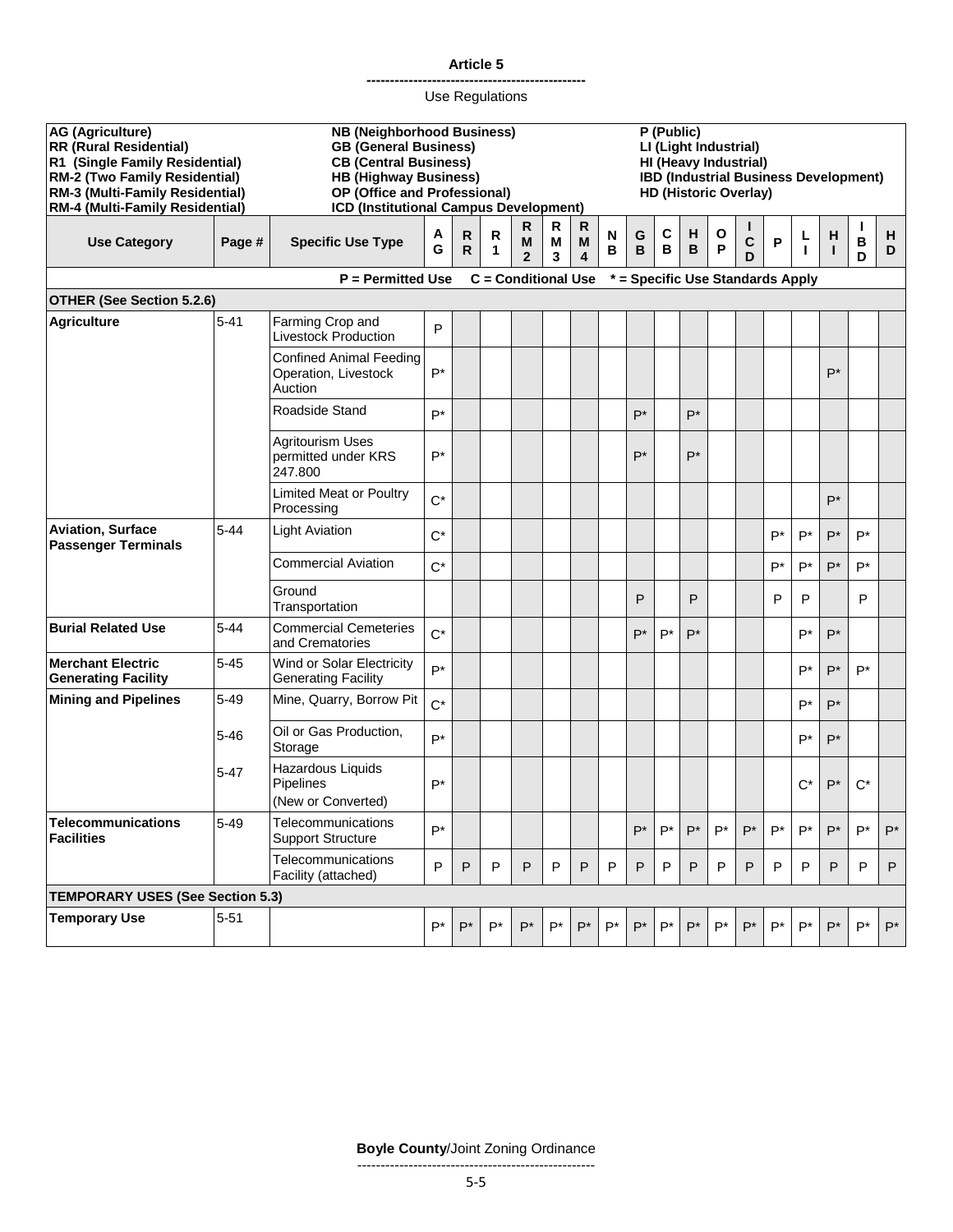|                                                                                                                                                                                                          |                                                                                            |                                                                                                                                                                                                             |                    |                   | Use Regulations |                          |             |                        |        |                                                                                                                                              |        |                    |        |              |              |        |             |                   |              |
|----------------------------------------------------------------------------------------------------------------------------------------------------------------------------------------------------------|--------------------------------------------------------------------------------------------|-------------------------------------------------------------------------------------------------------------------------------------------------------------------------------------------------------------|--------------------|-------------------|-----------------|--------------------------|-------------|------------------------|--------|----------------------------------------------------------------------------------------------------------------------------------------------|--------|--------------------|--------|--------------|--------------|--------|-------------|-------------------|--------------|
| <b>AG (Agriculture)</b><br><b>RR (Rural Residential)</b><br>R1 (Single Family Residential)<br><b>RM-2 (Two Family Residential)</b><br>RM-3 (Multi-Family Residential)<br>RM-4 (Multi-Family Residential) |                                                                                            | <b>NB (Neighborhood Business)</b><br><b>GB (General Business)</b><br><b>CB (Central Business)</b><br><b>HB (Highway Business)</b><br>OP (Office and Professional)<br>ICD (Institutional Campus Development) |                    |                   |                 |                          |             |                        |        | P (Public)<br>LI (Light Industrial)<br>HI (Heavy Industrial)<br><b>IBD (Industrial Business Development)</b><br><b>HD (Historic Overlay)</b> |        |                    |        |              |              |        |             |                   |              |
| <b>Use Category</b>                                                                                                                                                                                      | Page #                                                                                     | <b>Specific Use Type</b>                                                                                                                                                                                    | Α<br>G             | R<br>$\mathsf{R}$ | R<br>1          | R<br>M<br>$\overline{2}$ | R<br>M<br>3 | $\mathsf{R}$<br>M<br>4 | N<br>В | G<br>B                                                                                                                                       | C<br>B | н<br>B             | O<br>P | C<br>D       | $\mathsf{P}$ | L<br>т | н<br>T      | $\, {\bf B}$<br>D | н<br>D       |
|                                                                                                                                                                                                          | <b>C</b> = Conditional Use<br>* = Specific Use Standards Apply<br><b>P</b> = Permitted Use |                                                                                                                                                                                                             |                    |                   |                 |                          |             |                        |        |                                                                                                                                              |        |                    |        |              |              |        |             |                   |              |
| <b>OTHER (See Section 5.2.6)</b>                                                                                                                                                                         |                                                                                            |                                                                                                                                                                                                             |                    |                   |                 |                          |             |                        |        |                                                                                                                                              |        |                    |        |              |              |        |             |                   |              |
| <b>Agriculture</b>                                                                                                                                                                                       | $5 - 41$                                                                                   | Farming Crop and<br><b>Livestock Production</b>                                                                                                                                                             | P                  |                   |                 |                          |             |                        |        |                                                                                                                                              |        |                    |        |              |              |        |             |                   |              |
|                                                                                                                                                                                                          |                                                                                            | <b>Confined Animal Feeding</b><br>Operation, Livestock<br>Auction                                                                                                                                           | $P^*$              |                   |                 |                          |             |                        |        |                                                                                                                                              |        |                    |        |              |              |        | $P^*$       |                   |              |
|                                                                                                                                                                                                          |                                                                                            | Roadside Stand                                                                                                                                                                                              | P*                 |                   |                 |                          |             |                        |        | $P^*$                                                                                                                                        |        | $P^*$              |        |              |              |        |             |                   |              |
|                                                                                                                                                                                                          |                                                                                            | <b>Agritourism Uses</b><br>permitted under KRS<br>247.800                                                                                                                                                   | $P^*$              |                   |                 |                          |             |                        |        | $P^*$                                                                                                                                        |        | $P^*$              |        |              |              |        |             |                   |              |
|                                                                                                                                                                                                          |                                                                                            | <b>Limited Meat or Poultry</b><br>Processing                                                                                                                                                                | $C^*$              |                   |                 |                          |             |                        |        |                                                                                                                                              |        |                    |        |              |              |        | $P^*$       |                   |              |
| <b>Aviation, Surface</b><br><b>Passenger Terminals</b>                                                                                                                                                   | $5 - 44$                                                                                   | <b>Light Aviation</b>                                                                                                                                                                                       | $C^*$              |                   |                 |                          |             |                        |        |                                                                                                                                              |        |                    |        |              | $P^*$        | $P^*$  | $P^*$       | $P^*$             |              |
|                                                                                                                                                                                                          |                                                                                            | <b>Commercial Aviation</b>                                                                                                                                                                                  | $C^*$              |                   |                 |                          |             |                        |        |                                                                                                                                              |        |                    |        |              | P*           | $P^*$  | $P^*$       | $P^*$             |              |
|                                                                                                                                                                                                          |                                                                                            | Ground<br>Transportation                                                                                                                                                                                    |                    |                   |                 |                          |             |                        |        | P                                                                                                                                            |        | P                  |        |              | P            | P      |             | P                 |              |
| <b>Burial Related Use</b>                                                                                                                                                                                | $5 - 44$                                                                                   | <b>Commercial Cemeteries</b><br>and Crematories                                                                                                                                                             | $C^*$              |                   |                 |                          |             |                        |        | P*                                                                                                                                           | $P^*$  | $P^*$              |        |              |              | P*     | $P^*$       |                   |              |
| <b>Merchant Electric</b><br><b>Generating Facility</b>                                                                                                                                                   | $5 - 45$                                                                                   | Wind or Solar Electricity<br><b>Generating Facility</b>                                                                                                                                                     | $P^*$              |                   |                 |                          |             |                        |        |                                                                                                                                              |        |                    |        |              |              | $P^*$  | $P^*$       | $P^*$             |              |
| <b>Mining and Pipelines</b>                                                                                                                                                                              | $5 - 49$                                                                                   | Mine, Quarry, Borrow Pit                                                                                                                                                                                    | $C^*$              |                   |                 |                          |             |                        |        |                                                                                                                                              |        |                    |        |              |              | $P^*$  | $P^*$       |                   |              |
|                                                                                                                                                                                                          | $5 - 46$                                                                                   | Oil or Gas Production,<br>Storage                                                                                                                                                                           | $P^*$              |                   |                 |                          |             |                        |        |                                                                                                                                              |        |                    |        |              |              | $P^*$  | $P^*$       |                   |              |
|                                                                                                                                                                                                          | $5 - 47$                                                                                   | Hazardous Liquids<br>Pipelines<br>(New or Converted)                                                                                                                                                        | $\mathsf{P}^\star$ |                   |                 |                          |             |                        |        |                                                                                                                                              |        |                    |        |              |              |        | $C^*$ $P^*$ | $C^*$             |              |
| <b>Telecommunications</b><br><b>Facilities</b>                                                                                                                                                           | $5 - 49$                                                                                   | Telecommunications<br><b>Support Structure</b>                                                                                                                                                              | $P^*$              |                   |                 |                          |             |                        |        | $P^*$                                                                                                                                        | $P^*$  | $P^*$              | $P^*$  | P*           | P*           | $P^*$  | $P^*$       | $P^*$             | $P^*$        |
|                                                                                                                                                                                                          |                                                                                            | Telecommunications<br>Facility (attached)                                                                                                                                                                   | P                  | P                 | P               | P                        | P           | $\mathsf{P}$           | P      | P                                                                                                                                            | P      | $\mathsf{P}$       | P      | $\mathsf{P}$ | P            | P      | P           | P                 | $\mathsf{P}$ |
| <b>TEMPORARY USES (See Section 5.3)</b>                                                                                                                                                                  |                                                                                            |                                                                                                                                                                                                             |                    |                   |                 |                          |             |                        |        |                                                                                                                                              |        |                    |        |              |              |        |             |                   |              |
| <b>Temporary Use</b>                                                                                                                                                                                     | $5 - 51$                                                                                   |                                                                                                                                                                                                             | $P^*$              | $P^*$             | $P^*$           | $P^*$                    | $P^*$       | $P^*$                  | $P^*$  | $P^*$                                                                                                                                        | $P^*$  | $\mathsf{P}^\star$ | $P^*$  | $P^*$        | $P^*$        | $P^*$  | $P^*$       | $P^*$             | $P^*$        |

**Article 5 -----------------------------------------------**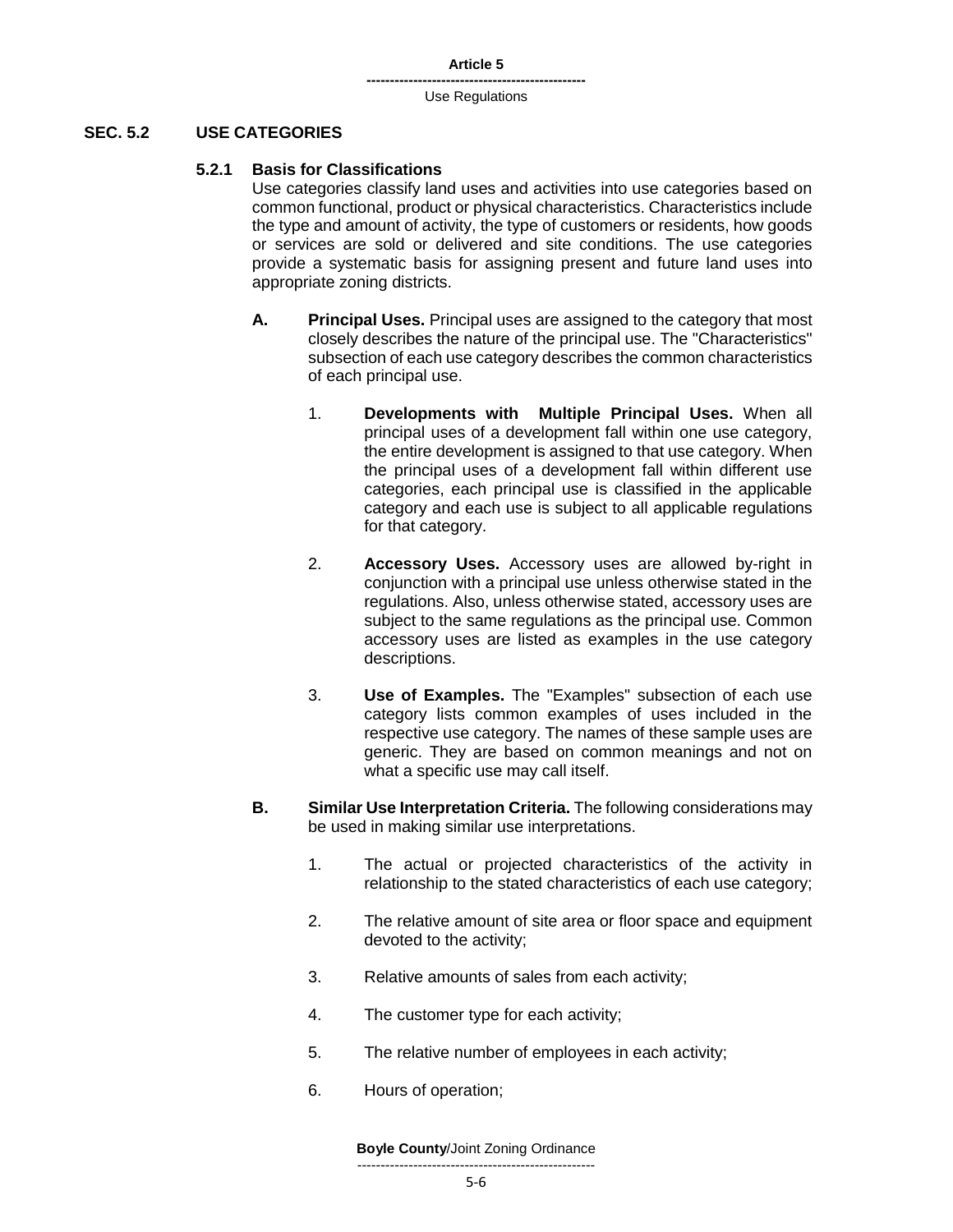#### **SEC. 5.2 USE CATEGORIES**

#### **5.2.1 Basis for Classifications**

Use categories classify land uses and activities into use categories based on common functional, product or physical characteristics. Characteristics include the type and amount of activity, the type of customers or residents, how goods or services are sold or delivered and site conditions. The use categories provide a systematic basis for assigning present and future land uses into appropriate zoning districts.

- **A. Principal Uses.** Principal uses are assigned to the category that most closely describes the nature of the principal use. The "Characteristics" subsection of each use category describes the common characteristics of each principal use.
	- 1. **Developments with Multiple Principal Uses.** When all principal uses of a development fall within one use category, the entire development is assigned to that use category. When the principal uses of a development fall within different use categories, each principal use is classified in the applicable category and each use is subject to all applicable regulations for that category.
	- 2. **Accessory Uses.** Accessory uses are allowed by-right in conjunction with a principal use unless otherwise stated in the regulations. Also, unless otherwise stated, accessory uses are subject to the same regulations as the principal use. Common accessory uses are listed as examples in the use category descriptions.
	- 3. **Use of Examples.** The "Examples" subsection of each use category lists common examples of uses included in the respective use category. The names of these sample uses are generic. They are based on common meanings and not on what a specific use may call itself.
- **B. Similar Use Interpretation Criteria.** The following considerations may be used in making similar use interpretations.
	- 1. The actual or projected characteristics of the activity in relationship to the stated characteristics of each use category;
	- 2. The relative amount of site area or floor space and equipment devoted to the activity;
	- 3. Relative amounts of sales from each activity;
	- 4. The customer type for each activity;
	- 5. The relative number of employees in each activity;
	- 6. Hours of operation;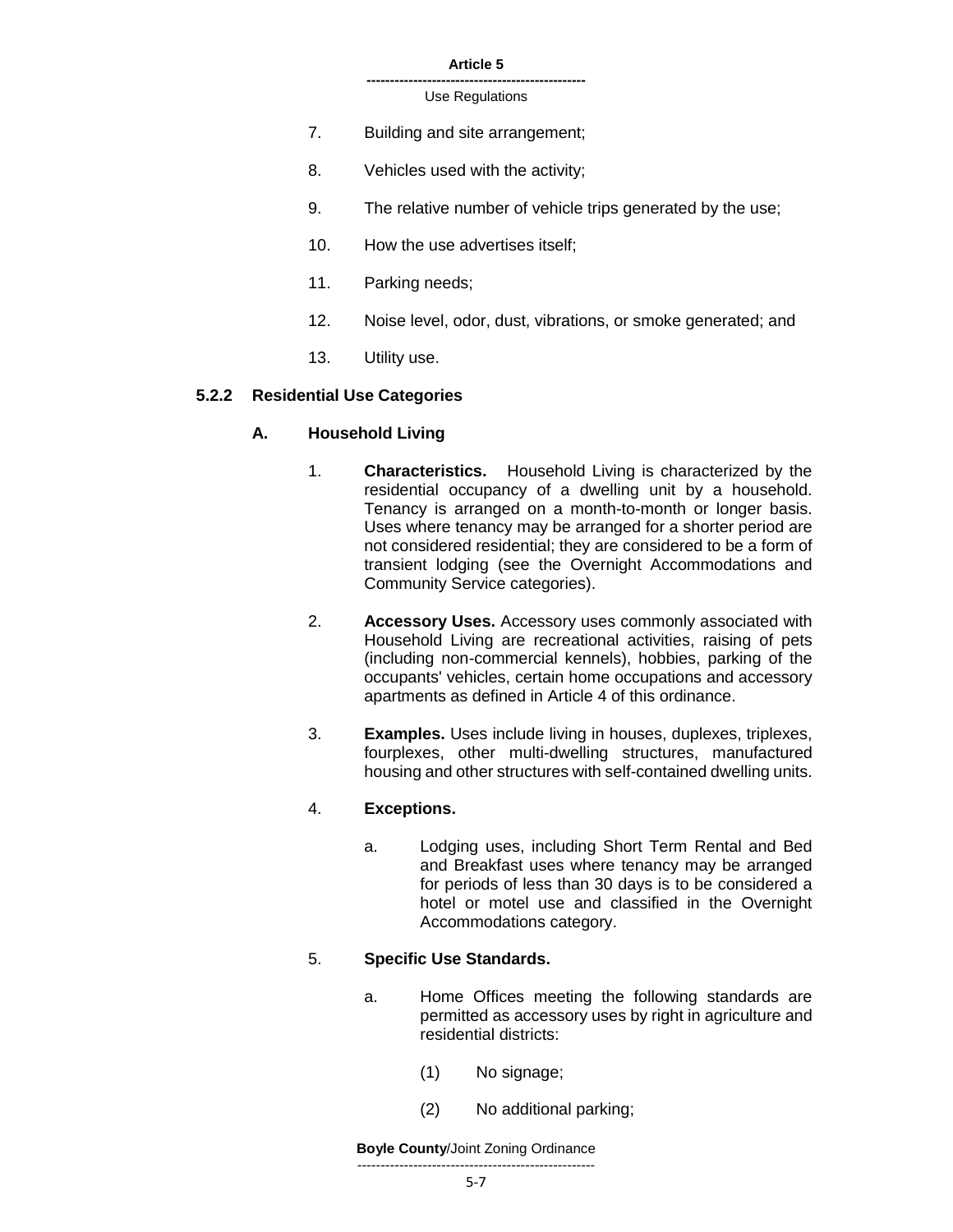#### **-----------------------------------------------** Use Regulations

- 7. Building and site arrangement;
- 8. Vehicles used with the activity;
- 9. The relative number of vehicle trips generated by the use;
- 10. How the use advertises itself;
- 11. Parking needs;
- 12. Noise level, odor, dust, vibrations, or smoke generated; and
- 13. Utility use.

# **5.2.2 Residential Use Categories**

# **A. Household Living**

- 1. **Characteristics.** Household Living is characterized by the residential occupancy of a dwelling unit by a household. Tenancy is arranged on a month-to-month or longer basis. Uses where tenancy may be arranged for a shorter period are not considered residential; they are considered to be a form of transient lodging (see the Overnight Accommodations and Community Service categories).
- 2. **Accessory Uses.** Accessory uses commonly associated with Household Living are recreational activities, raising of pets (including non-commercial kennels), hobbies, parking of the occupants' vehicles, certain home occupations and accessory apartments as defined in Article 4 of this ordinance.
- 3. **Examples.** Uses include living in houses, duplexes, triplexes, fourplexes, other multi-dwelling structures, manufactured housing and other structures with self-contained dwelling units.

# 4. **Exceptions.**

a. Lodging uses, including Short Term Rental and Bed and Breakfast uses where tenancy may be arranged for periods of less than 30 days is to be considered a hotel or motel use and classified in the Overnight Accommodations category.

# 5. **Specific Use Standards.**

- a. Home Offices meeting the following standards are permitted as accessory uses by right in agriculture and residential districts:
	- (1) No signage;
	- (2) No additional parking;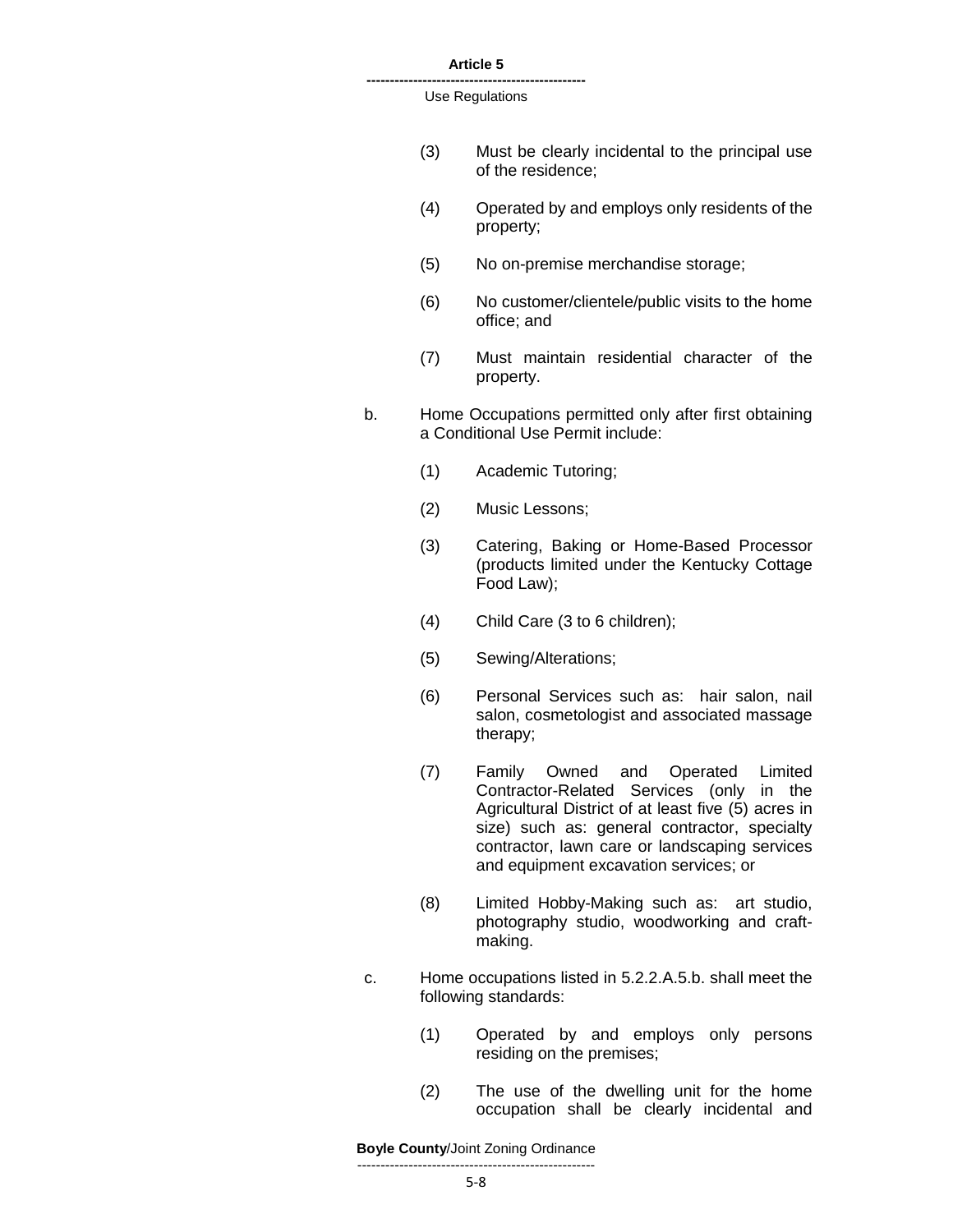**-----------------------------------------------** Use Regulations

- (3) Must be clearly incidental to the principal use of the residence;
- (4) Operated by and employs only residents of the property;
- (5) No on-premise merchandise storage;
- (6) No customer/clientele/public visits to the home office; and
- (7) Must maintain residential character of the property.
- b. Home Occupations permitted only after first obtaining a Conditional Use Permit include:
	- (1) Academic Tutoring;
	- (2) Music Lessons;
	- (3) Catering, Baking or Home-Based Processor (products limited under the Kentucky Cottage Food Law);
	- (4) Child Care (3 to 6 children);
	- (5) Sewing/Alterations;
	- (6) Personal Services such as: hair salon, nail salon, cosmetologist and associated massage therapy;
	- (7) Family Owned and Operated Limited Contractor-Related Services (only in the Agricultural District of at least five (5) acres in size) such as: general contractor, specialty contractor, lawn care or landscaping services and equipment excavation services; or
	- (8) Limited Hobby-Making such as: art studio, photography studio, woodworking and craftmaking.
- c. Home occupations listed in 5.2.2.A.5.b. shall meet the following standards:
	- (1) Operated by and employs only persons residing on the premises;
	- (2) The use of the dwelling unit for the home occupation shall be clearly incidental and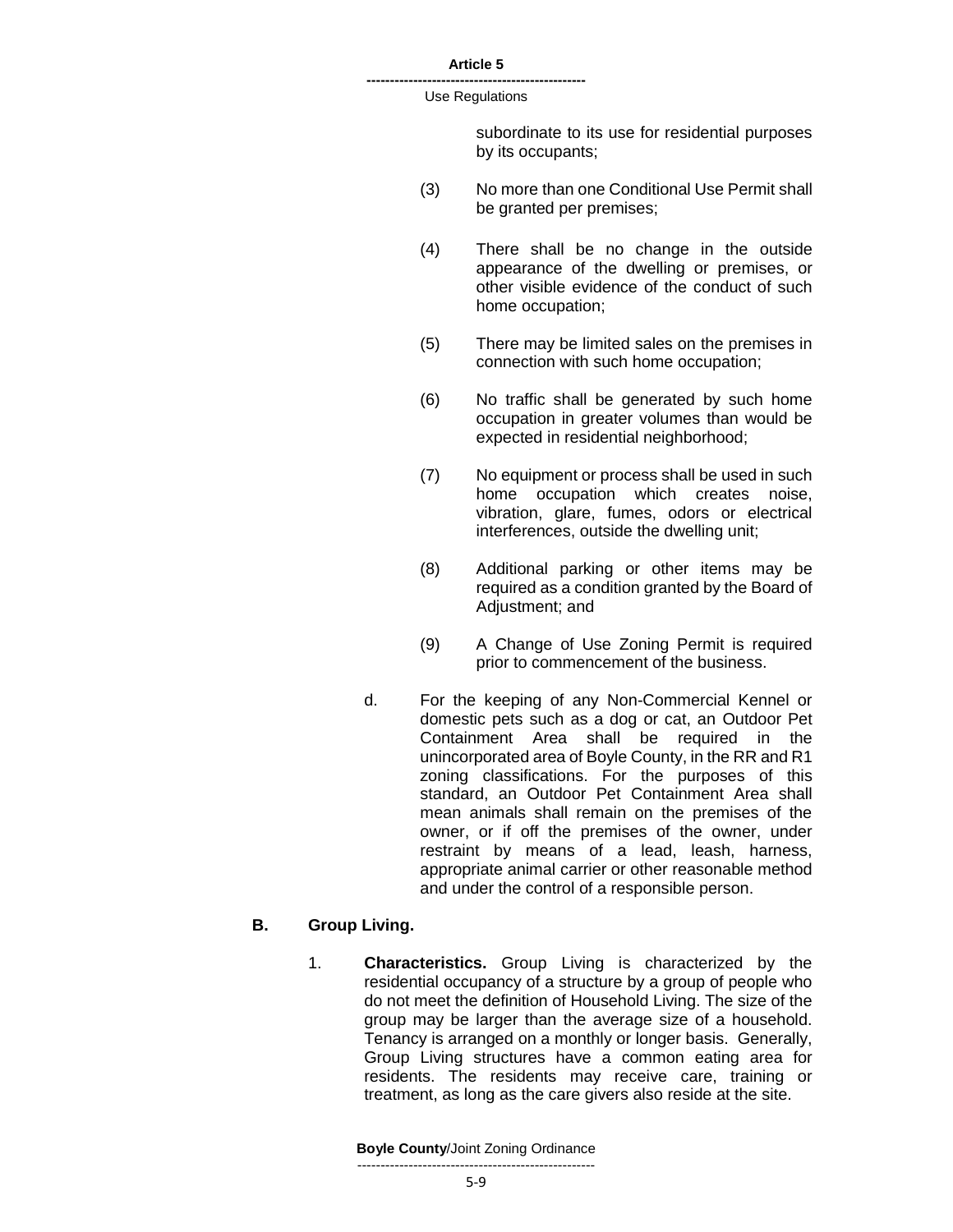#### **-----------------------------------------------** Use Regulations

subordinate to its use for residential purposes by its occupants;

- (3) No more than one Conditional Use Permit shall be granted per premises;
- (4) There shall be no change in the outside appearance of the dwelling or premises, or other visible evidence of the conduct of such home occupation;
- (5) There may be limited sales on the premises in connection with such home occupation;
- (6) No traffic shall be generated by such home occupation in greater volumes than would be expected in residential neighborhood;
- (7) No equipment or process shall be used in such home occupation which creates noise, vibration, glare, fumes, odors or electrical interferences, outside the dwelling unit;
- (8) Additional parking or other items may be required as a condition granted by the Board of Adjustment; and
- (9) A Change of Use Zoning Permit is required prior to commencement of the business.
- d. For the keeping of any Non-Commercial Kennel or domestic pets such as a dog or cat, an Outdoor Pet Containment Area shall be required in the unincorporated area of Boyle County, in the RR and R1 zoning classifications. For the purposes of this standard, an Outdoor Pet Containment Area shall mean animals shall remain on the premises of the owner, or if off the premises of the owner, under restraint by means of a lead, leash, harness, appropriate animal carrier or other reasonable method and under the control of a responsible person.

### **B. Group Living.**

1. **Characteristics.** Group Living is characterized by the residential occupancy of a structure by a group of people who do not meet the definition of Household Living. The size of the group may be larger than the average size of a household. Tenancy is arranged on a monthly or longer basis. Generally, Group Living structures have a common eating area for residents. The residents may receive care, training or treatment, as long as the care givers also reside at the site.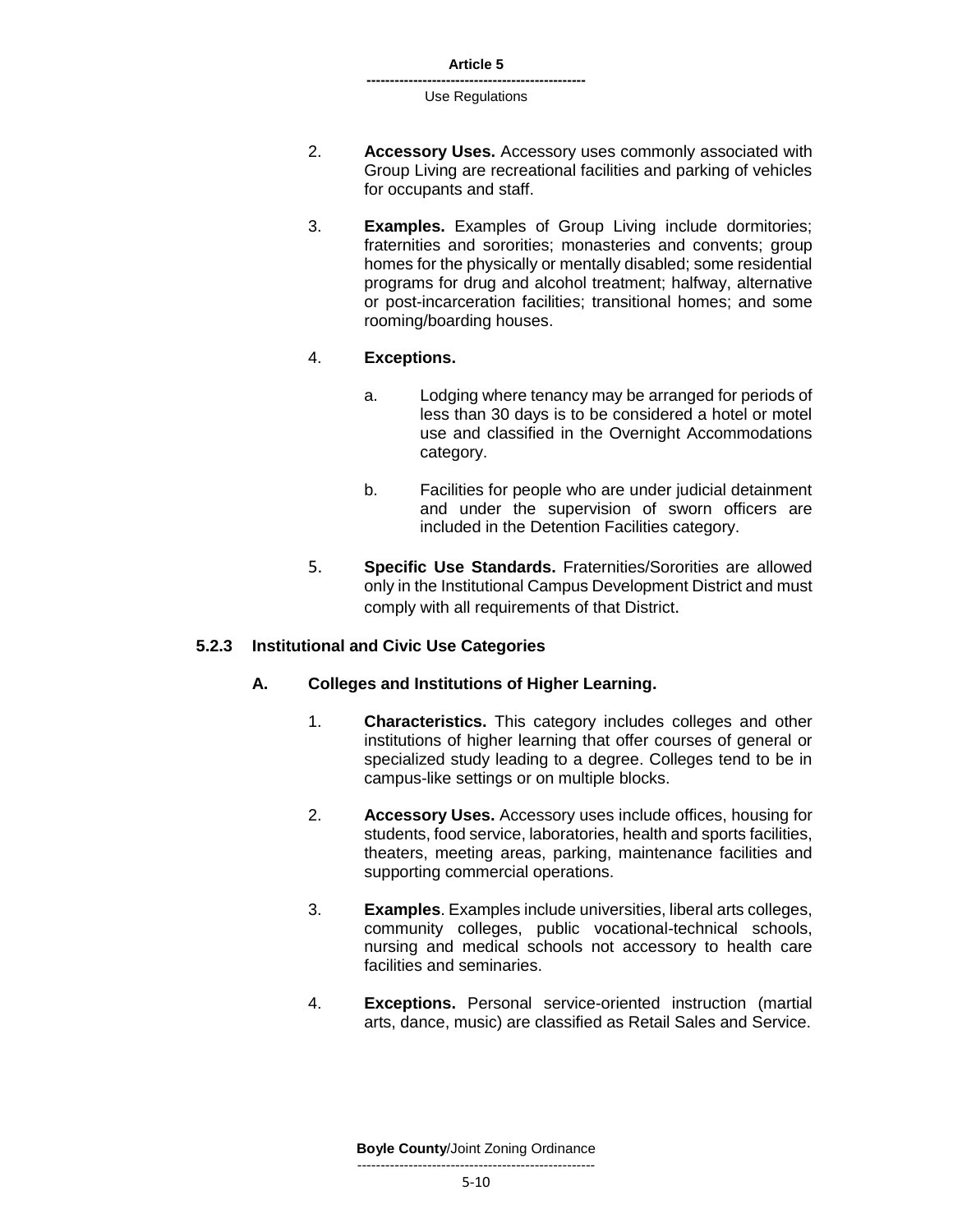- 2. **Accessory Uses.** Accessory uses commonly associated with Group Living are recreational facilities and parking of vehicles for occupants and staff.
- 3. **Examples.** Examples of Group Living include dormitories; fraternities and sororities; monasteries and convents; group homes for the physically or mentally disabled; some residential programs for drug and alcohol treatment; halfway, alternative or post-incarceration facilities; transitional homes; and some rooming/boarding houses.

# 4. **Exceptions.**

- a. Lodging where tenancy may be arranged for periods of less than 30 days is to be considered a hotel or motel use and classified in the Overnight Accommodations category.
- b. Facilities for people who are under judicial detainment and under the supervision of sworn officers are included in the Detention Facilities category.
- 5. **Specific Use Standards.** Fraternities/Sororities are allowed only in the Institutional Campus Development District and must comply with all requirements of that District.

# **5.2.3 Institutional and Civic Use Categories**

### **A. Colleges and Institutions of Higher Learning.**

- 1. **Characteristics.** This category includes colleges and other institutions of higher learning that offer courses of general or specialized study leading to a degree. Colleges tend to be in campus-like settings or on multiple blocks.
- 2. **Accessory Uses.** Accessory uses include offices, housing for students, food service, laboratories, health and sports facilities, theaters, meeting areas, parking, maintenance facilities and supporting commercial operations.
- 3. **Examples**. Examples include universities, liberal arts colleges, community colleges, public vocational-technical schools, nursing and medical schools not accessory to health care facilities and seminaries.
- 4. **Exceptions.** Personal service-oriented instruction (martial arts, dance, music) are classified as Retail Sales and Service.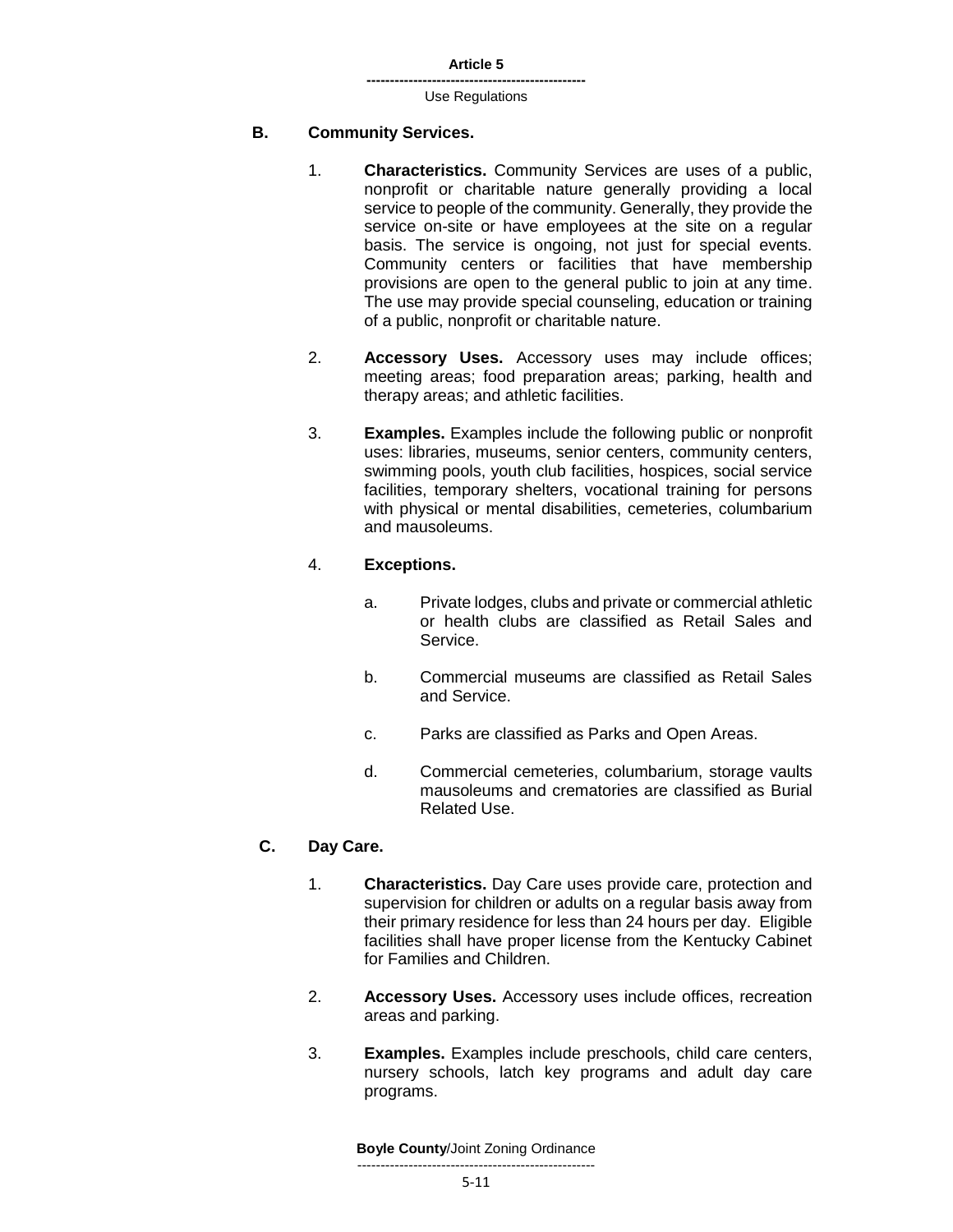# **B. Community Services.**

- 1. **Characteristics.** Community Services are uses of a public, nonprofit or charitable nature generally providing a local service to people of the community. Generally, they provide the service on-site or have employees at the site on a regular basis. The service is ongoing, not just for special events. Community centers or facilities that have membership provisions are open to the general public to join at any time. The use may provide special counseling, education or training of a public, nonprofit or charitable nature.
- 2. **Accessory Uses.** Accessory uses may include offices; meeting areas; food preparation areas; parking, health and therapy areas; and athletic facilities.
- 3. **Examples.** Examples include the following public or nonprofit uses: libraries, museums, senior centers, community centers, swimming pools, youth club facilities, hospices, social service facilities, temporary shelters, vocational training for persons with physical or mental disabilities, cemeteries, columbarium and mausoleums.

# 4. **Exceptions.**

- a. Private lodges, clubs and private or commercial athletic or health clubs are classified as Retail Sales and Service.
- b. Commercial museums are classified as Retail Sales and Service.
- c. Parks are classified as Parks and Open Areas.
- d. Commercial cemeteries, columbarium, storage vaults mausoleums and crematories are classified as Burial Related Use.

# **C. Day Care.**

- 1. **Characteristics.** Day Care uses provide care, protection and supervision for children or adults on a regular basis away from their primary residence for less than 24 hours per day. Eligible facilities shall have proper license from the Kentucky Cabinet for Families and Children.
- 2. **Accessory Uses.** Accessory uses include offices, recreation areas and parking.
- 3. **Examples.** Examples include preschools, child care centers, nursery schools, latch key programs and adult day care programs.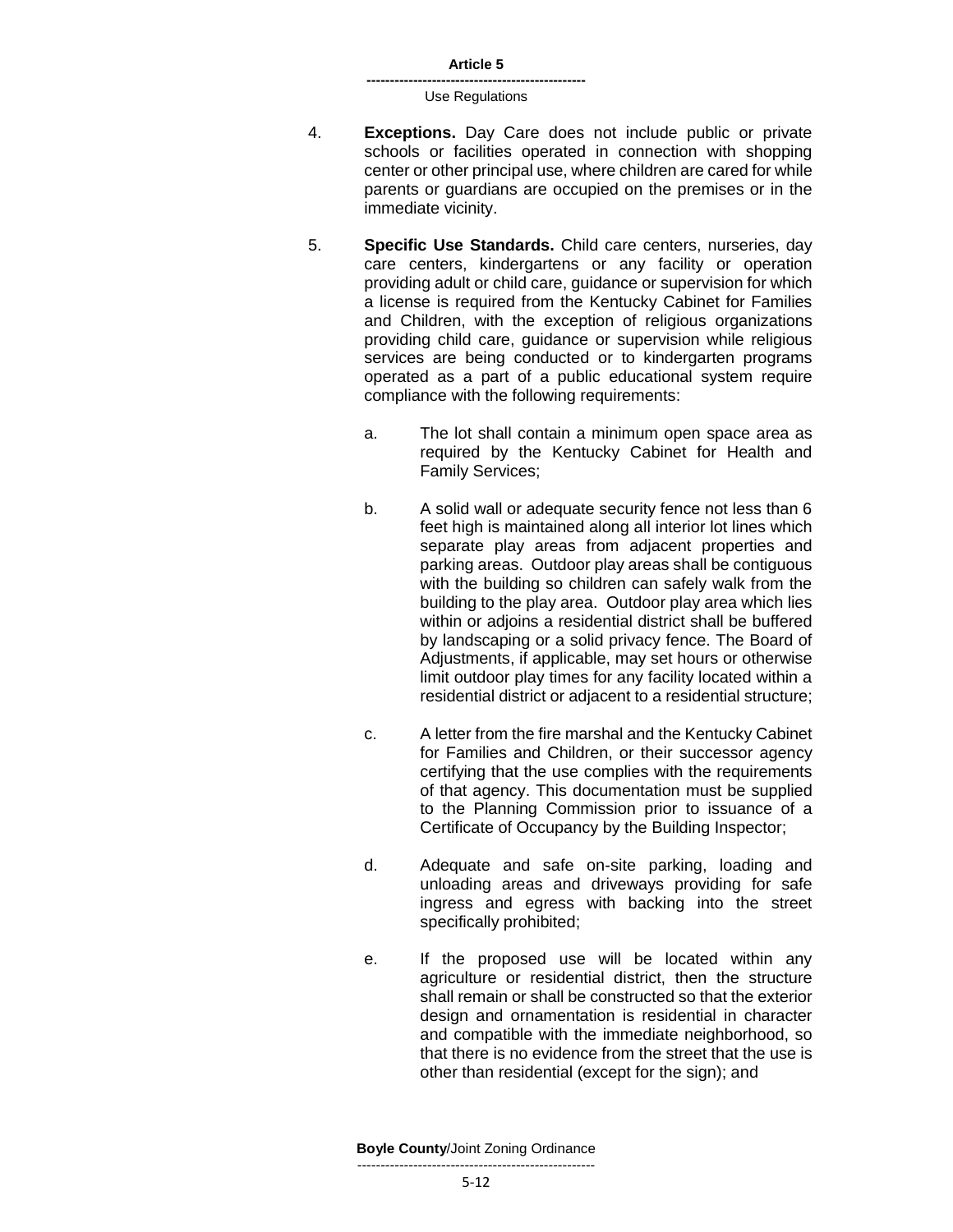- 4. **Exceptions.** Day Care does not include public or private schools or facilities operated in connection with shopping center or other principal use, where children are cared for while parents or guardians are occupied on the premises or in the immediate vicinity.
- 5. **Specific Use Standards.** Child care centers, nurseries, day care centers, kindergartens or any facility or operation providing adult or child care, guidance or supervision for which a license is required from the Kentucky Cabinet for Families and Children, with the exception of religious organizations providing child care, guidance or supervision while religious services are being conducted or to kindergarten programs operated as a part of a public educational system require compliance with the following requirements:
	- a. The lot shall contain a minimum open space area as required by the Kentucky Cabinet for Health and Family Services;
	- b. A solid wall or adequate security fence not less than 6 feet high is maintained along all interior lot lines which separate play areas from adjacent properties and parking areas. Outdoor play areas shall be contiguous with the building so children can safely walk from the building to the play area. Outdoor play area which lies within or adjoins a residential district shall be buffered by landscaping or a solid privacy fence. The Board of Adjustments, if applicable, may set hours or otherwise limit outdoor play times for any facility located within a residential district or adjacent to a residential structure;
	- c. A letter from the fire marshal and the Kentucky Cabinet for Families and Children, or their successor agency certifying that the use complies with the requirements of that agency. This documentation must be supplied to the Planning Commission prior to issuance of a Certificate of Occupancy by the Building Inspector;
	- d. Adequate and safe on-site parking, loading and unloading areas and driveways providing for safe ingress and egress with backing into the street specifically prohibited;
	- e. If the proposed use will be located within any agriculture or residential district, then the structure shall remain or shall be constructed so that the exterior design and ornamentation is residential in character and compatible with the immediate neighborhood, so that there is no evidence from the street that the use is other than residential (except for the sign); and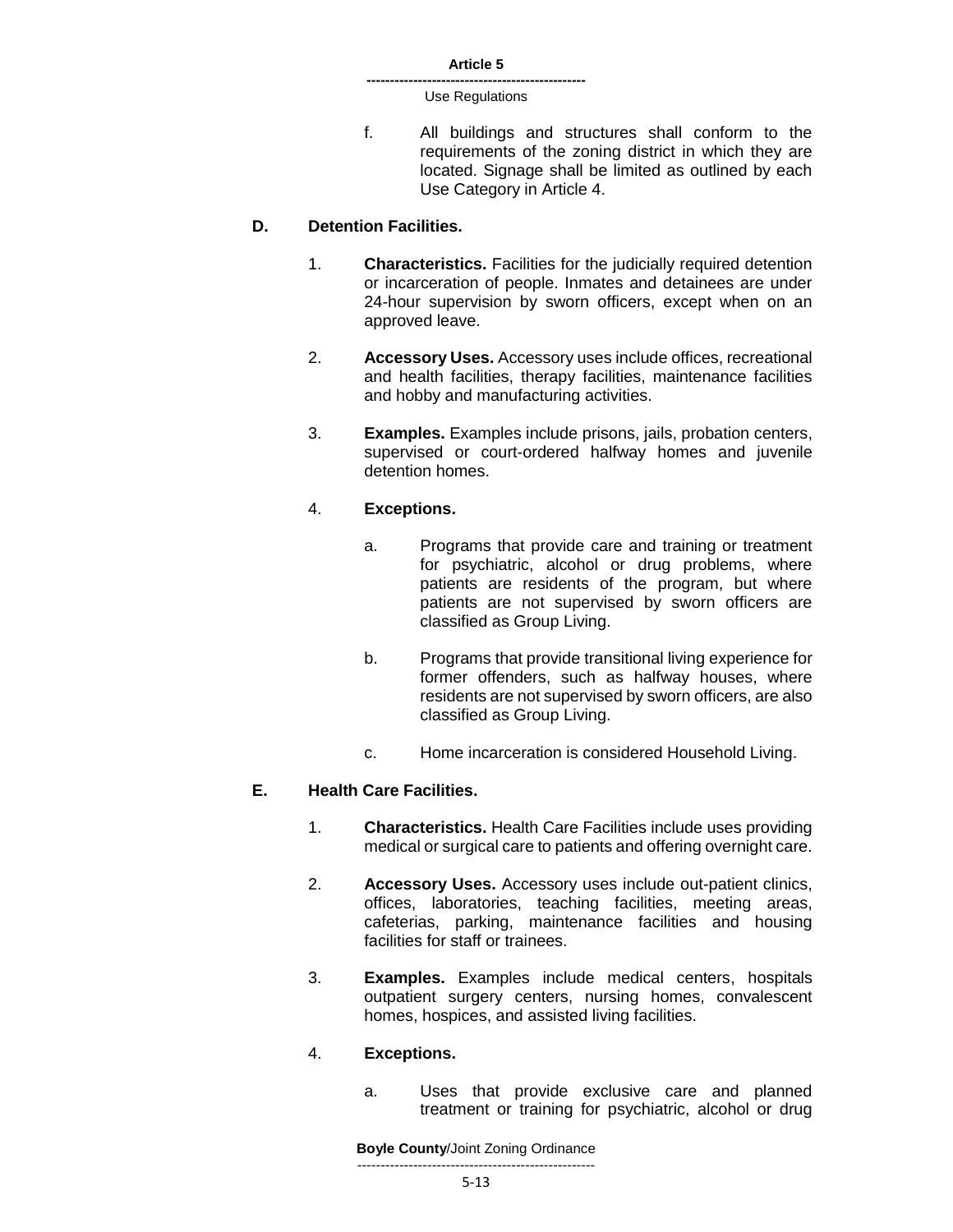f. All buildings and structures shall conform to the requirements of the zoning district in which they are located. Signage shall be limited as outlined by each Use Category in Article 4.

### **D. Detention Facilities.**

- 1. **Characteristics.** Facilities for the judicially required detention or incarceration of people. Inmates and detainees are under 24-hour supervision by sworn officers, except when on an approved leave.
- 2. **Accessory Uses.** Accessory uses include offices, recreational and health facilities, therapy facilities, maintenance facilities and hobby and manufacturing activities.
- 3. **Examples.** Examples include prisons, jails, probation centers, supervised or court-ordered halfway homes and juvenile detention homes.

# 4. **Exceptions.**

- a. Programs that provide care and training or treatment for psychiatric, alcohol or drug problems, where patients are residents of the program, but where patients are not supervised by sworn officers are classified as Group Living.
- b. Programs that provide transitional living experience for former offenders, such as halfway houses, where residents are not supervised by sworn officers, are also classified as Group Living.
- c. Home incarceration is considered Household Living.

### **E. Health Care Facilities.**

- 1. **Characteristics.** Health Care Facilities include uses providing medical or surgical care to patients and offering overnight care.
- 2. **Accessory Uses.** Accessory uses include out-patient clinics, offices, laboratories, teaching facilities, meeting areas, cafeterias, parking, maintenance facilities and housing facilities for staff or trainees.
- 3. **Examples.** Examples include medical centers, hospitals outpatient surgery centers, nursing homes, convalescent homes, hospices, and assisted living facilities.

### 4. **Exceptions.**

a. Uses that provide exclusive care and planned treatment or training for psychiatric, alcohol or drug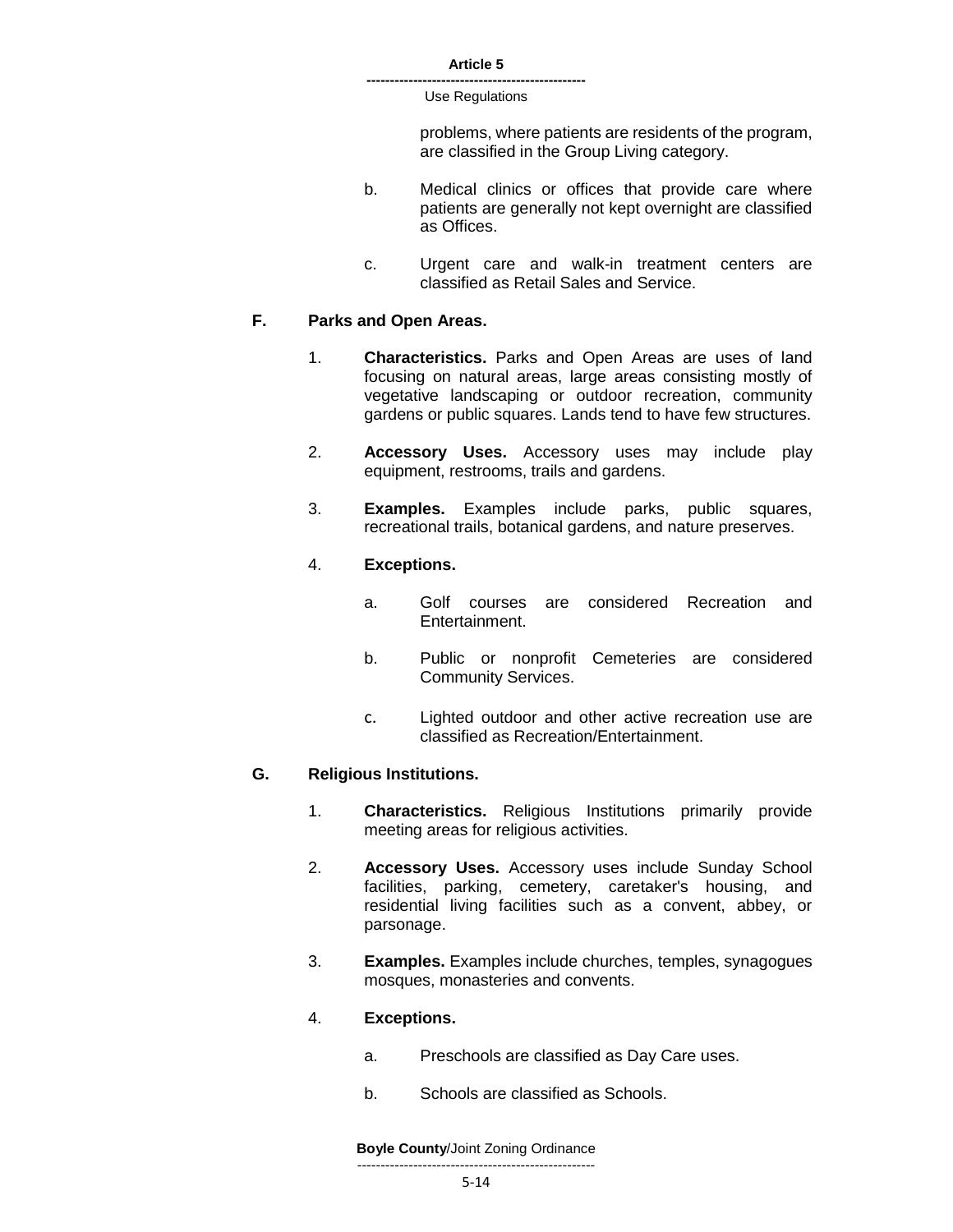> problems, where patients are residents of the program, are classified in the Group Living category.

- b. Medical clinics or offices that provide care where patients are generally not kept overnight are classified as Offices.
- c. Urgent care and walk-in treatment centers are classified as Retail Sales and Service.

### **F. Parks and Open Areas.**

- 1. **Characteristics.** Parks and Open Areas are uses of land focusing on natural areas, large areas consisting mostly of vegetative landscaping or outdoor recreation, community gardens or public squares. Lands tend to have few structures.
- 2. **Accessory Uses.** Accessory uses may include play equipment, restrooms, trails and gardens.
- 3. **Examples.** Examples include parks, public squares, recreational trails, botanical gardens, and nature preserves.

### 4. **Exceptions.**

- a. Golf courses are considered Recreation and Entertainment.
- b. Public or nonprofit Cemeteries are considered Community Services.
- c. Lighted outdoor and other active recreation use are classified as Recreation/Entertainment.

### **G. Religious Institutions.**

- 1. **Characteristics.** Religious Institutions primarily provide meeting areas for religious activities.
- 2. **Accessory Uses.** Accessory uses include Sunday School facilities, parking, cemetery, caretaker's housing, and residential living facilities such as a convent, abbey, or parsonage.
- 3. **Examples.** Examples include churches, temples, synagogues mosques, monasteries and convents.

#### 4. **Exceptions.**

- a. Preschools are classified as Day Care uses.
- b. Schools are classified as Schools.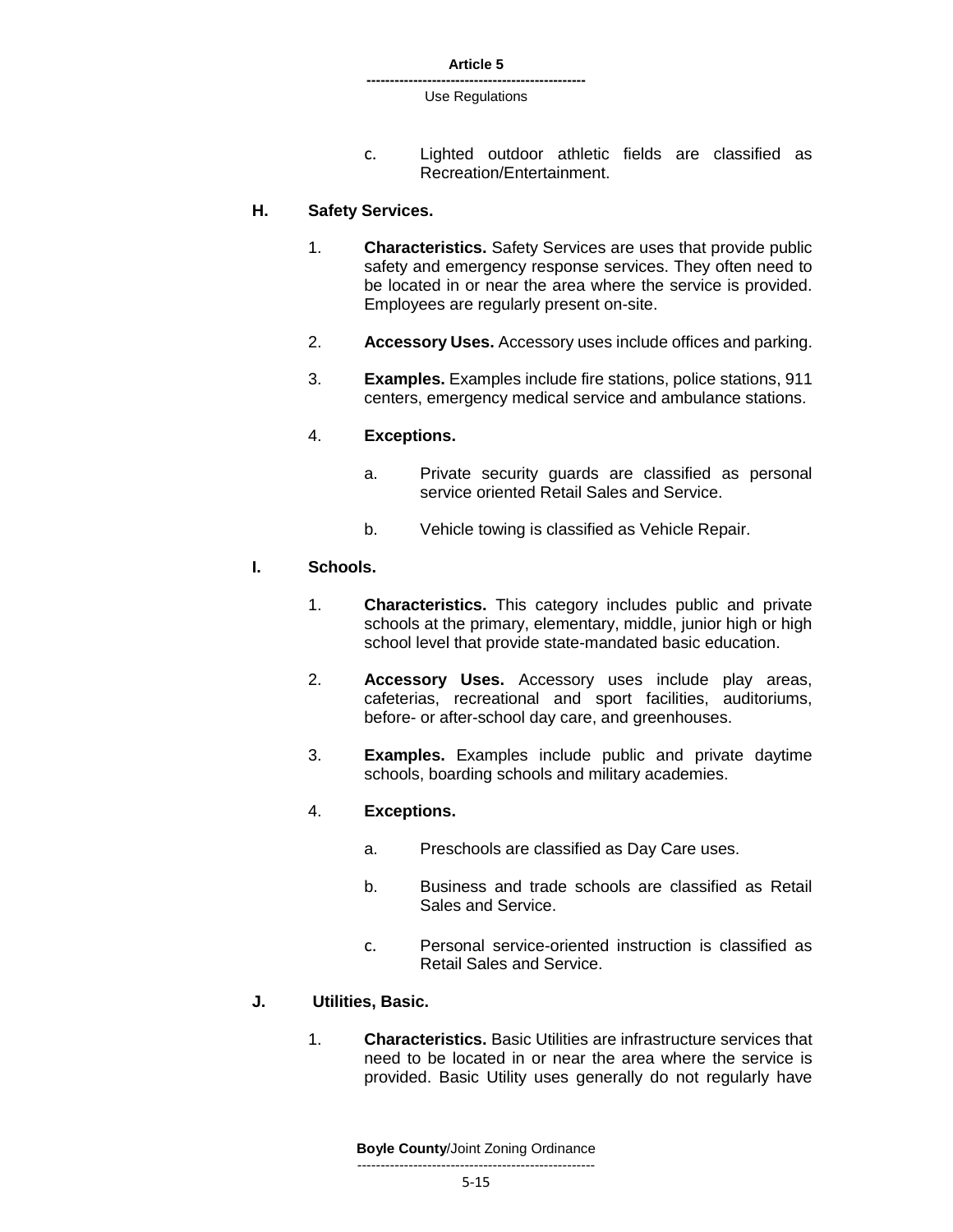c. Lighted outdoor athletic fields are classified as Recreation/Entertainment.

### **H. Safety Services.**

- 1. **Characteristics.** Safety Services are uses that provide public safety and emergency response services. They often need to be located in or near the area where the service is provided. Employees are regularly present on-site.
- 2. **Accessory Uses.** Accessory uses include offices and parking.
- 3. **Examples.** Examples include fire stations, police stations, 911 centers, emergency medical service and ambulance stations.

#### 4. **Exceptions.**

- a. Private security guards are classified as personal service oriented Retail Sales and Service.
- b. Vehicle towing is classified as Vehicle Repair.

#### **I. Schools.**

- 1. **Characteristics.** This category includes public and private schools at the primary, elementary, middle, junior high or high school level that provide state-mandated basic education.
- 2. **Accessory Uses.** Accessory uses include play areas, cafeterias, recreational and sport facilities, auditoriums, before- or after-school day care, and greenhouses.
- 3. **Examples.** Examples include public and private daytime schools, boarding schools and military academies.

### 4. **Exceptions.**

- a. Preschools are classified as Day Care uses.
- b. Business and trade schools are classified as Retail Sales and Service.
- c. Personal service-oriented instruction is classified as Retail Sales and Service.

### **J. Utilities, Basic.**

1. **Characteristics.** Basic Utilities are infrastructure services that need to be located in or near the area where the service is provided. Basic Utility uses generally do not regularly have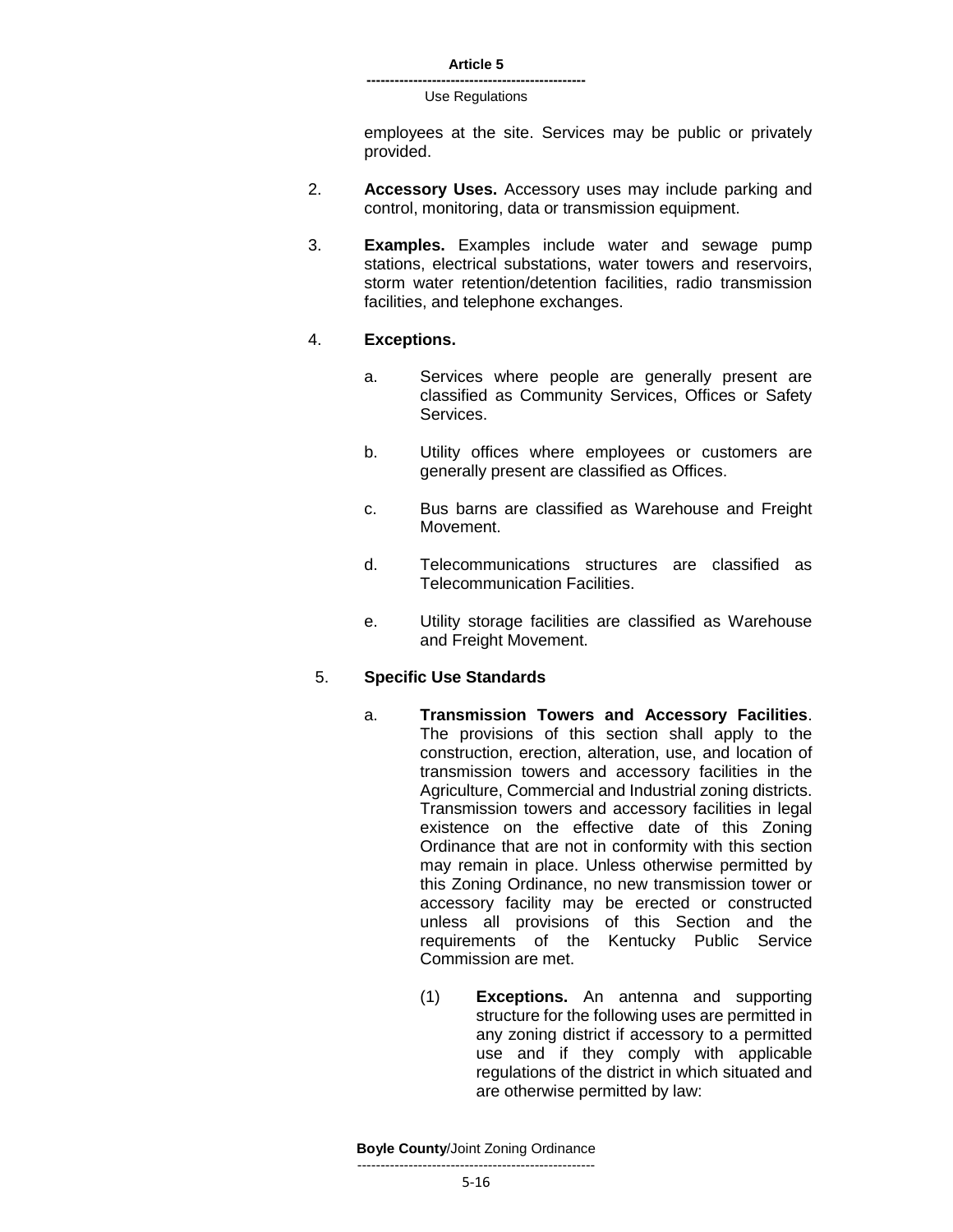#### **-----------------------------------------------** Use Regulations

employees at the site. Services may be public or privately provided.

- 2. **Accessory Uses.** Accessory uses may include parking and control, monitoring, data or transmission equipment.
- 3. **Examples.** Examples include water and sewage pump stations, electrical substations, water towers and reservoirs, storm water retention/detention facilities, radio transmission facilities, and telephone exchanges.

#### 4. **Exceptions.**

- a. Services where people are generally present are classified as Community Services, Offices or Safety Services.
- b. Utility offices where employees or customers are generally present are classified as Offices.
- c. Bus barns are classified as Warehouse and Freight Movement.
- d. Telecommunications structures are classified as Telecommunication Facilities.
- e. Utility storage facilities are classified as Warehouse and Freight Movement.

### 5. **Specific Use Standards**

- a. **Transmission Towers and Accessory Facilities**. The provisions of this section shall apply to the construction, erection, alteration, use, and location of transmission towers and accessory facilities in the Agriculture, Commercial and Industrial zoning districts. Transmission towers and accessory facilities in legal existence on the effective date of this Zoning Ordinance that are not in conformity with this section may remain in place. Unless otherwise permitted by this Zoning Ordinance, no new transmission tower or accessory facility may be erected or constructed unless all provisions of this Section and the requirements of the Kentucky Public Service Commission are met.
	- (1) **Exceptions.** An antenna and supporting structure for the following uses are permitted in any zoning district if accessory to a permitted use and if they comply with applicable regulations of the district in which situated and are otherwise permitted by law: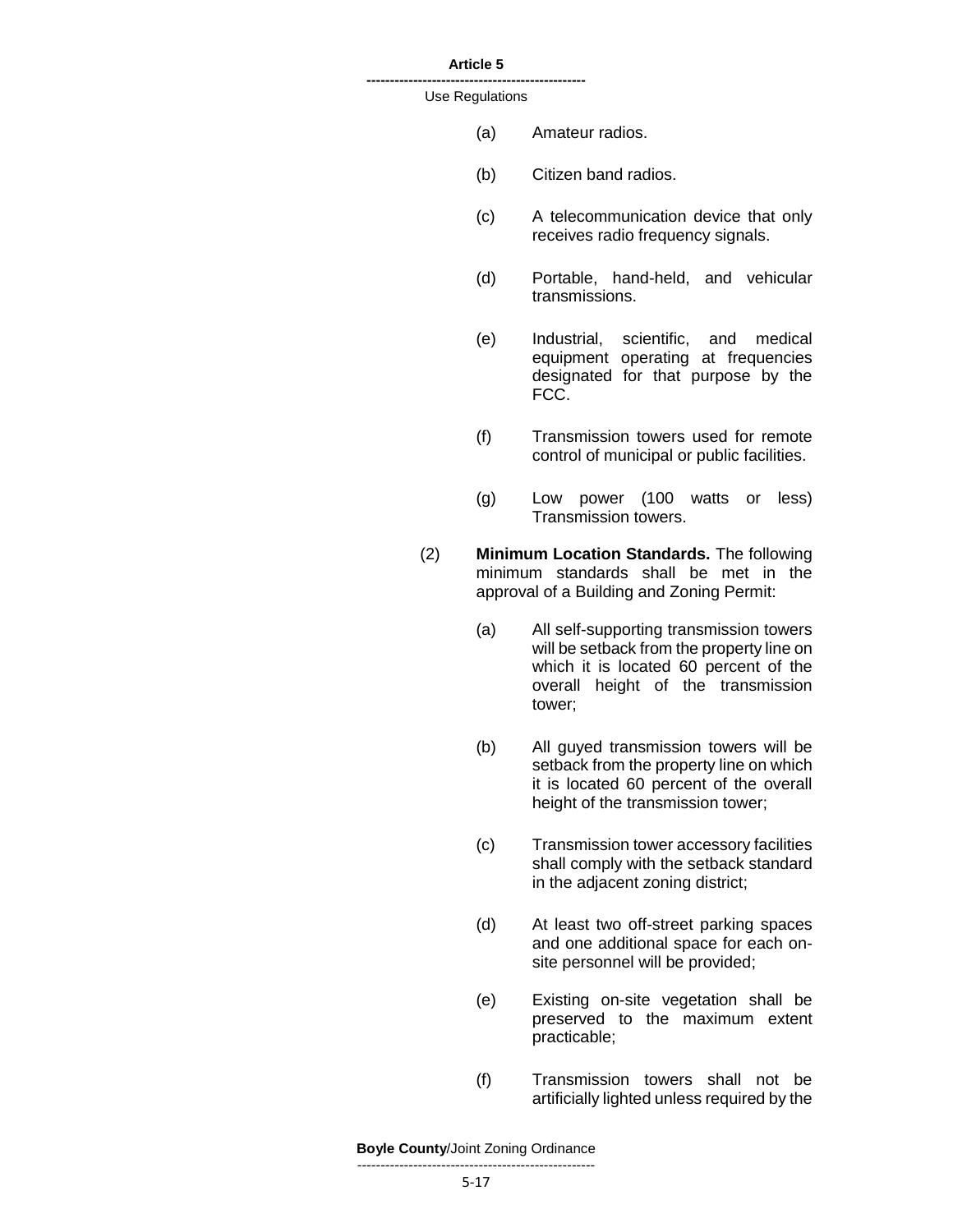#### **Article 5 -----------------------------------------------**

#### Use Regulations

- (a) Amateur radios.
- (b) Citizen band radios.
- (c) A telecommunication device that only receives radio frequency signals.
- (d) Portable, hand-held, and vehicular transmissions.
- (e) Industrial, scientific, and medical equipment operating at frequencies designated for that purpose by the FCC.
- (f) Transmission towers used for remote control of municipal or public facilities.
- (g) Low power (100 watts or less) Transmission towers.
- (2) **Minimum Location Standards.** The following minimum standards shall be met in the approval of a Building and Zoning Permit:
	- (a) All self-supporting transmission towers will be setback from the property line on which it is located 60 percent of the overall height of the transmission tower;
	- (b) All guyed transmission towers will be setback from the property line on which it is located 60 percent of the overall height of the transmission tower;
	- (c) Transmission tower accessory facilities shall comply with the setback standard in the adjacent zoning district;
	- (d) At least two off-street parking spaces and one additional space for each onsite personnel will be provided;
	- (e) Existing on-site vegetation shall be preserved to the maximum extent practicable;
	- (f) Transmission towers shall not be artificially lighted unless required by the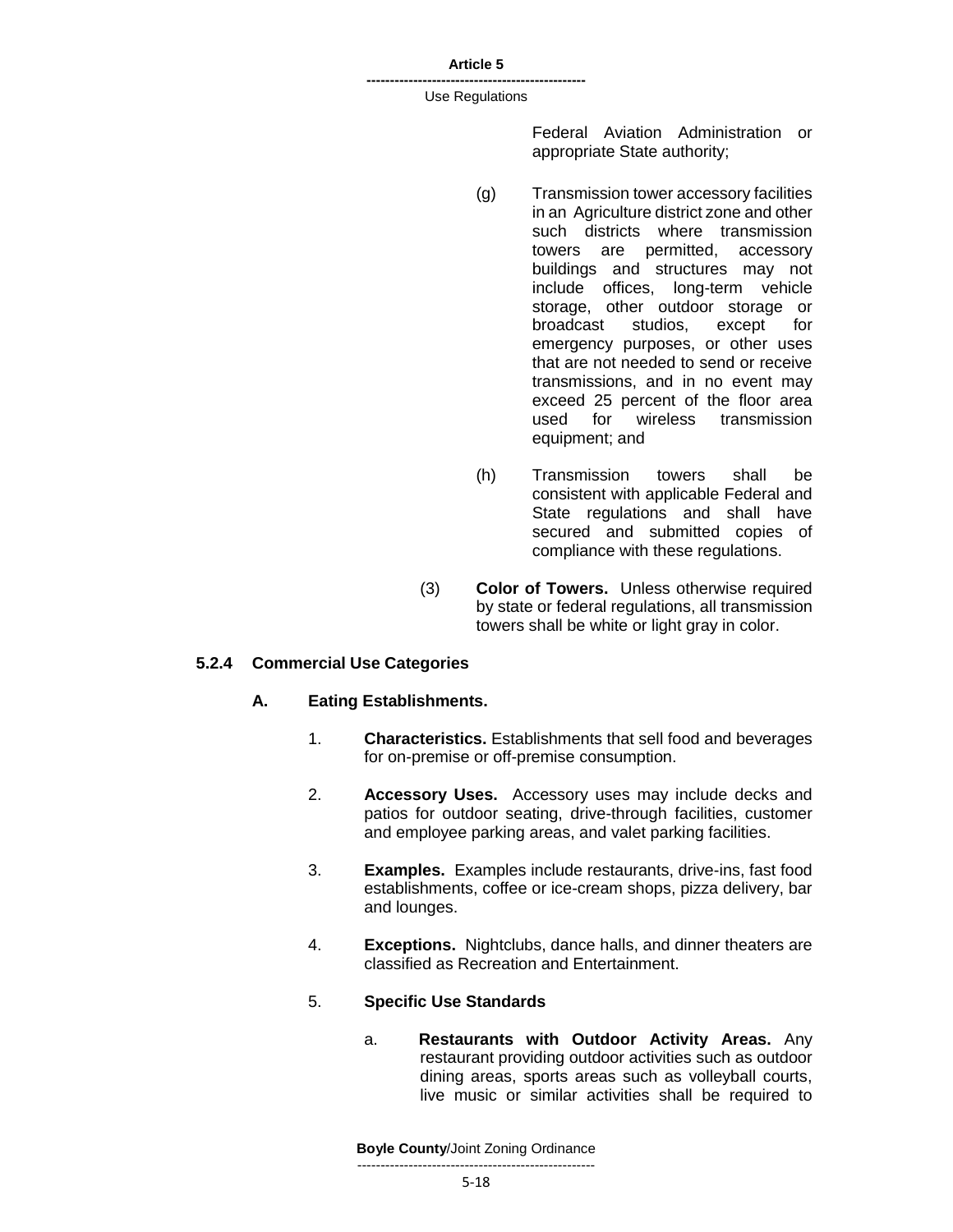**-----------------------------------------------** Use Regulations

> Federal Aviation Administration or appropriate State authority;

- (g) Transmission tower accessory facilities in an Agriculture district zone and other such districts where transmission towers are permitted, accessory buildings and structures may not include offices, long-term vehicle storage, other outdoor storage or broadcast studios, except for emergency purposes, or other uses that are not needed to send or receive transmissions, and in no event may exceed 25 percent of the floor area used for wireless transmission equipment; and
- (h) Transmission towers shall be consistent with applicable Federal and State regulations and shall have secured and submitted copies of compliance with these regulations.
- (3) **Color of Towers.** Unless otherwise required by state or federal regulations, all transmission towers shall be white or light gray in color.

# **5.2.4 Commercial Use Categories**

### **A. Eating Establishments.**

- 1. **Characteristics.** Establishments that sell food and beverages for on-premise or off-premise consumption.
- 2. **Accessory Uses.** Accessory uses may include decks and patios for outdoor seating, drive-through facilities, customer and employee parking areas, and valet parking facilities.
- 3. **Examples.** Examples include restaurants, drive-ins, fast food establishments, coffee or ice-cream shops, pizza delivery, bar and lounges.
- 4. **Exceptions.** Nightclubs, dance halls, and dinner theaters are classified as Recreation and Entertainment.

### 5. **Specific Use Standards**

a. **Restaurants with Outdoor Activity Areas.** Any restaurant providing outdoor activities such as outdoor dining areas, sports areas such as volleyball courts, live music or similar activities shall be required to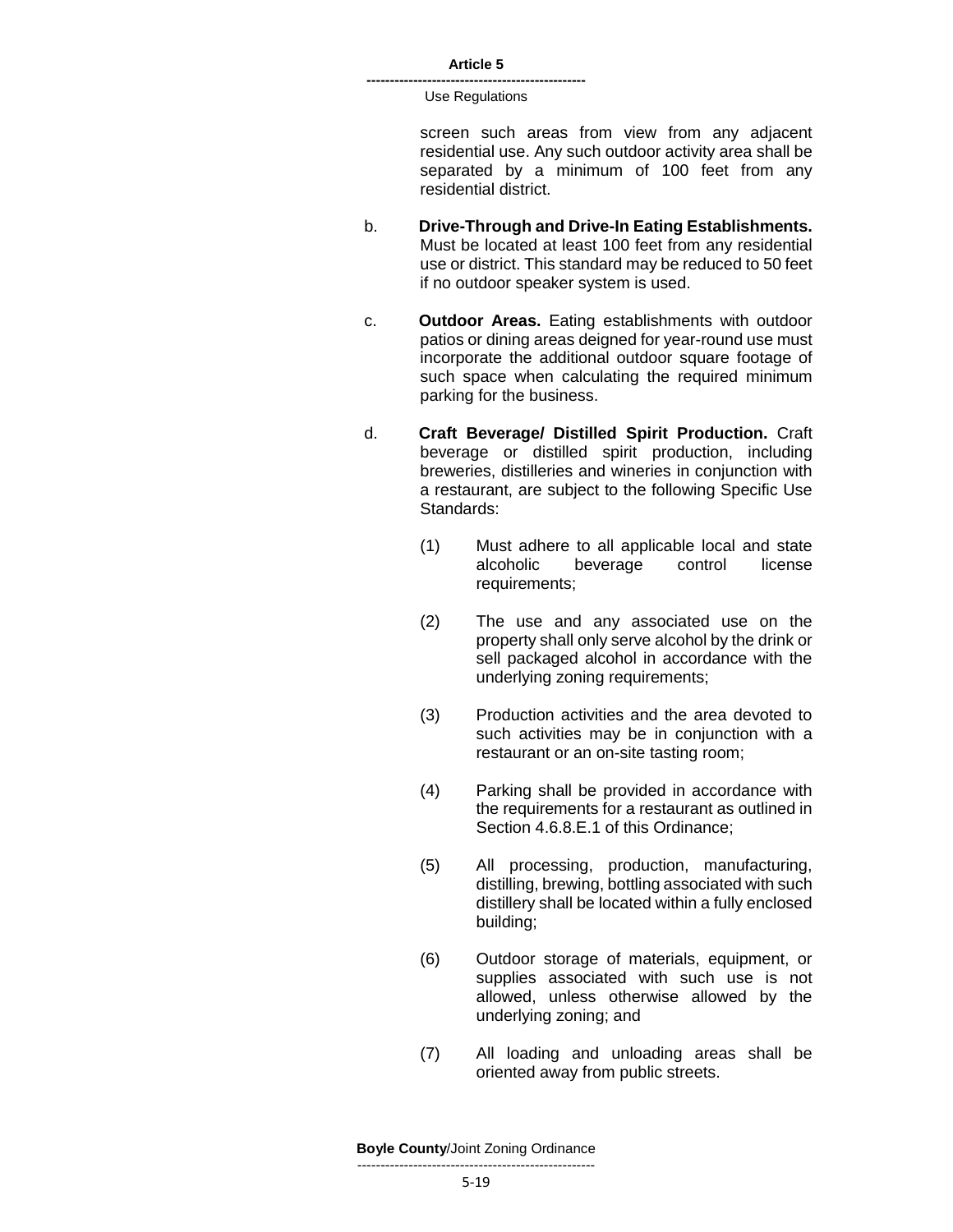> screen such areas from view from any adjacent residential use. Any such outdoor activity area shall be separated by a minimum of 100 feet from any residential district.

- b. **Drive-Through and Drive-In Eating Establishments.**  Must be located at least 100 feet from any residential use or district. This standard may be reduced to 50 feet if no outdoor speaker system is used.
- c. **Outdoor Areas.** Eating establishments with outdoor patios or dining areas deigned for year-round use must incorporate the additional outdoor square footage of such space when calculating the required minimum parking for the business.
- d. **Craft Beverage/ Distilled Spirit Production.** Craft beverage or distilled spirit production, including breweries, distilleries and wineries in conjunction with a restaurant, are subject to the following Specific Use Standards:
	- (1) Must adhere to all applicable local and state alcoholic beverage control license requirements;
	- (2) The use and any associated use on the property shall only serve alcohol by the drink or sell packaged alcohol in accordance with the underlying zoning requirements;
	- (3) Production activities and the area devoted to such activities may be in conjunction with a restaurant or an on-site tasting room;
	- (4) Parking shall be provided in accordance with the requirements for a restaurant as outlined in Section 4.6.8.E.1 of this Ordinance;
	- (5) All processing, production, manufacturing, distilling, brewing, bottling associated with such distillery shall be located within a fully enclosed building;
	- (6) Outdoor storage of materials, equipment, or supplies associated with such use is not allowed, unless otherwise allowed by the underlying zoning; and
	- (7) All loading and unloading areas shall be oriented away from public streets.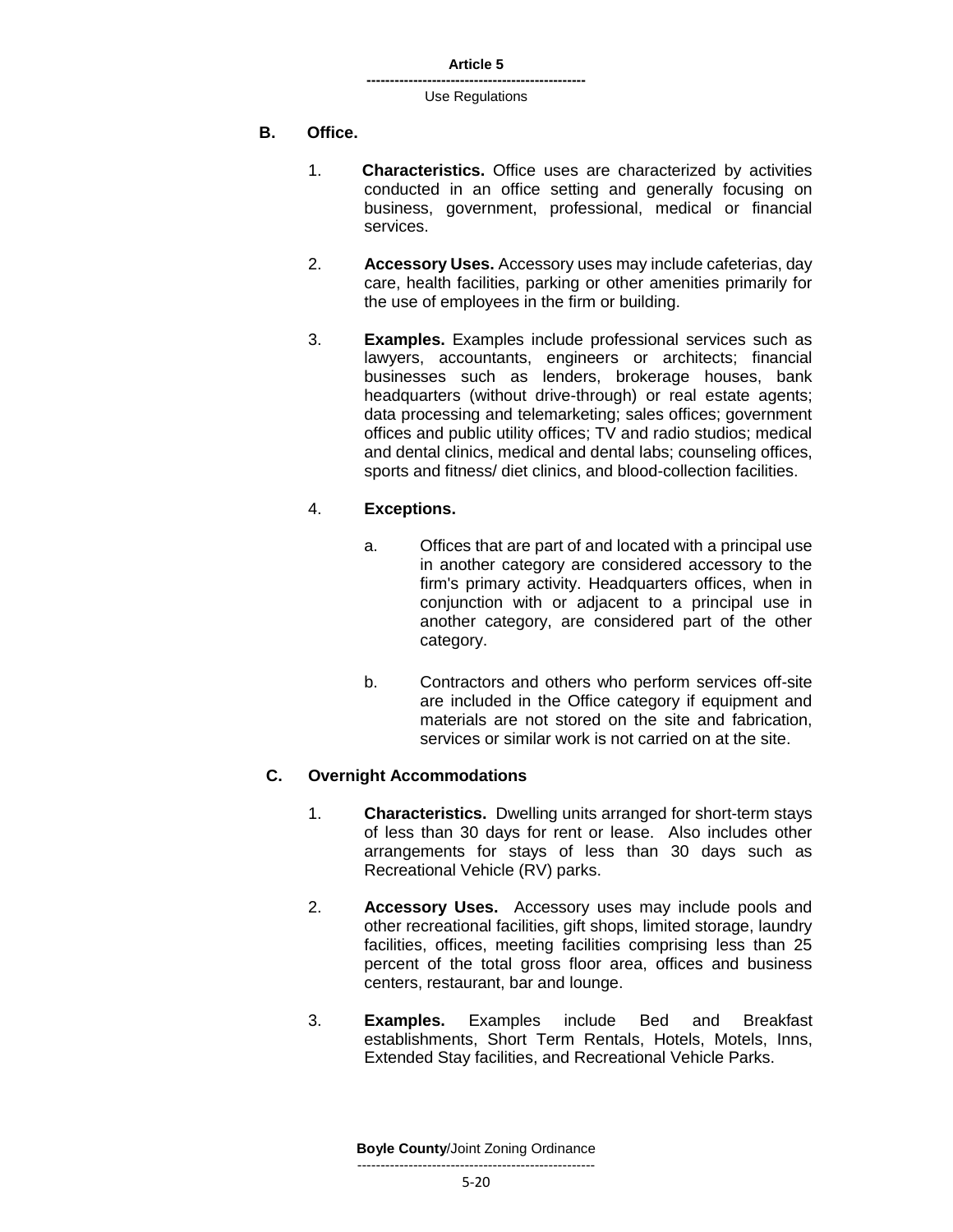#### **-----------------------------------------------** Use Regulations

# **B. Office.**

- 1. **Characteristics.** Office uses are characterized by activities conducted in an office setting and generally focusing on business, government, professional, medical or financial services.
- 2. **Accessory Uses.** Accessory uses may include cafeterias, day care, health facilities, parking or other amenities primarily for the use of employees in the firm or building.
- 3. **Examples.** Examples include professional services such as lawyers, accountants, engineers or architects; financial businesses such as lenders, brokerage houses, bank headquarters (without drive-through) or real estate agents; data processing and telemarketing; sales offices; government offices and public utility offices; TV and radio studios; medical and dental clinics, medical and dental labs; counseling offices, sports and fitness/ diet clinics, and blood-collection facilities.

# 4. **Exceptions.**

- a. Offices that are part of and located with a principal use in another category are considered accessory to the firm's primary activity. Headquarters offices, when in conjunction with or adjacent to a principal use in another category, are considered part of the other category.
- b. Contractors and others who perform services off-site are included in the Office category if equipment and materials are not stored on the site and fabrication, services or similar work is not carried on at the site.

# **C. Overnight Accommodations**

- 1. **Characteristics.** Dwelling units arranged for short-term stays of less than 30 days for rent or lease. Also includes other arrangements for stays of less than 30 days such as Recreational Vehicle (RV) parks.
- 2. **Accessory Uses.** Accessory uses may include pools and other recreational facilities, gift shops, limited storage, laundry facilities, offices, meeting facilities comprising less than 25 percent of the total gross floor area, offices and business centers, restaurant, bar and lounge.
- 3. **Examples.** Examples include Bed and Breakfast establishments, Short Term Rentals, Hotels, Motels, Inns, Extended Stay facilities, and Recreational Vehicle Parks.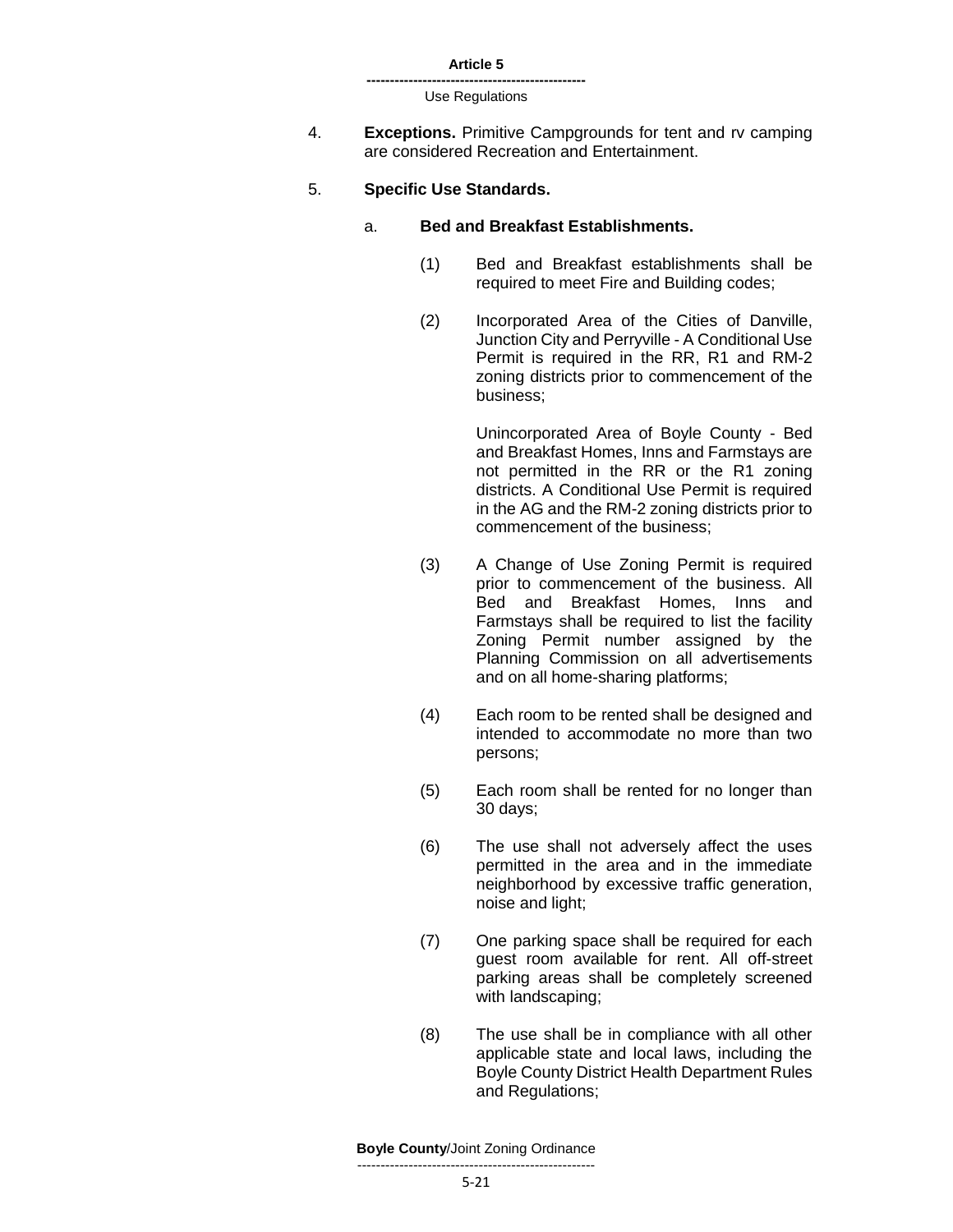| Article 5 |  |
|-----------|--|
|-----------|--|

- 4. **Exceptions.** Primitive Campgrounds for tent and rv camping are considered Recreation and Entertainment.
- 5. **Specific Use Standards.**

#### a. **Bed and Breakfast Establishments.**

- (1) Bed and Breakfast establishments shall be required to meet Fire and Building codes;
- (2) Incorporated Area of the Cities of Danville, Junction City and Perryville - A Conditional Use Permit is required in the RR, R1 and RM-2 zoning districts prior to commencement of the business;

Unincorporated Area of Boyle County - Bed and Breakfast Homes, Inns and Farmstays are not permitted in the RR or the R1 zoning districts. A Conditional Use Permit is required in the AG and the RM-2 zoning districts prior to commencement of the business;

- (3) A Change of Use Zoning Permit is required prior to commencement of the business. All Bed and Breakfast Homes, Inns and Farmstays shall be required to list the facility Zoning Permit number assigned by the Planning Commission on all advertisements and on all home-sharing platforms;
- (4) Each room to be rented shall be designed and intended to accommodate no more than two persons;
- (5) Each room shall be rented for no longer than 30 days;
- (6) The use shall not adversely affect the uses permitted in the area and in the immediate neighborhood by excessive traffic generation, noise and light;
- (7) One parking space shall be required for each guest room available for rent. All off-street parking areas shall be completely screened with landscaping;
- (8) The use shall be in compliance with all other applicable state and local laws, including the Boyle County District Health Department Rules and Regulations;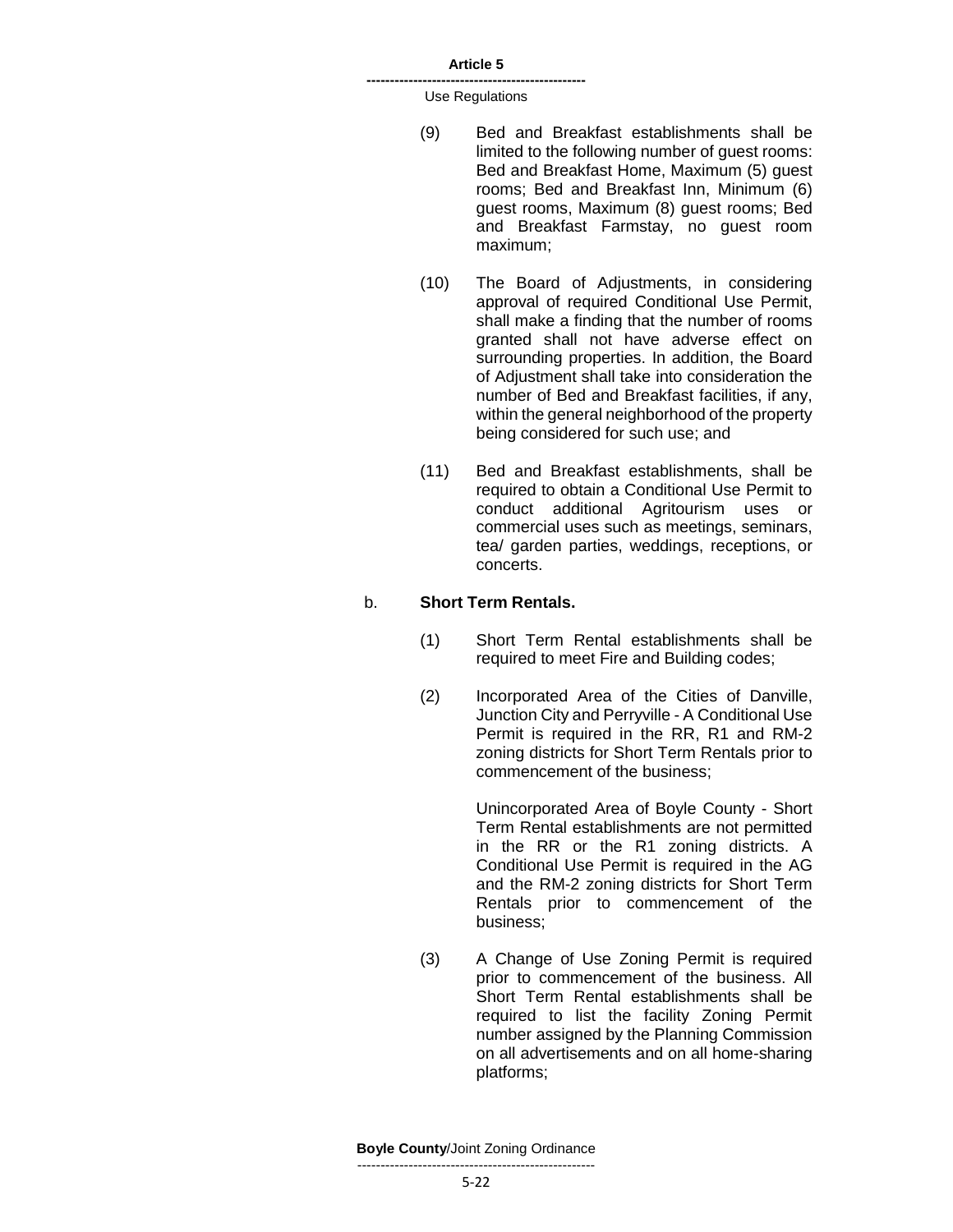**-----------------------------------------------** Use Regulations

- (9) Bed and Breakfast establishments shall be limited to the following number of guest rooms: Bed and Breakfast Home, Maximum (5) guest rooms; Bed and Breakfast Inn, Minimum (6) guest rooms, Maximum (8) guest rooms; Bed and Breakfast Farmstay, no guest room maximum;
- (10) The Board of Adjustments, in considering approval of required Conditional Use Permit, shall make a finding that the number of rooms granted shall not have adverse effect on surrounding properties. In addition, the Board of Adjustment shall take into consideration the number of Bed and Breakfast facilities, if any, within the general neighborhood of the property being considered for such use; and
- (11) Bed and Breakfast establishments, shall be required to obtain a Conditional Use Permit to conduct additional Agritourism uses or commercial uses such as meetings, seminars, tea/ garden parties, weddings, receptions, or concerts.

#### b. **Short Term Rentals.**

- (1) Short Term Rental establishments shall be required to meet Fire and Building codes;
- (2) Incorporated Area of the Cities of Danville, Junction City and Perryville - A Conditional Use Permit is required in the RR, R1 and RM-2 zoning districts for Short Term Rentals prior to commencement of the business;

Unincorporated Area of Boyle County - Short Term Rental establishments are not permitted in the RR or the R1 zoning districts. A Conditional Use Permit is required in the AG and the RM-2 zoning districts for Short Term Rentals prior to commencement of the business;

(3) A Change of Use Zoning Permit is required prior to commencement of the business. All Short Term Rental establishments shall be required to list the facility Zoning Permit number assigned by the Planning Commission on all advertisements and on all home-sharing platforms;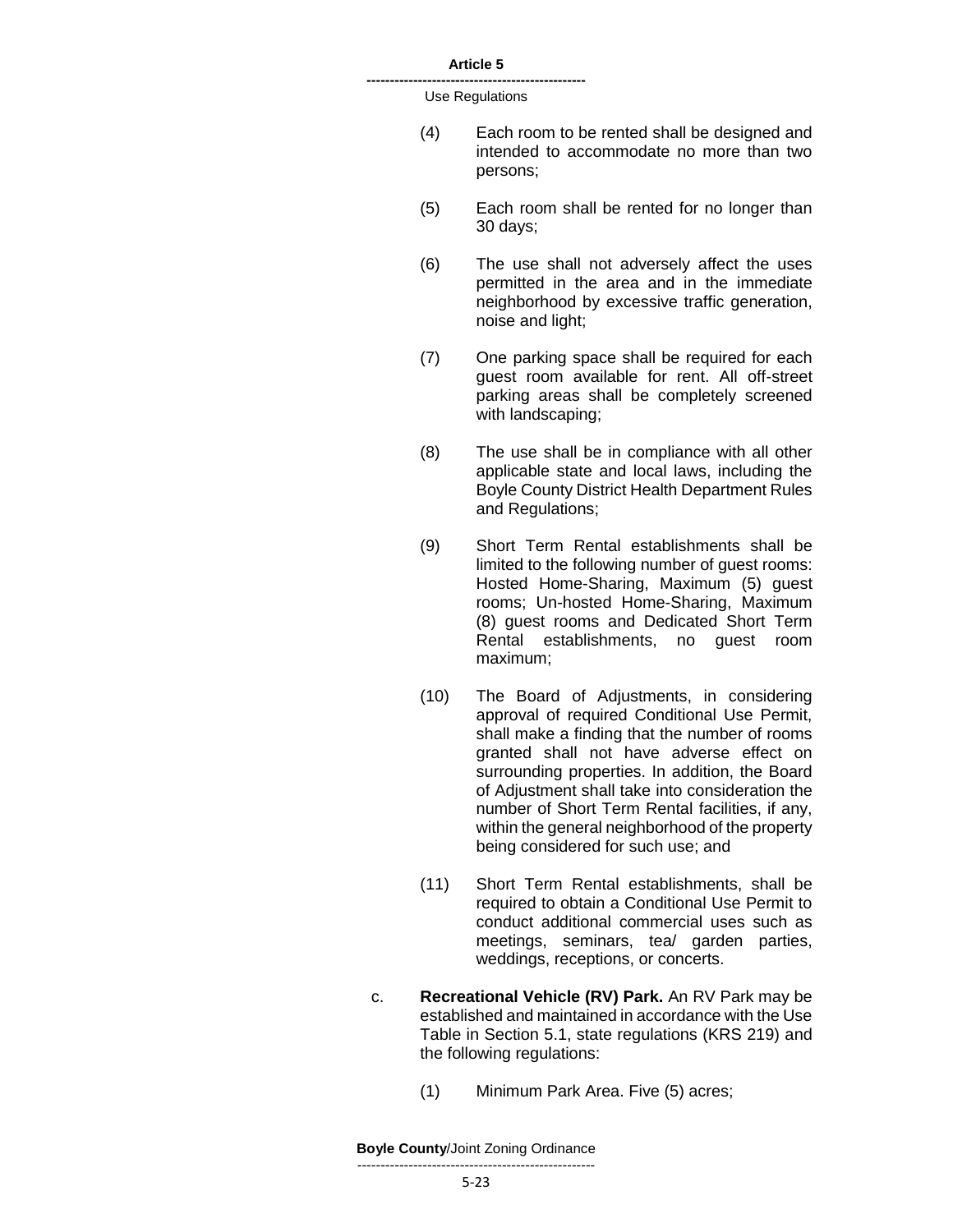**-----------------------------------------------** Use Regulations

- (4) Each room to be rented shall be designed and intended to accommodate no more than two persons;
- (5) Each room shall be rented for no longer than 30 days;
- (6) The use shall not adversely affect the uses permitted in the area and in the immediate neighborhood by excessive traffic generation, noise and light;
- (7) One parking space shall be required for each guest room available for rent. All off-street parking areas shall be completely screened with landscaping;
- (8) The use shall be in compliance with all other applicable state and local laws, including the Boyle County District Health Department Rules and Regulations;
- (9) Short Term Rental establishments shall be limited to the following number of guest rooms: Hosted Home-Sharing, Maximum (5) guest rooms; Un-hosted Home-Sharing, Maximum (8) guest rooms and Dedicated Short Term Rental establishments, no guest room maximum;
- (10) The Board of Adjustments, in considering approval of required Conditional Use Permit, shall make a finding that the number of rooms granted shall not have adverse effect on surrounding properties. In addition, the Board of Adjustment shall take into consideration the number of Short Term Rental facilities, if any, within the general neighborhood of the property being considered for such use; and
- (11) Short Term Rental establishments, shall be required to obtain a Conditional Use Permit to conduct additional commercial uses such as meetings, seminars, tea/ garden parties, weddings, receptions, or concerts.
- c. **Recreational Vehicle (RV) Park.** An RV Park may be established and maintained in accordance with the Use Table in Section 5.1, state regulations (KRS 219) and the following regulations:
	- (1) Minimum Park Area. Five (5) acres;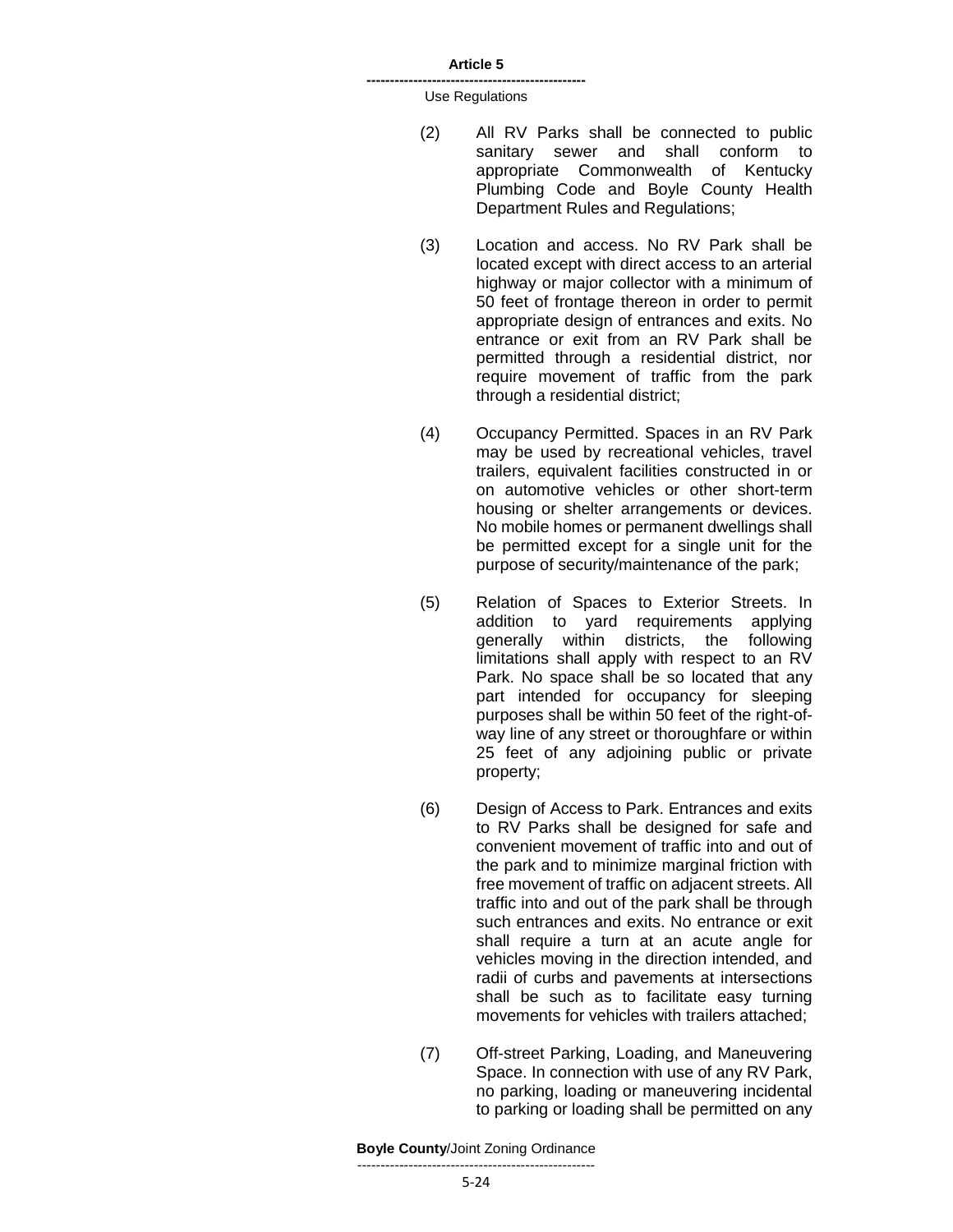**-----------------------------------------------** Use Regulations

- (2) All RV Parks shall be connected to public sanitary sewer and shall conform to appropriate Commonwealth of Kentucky Plumbing Code and Boyle County Health Department Rules and Regulations;
- (3) Location and access. No RV Park shall be located except with direct access to an arterial highway or major collector with a minimum of 50 feet of frontage thereon in order to permit appropriate design of entrances and exits. No entrance or exit from an RV Park shall be permitted through a residential district, nor require movement of traffic from the park through a residential district;
- (4) Occupancy Permitted. Spaces in an RV Park may be used by recreational vehicles, travel trailers, equivalent facilities constructed in or on automotive vehicles or other short-term housing or shelter arrangements or devices. No mobile homes or permanent dwellings shall be permitted except for a single unit for the purpose of security/maintenance of the park;
- (5) Relation of Spaces to Exterior Streets. In addition to yard requirements applying generally within districts, the following limitations shall apply with respect to an RV Park. No space shall be so located that any part intended for occupancy for sleeping purposes shall be within 50 feet of the right-ofway line of any street or thoroughfare or within 25 feet of any adjoining public or private property;
- (6) Design of Access to Park. Entrances and exits to RV Parks shall be designed for safe and convenient movement of traffic into and out of the park and to minimize marginal friction with free movement of traffic on adjacent streets. All traffic into and out of the park shall be through such entrances and exits. No entrance or exit shall require a turn at an acute angle for vehicles moving in the direction intended, and radii of curbs and pavements at intersections shall be such as to facilitate easy turning movements for vehicles with trailers attached;
- (7) Off-street Parking, Loading, and Maneuvering Space. In connection with use of any RV Park, no parking, loading or maneuvering incidental to parking or loading shall be permitted on any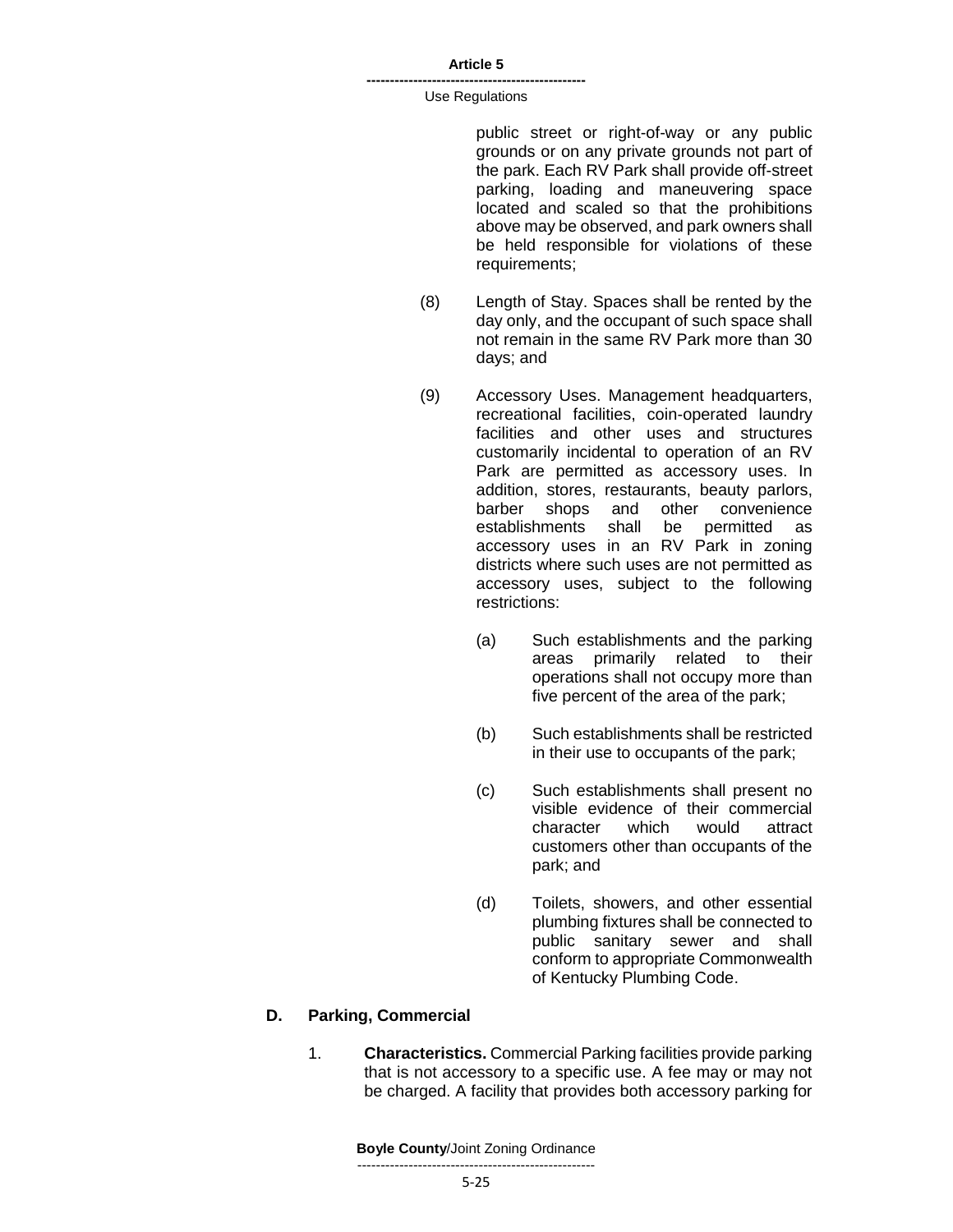#### **-----------------------------------------------** Use Regulations

public street or right-of-way or any public grounds or on any private grounds not part of the park. Each RV Park shall provide off-street parking, loading and maneuvering space located and scaled so that the prohibitions above may be observed, and park owners shall be held responsible for violations of these requirements;

- (8) Length of Stay. Spaces shall be rented by the day only, and the occupant of such space shall not remain in the same RV Park more than 30 days; and
- (9) Accessory Uses. Management headquarters, recreational facilities, coin-operated laundry facilities and other uses and structures customarily incidental to operation of an RV Park are permitted as accessory uses. In addition, stores, restaurants, beauty parlors, barber shops and other convenience establishments shall be permitted as accessory uses in an RV Park in zoning districts where such uses are not permitted as accessory uses, subject to the following restrictions:
	- (a) Such establishments and the parking areas primarily related to their operations shall not occupy more than five percent of the area of the park;
	- (b) Such establishments shall be restricted in their use to occupants of the park;
	- (c) Such establishments shall present no visible evidence of their commercial character which would attract customers other than occupants of the park; and
	- (d) Toilets, showers, and other essential plumbing fixtures shall be connected to public sanitary sewer and shall conform to appropriate Commonwealth of Kentucky Plumbing Code.

### **D. Parking, Commercial**

1. **Characteristics.** Commercial Parking facilities provide parking that is not accessory to a specific use. A fee may or may not be charged. A facility that provides both accessory parking for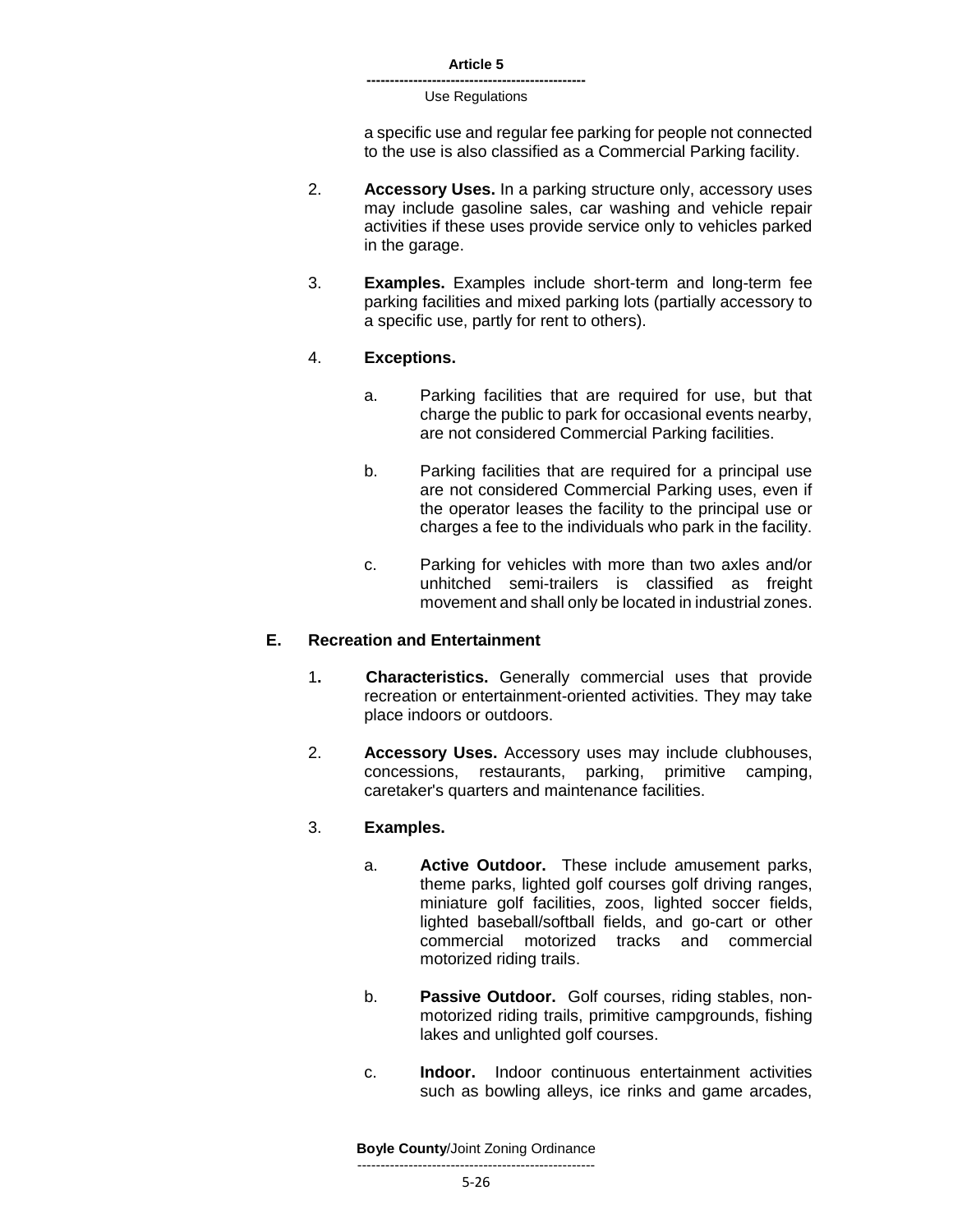#### **-----------------------------------------------** Use Regulations

a specific use and regular fee parking for people not connected to the use is also classified as a Commercial Parking facility.

- 2. **Accessory Uses.** In a parking structure only, accessory uses may include gasoline sales, car washing and vehicle repair activities if these uses provide service only to vehicles parked in the garage.
- 3. **Examples.** Examples include short-term and long-term fee parking facilities and mixed parking lots (partially accessory to a specific use, partly for rent to others).

### 4. **Exceptions.**

- a. Parking facilities that are required for use, but that charge the public to park for occasional events nearby, are not considered Commercial Parking facilities.
- b. Parking facilities that are required for a principal use are not considered Commercial Parking uses, even if the operator leases the facility to the principal use or charges a fee to the individuals who park in the facility.
- c. Parking for vehicles with more than two axles and/or unhitched semi-trailers is classified as freight movement and shall only be located in industrial zones.

### **E. Recreation and Entertainment**

- 1**. Characteristics.** Generally commercial uses that provide recreation or entertainment-oriented activities. They may take place indoors or outdoors.
- 2. **Accessory Uses.** Accessory uses may include clubhouses, concessions, restaurants, parking, primitive camping, caretaker's quarters and maintenance facilities.

### 3. **Examples.**

- a. **Active Outdoor.** These include amusement parks, theme parks, lighted golf courses golf driving ranges, miniature golf facilities, zoos, lighted soccer fields, lighted baseball/softball fields, and go-cart or other commercial motorized tracks and commercial motorized riding trails.
- b. **Passive Outdoor.** Golf courses, riding stables, nonmotorized riding trails, primitive campgrounds, fishing lakes and unlighted golf courses.
- c. **Indoor.** Indoor continuous entertainment activities such as bowling alleys, ice rinks and game arcades,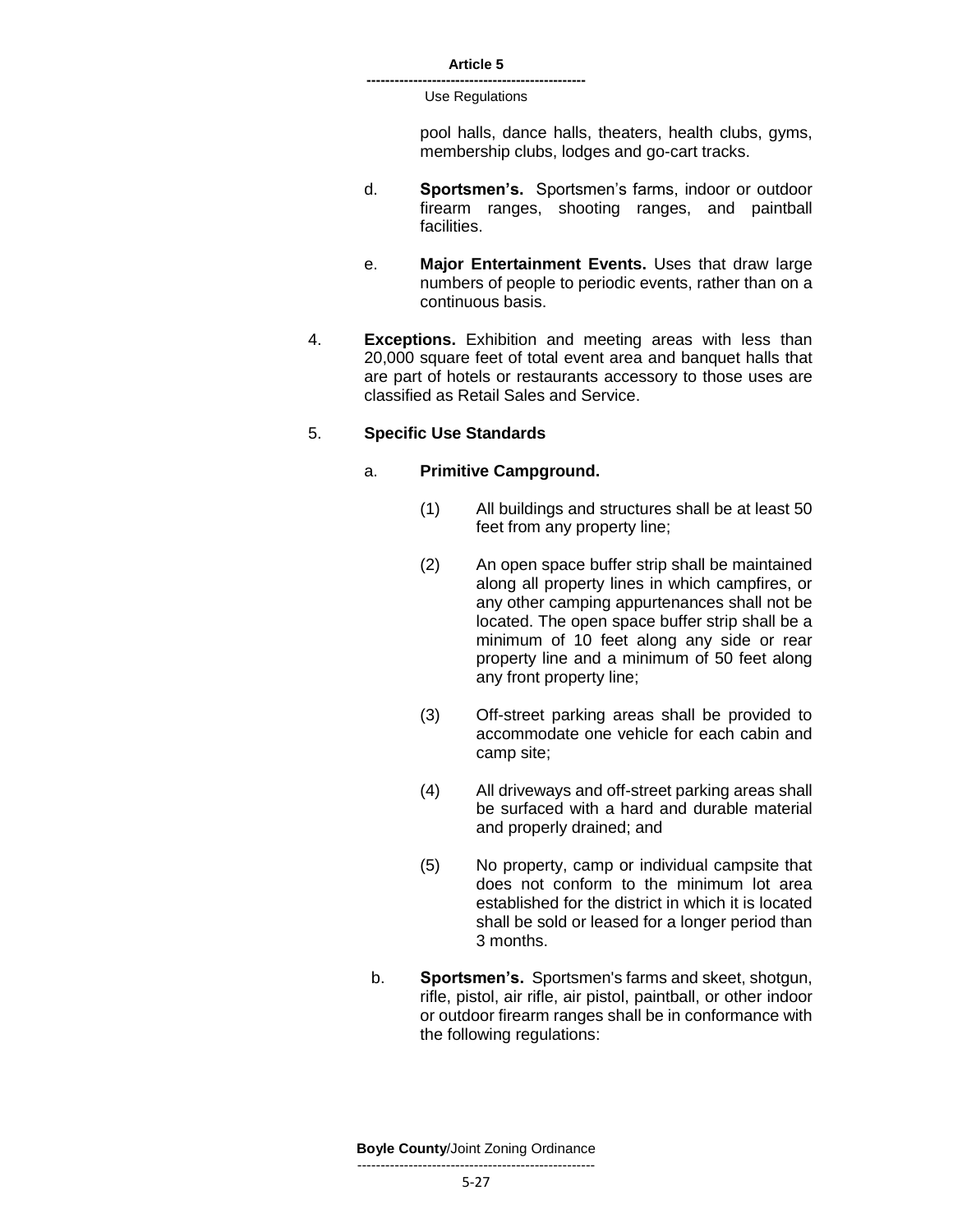> pool halls, dance halls, theaters, health clubs, gyms, membership clubs, lodges and go-cart tracks.

- d. **Sportsmen's.** Sportsmen's farms, indoor or outdoor firearm ranges, shooting ranges, and paintball facilities.
- e. **Major Entertainment Events.** Uses that draw large numbers of people to periodic events, rather than on a continuous basis.
- 4. **Exceptions.** Exhibition and meeting areas with less than 20,000 square feet of total event area and banquet halls that are part of hotels or restaurants accessory to those uses are classified as Retail Sales and Service.

### 5. **Specific Use Standards**

### a. **Primitive Campground.**

- (1) All buildings and structures shall be at least 50 feet from any property line;
- (2) An open space buffer strip shall be maintained along all property lines in which campfires, or any other camping appurtenances shall not be located. The open space buffer strip shall be a minimum of 10 feet along any side or rear property line and a minimum of 50 feet along any front property line;
- (3) Off-street parking areas shall be provided to accommodate one vehicle for each cabin and camp site;
- (4) All driveways and off-street parking areas shall be surfaced with a hard and durable material and properly drained; and
- (5) No property, camp or individual campsite that does not conform to the minimum lot area established for the district in which it is located shall be sold or leased for a longer period than 3 months.
- b. **Sportsmen's.** Sportsmen's farms and skeet, shotgun, rifle, pistol, air rifle, air pistol, paintball, or other indoor or outdoor firearm ranges shall be in conformance with the following regulations: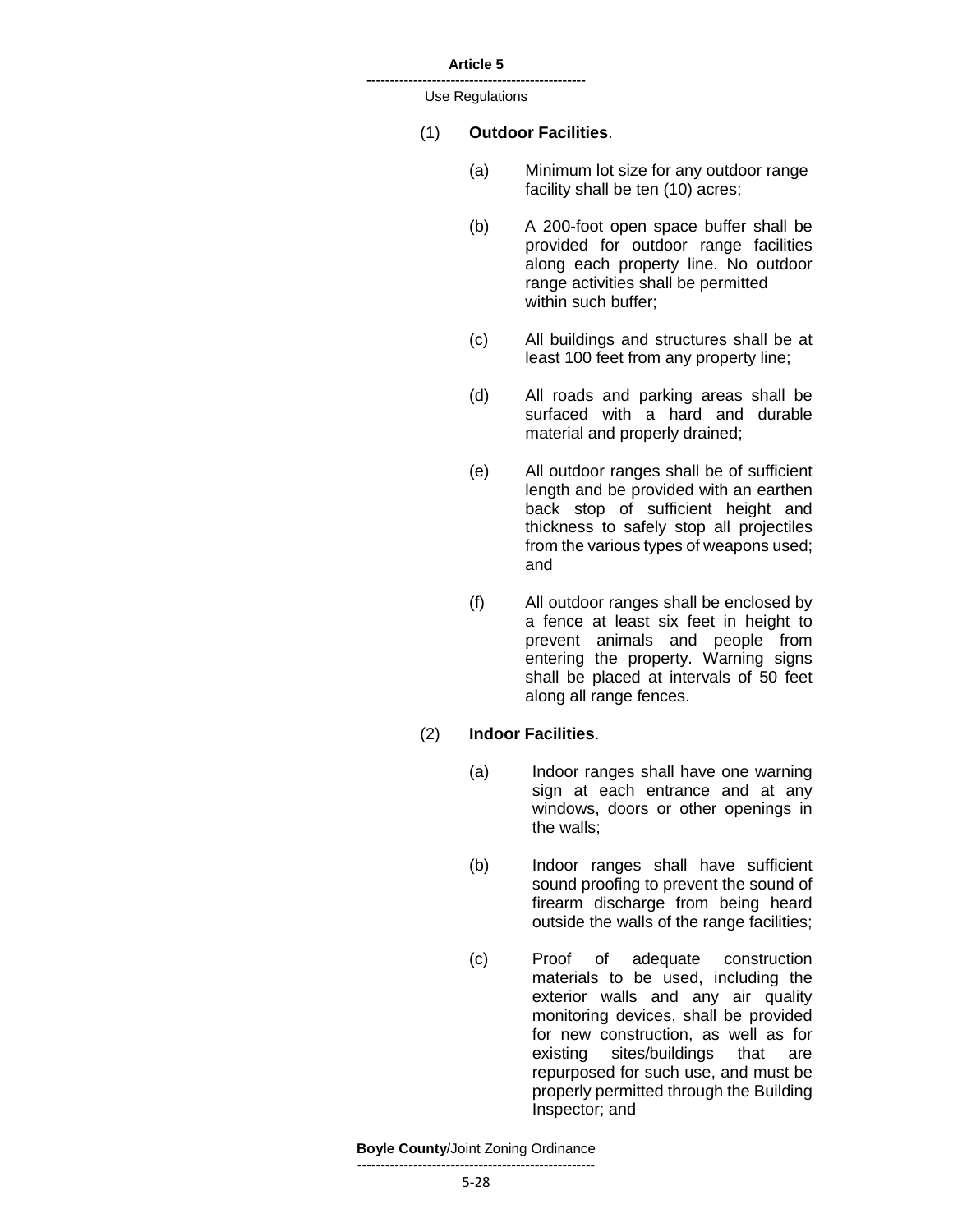**-----------------------------------------------** Use Regulations

#### (1) **Outdoor Facilities**.

- (a) Minimum lot size for any outdoor range facility shall be ten (10) acres;
- (b) A 200-foot open space buffer shall be provided for outdoor range facilities along each property line. No outdoor range activities shall be permitted within such buffer;
- (c) All buildings and structures shall be at least 100 feet from any property line;
- (d) All roads and parking areas shall be surfaced with a hard and durable material and properly drained;
- (e) All outdoor ranges shall be of sufficient length and be provided with an earthen back stop of sufficient height and thickness to safely stop all projectiles from the various types of weapons used; and
- (f) All outdoor ranges shall be enclosed by a fence at least six feet in height to prevent animals and people from entering the property. Warning signs shall be placed at intervals of 50 feet along all range fences.

#### (2) **Indoor Facilities**.

- (a) Indoor ranges shall have one warning sign at each entrance and at any windows, doors or other openings in the walls;
- (b) Indoor ranges shall have sufficient sound proofing to prevent the sound of firearm discharge from being heard outside the walls of the range facilities;
- (c) Proof of adequate construction materials to be used, including the exterior walls and any air quality monitoring devices, shall be provided for new construction, as well as for existing sites/buildings that are repurposed for such use, and must be properly permitted through the Building Inspector; and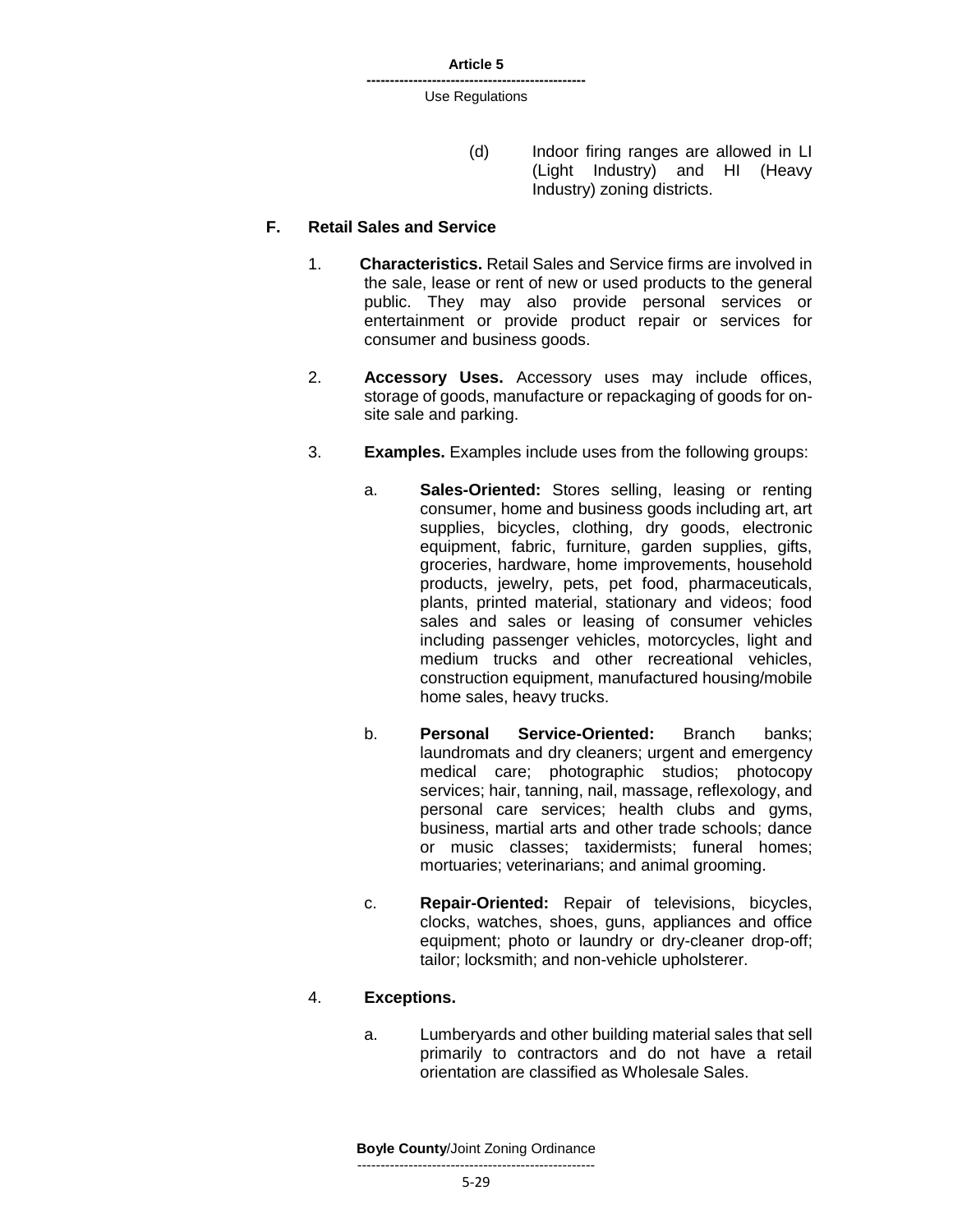(d) Indoor firing ranges are allowed in LI (Light Industry) and HI (Heavy Industry) zoning districts.

#### **F. Retail Sales and Service**

- 1. **Characteristics.** Retail Sales and Service firms are involved in the sale, lease or rent of new or used products to the general public. They may also provide personal services or entertainment or provide product repair or services for consumer and business goods.
- 2. **Accessory Uses.** Accessory uses may include offices, storage of goods, manufacture or repackaging of goods for onsite sale and parking.
- 3. **Examples.** Examples include uses from the following groups:
	- a. **Sales-Oriented:** Stores selling, leasing or renting consumer, home and business goods including art, art supplies, bicycles, clothing, dry goods, electronic equipment, fabric, furniture, garden supplies, gifts, groceries, hardware, home improvements, household products, jewelry, pets, pet food, pharmaceuticals, plants, printed material, stationary and videos; food sales and sales or leasing of consumer vehicles including passenger vehicles, motorcycles, light and medium trucks and other recreational vehicles, construction equipment, manufactured housing/mobile home sales, heavy trucks.
	- b. **Personal Service-Oriented:** Branch banks; laundromats and dry cleaners; urgent and emergency medical care; photographic studios; photocopy services; hair, tanning, nail, massage, reflexology, and personal care services; health clubs and gyms, business, martial arts and other trade schools; dance or music classes; taxidermists; funeral homes; mortuaries; veterinarians; and animal grooming.
	- c. **Repair-Oriented:** Repair of televisions, bicycles, clocks, watches, shoes, guns, appliances and office equipment; photo or laundry or dry-cleaner drop-off; tailor; locksmith; and non-vehicle upholsterer.

### 4. **Exceptions.**

a. Lumberyards and other building material sales that sell primarily to contractors and do not have a retail orientation are classified as Wholesale Sales.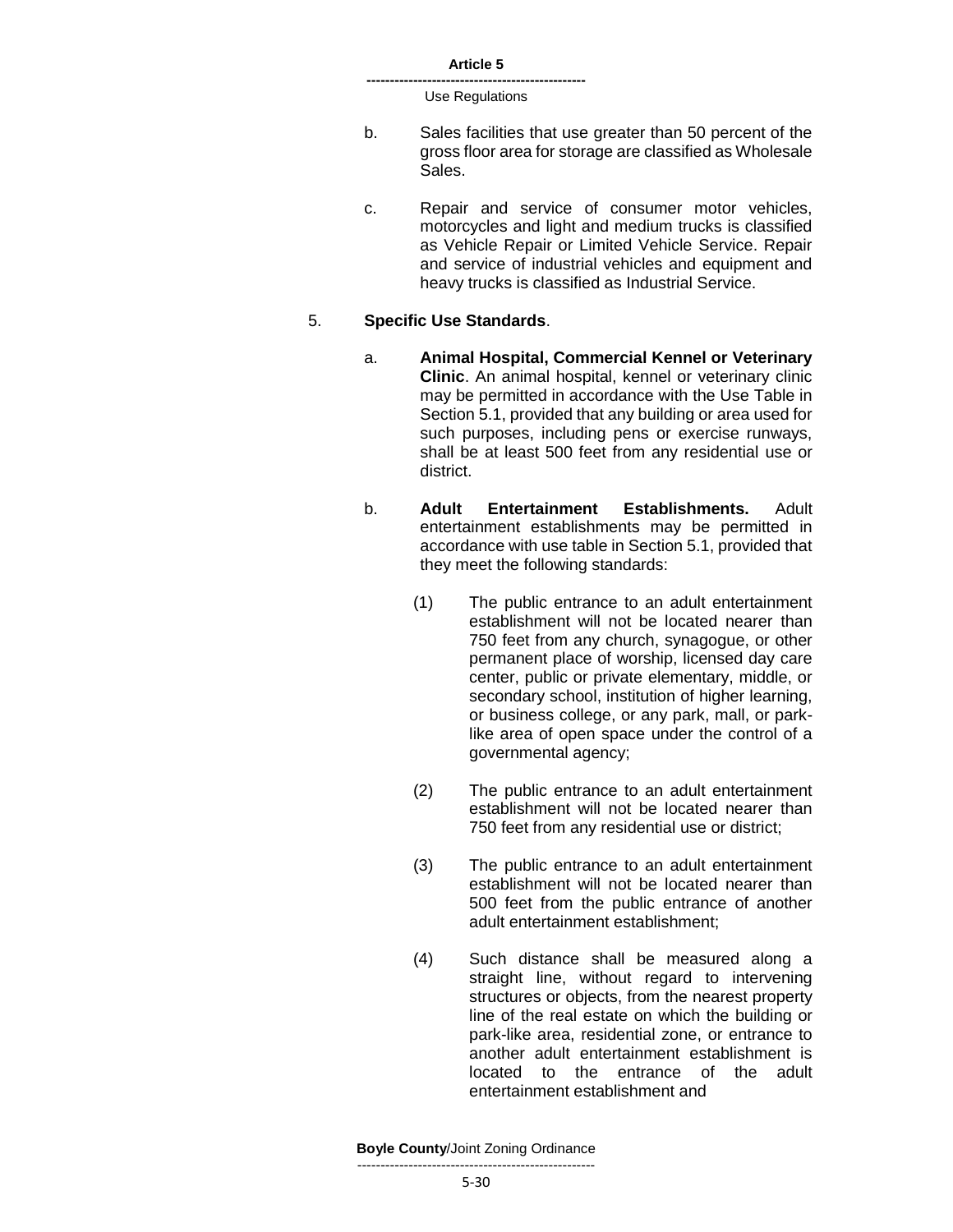- b. Sales facilities that use greater than 50 percent of the gross floor area for storage are classified as Wholesale Sales.
- c. Repair and service of consumer motor vehicles, motorcycles and light and medium trucks is classified as Vehicle Repair or Limited Vehicle Service. Repair and service of industrial vehicles and equipment and heavy trucks is classified as Industrial Service.

### 5. **Specific Use Standards**.

- a. **Animal Hospital, Commercial Kennel or Veterinary Clinic**. An animal hospital, kennel or veterinary clinic may be permitted in accordance with the Use Table in Section 5.1, provided that any building or area used for such purposes, including pens or exercise runways, shall be at least 500 feet from any residential use or district.
- b. **Adult Entertainment Establishments.** Adult entertainment establishments may be permitted in accordance with use table in Section 5.1, provided that they meet the following standards:
	- (1) The public entrance to an adult entertainment establishment will not be located nearer than 750 feet from any church, synagogue, or other permanent place of worship, licensed day care center, public or private elementary, middle, or secondary school, institution of higher learning, or business college, or any park, mall, or parklike area of open space under the control of a governmental agency;
	- (2) The public entrance to an adult entertainment establishment will not be located nearer than 750 feet from any residential use or district;
	- (3) The public entrance to an adult entertainment establishment will not be located nearer than 500 feet from the public entrance of another adult entertainment establishment;
	- (4) Such distance shall be measured along a straight line, without regard to intervening structures or objects, from the nearest property line of the real estate on which the building or park-like area, residential zone, or entrance to another adult entertainment establishment is located to the entrance of the adult entertainment establishment and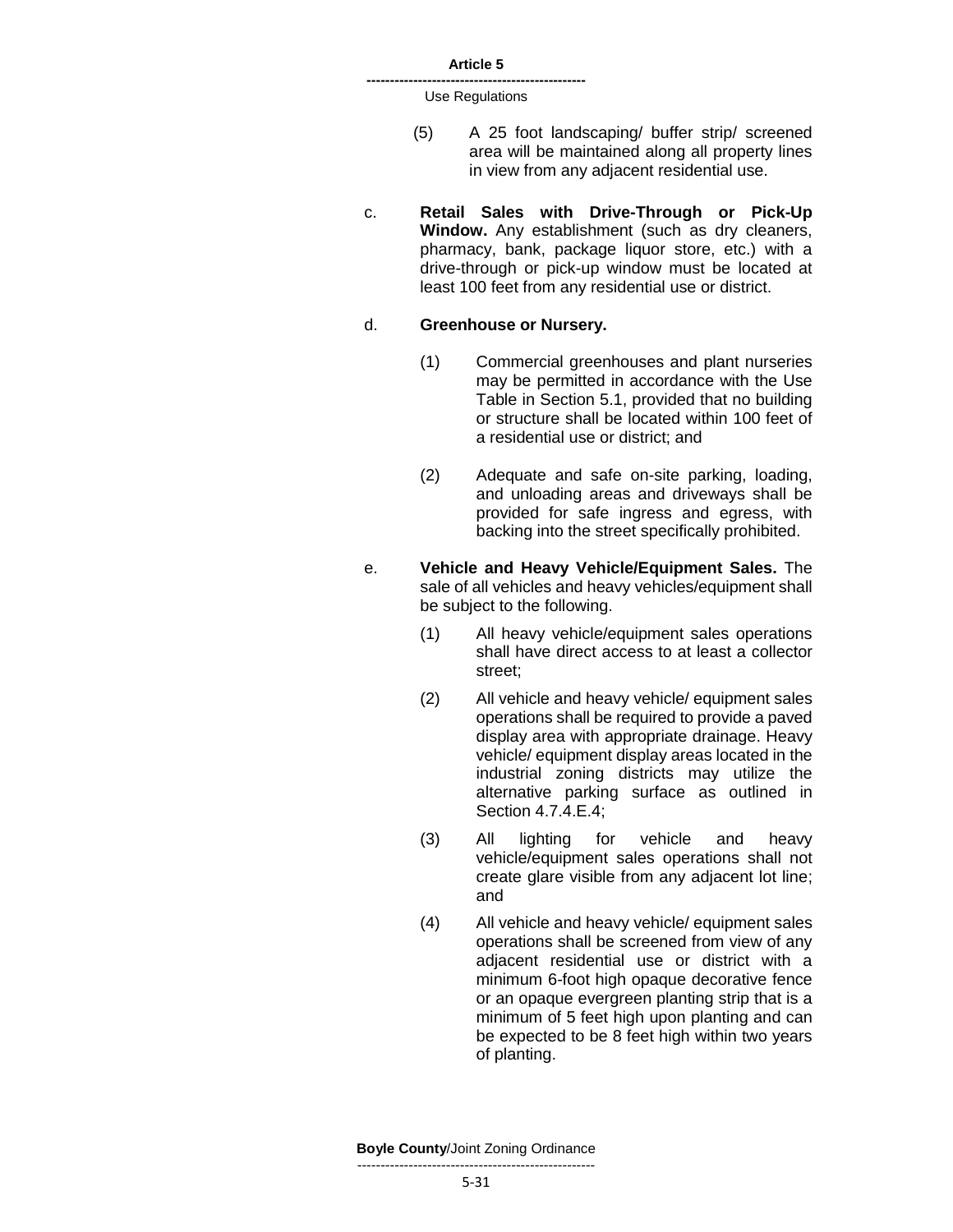- (5) A 25 foot landscaping/ buffer strip/ screened area will be maintained along all property lines in view from any adjacent residential use.
- c. **Retail Sales with Drive-Through or Pick-Up Window.** Any establishment (such as dry cleaners, pharmacy, bank, package liquor store, etc.) with a drive-through or pick-up window must be located at least 100 feet from any residential use or district.

#### d. **Greenhouse or Nursery.**

- (1) Commercial greenhouses and plant nurseries may be permitted in accordance with the Use Table in Section 5.1, provided that no building or structure shall be located within 100 feet of a residential use or district; and
- (2) Adequate and safe on-site parking, loading, and unloading areas and driveways shall be provided for safe ingress and egress, with backing into the street specifically prohibited.
- e. **Vehicle and Heavy Vehicle/Equipment Sales.** The sale of all vehicles and heavy vehicles/equipment shall be subject to the following.
	- (1) All heavy vehicle/equipment sales operations shall have direct access to at least a collector street;
	- (2) All vehicle and heavy vehicle/ equipment sales operations shall be required to provide a paved display area with appropriate drainage. Heavy vehicle/ equipment display areas located in the industrial zoning districts may utilize the alternative parking surface as outlined in Section 4.7.4.E.4;
	- (3) All lighting for vehicle and heavy vehicle/equipment sales operations shall not create glare visible from any adjacent lot line; and
	- (4) All vehicle and heavy vehicle/ equipment sales operations shall be screened from view of any adjacent residential use or district with a minimum 6-foot high opaque decorative fence or an opaque evergreen planting strip that is a minimum of 5 feet high upon planting and can be expected to be 8 feet high within two years of planting.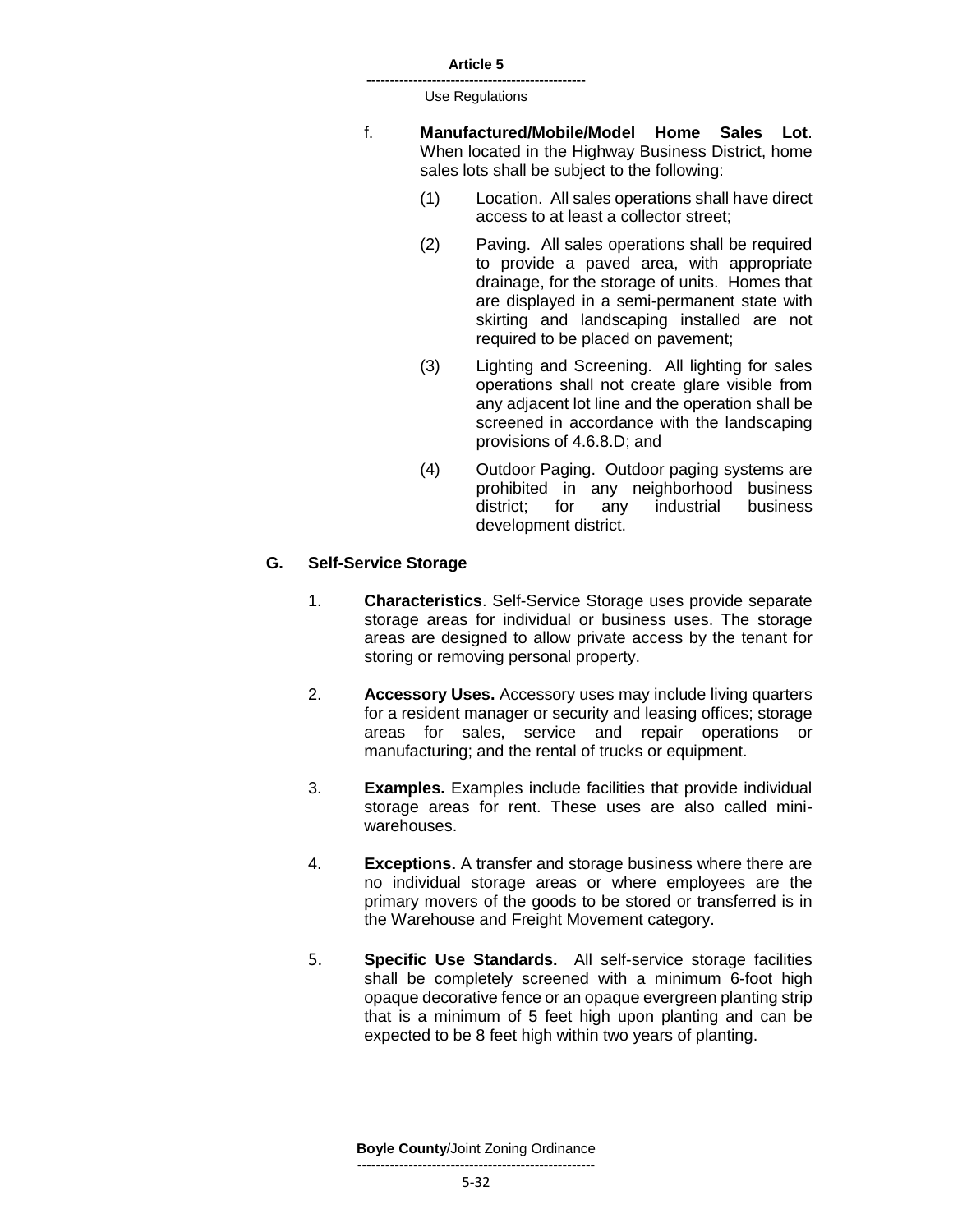**-----------------------------------------------** Use Regulations

- f. **Manufactured/Mobile/Model Home Sales Lot**. When located in the Highway Business District, home sales lots shall be subject to the following:
	- (1) Location. All sales operations shall have direct access to at least a collector street;
	- (2) Paving. All sales operations shall be required to provide a paved area, with appropriate drainage, for the storage of units. Homes that are displayed in a semi-permanent state with skirting and landscaping installed are not required to be placed on pavement;
	- (3) Lighting and Screening. All lighting for sales operations shall not create glare visible from any adjacent lot line and the operation shall be screened in accordance with the landscaping provisions of 4.6.8.D; and
	- (4) Outdoor Paging. Outdoor paging systems are prohibited in any neighborhood business district; for any industrial business development district.

# **G. Self-Service Storage**

- 1. **Characteristics**. Self-Service Storage uses provide separate storage areas for individual or business uses. The storage areas are designed to allow private access by the tenant for storing or removing personal property.
- 2. **Accessory Uses.** Accessory uses may include living quarters for a resident manager or security and leasing offices; storage areas for sales, service and repair operations or manufacturing; and the rental of trucks or equipment.
- 3. **Examples.** Examples include facilities that provide individual storage areas for rent. These uses are also called miniwarehouses.
- 4. **Exceptions.** A transfer and storage business where there are no individual storage areas or where employees are the primary movers of the goods to be stored or transferred is in the Warehouse and Freight Movement category.
- 5. **Specific Use Standards.** All self-service storage facilities shall be completely screened with a minimum 6-foot high opaque decorative fence or an opaque evergreen planting strip that is a minimum of 5 feet high upon planting and can be expected to be 8 feet high within two years of planting.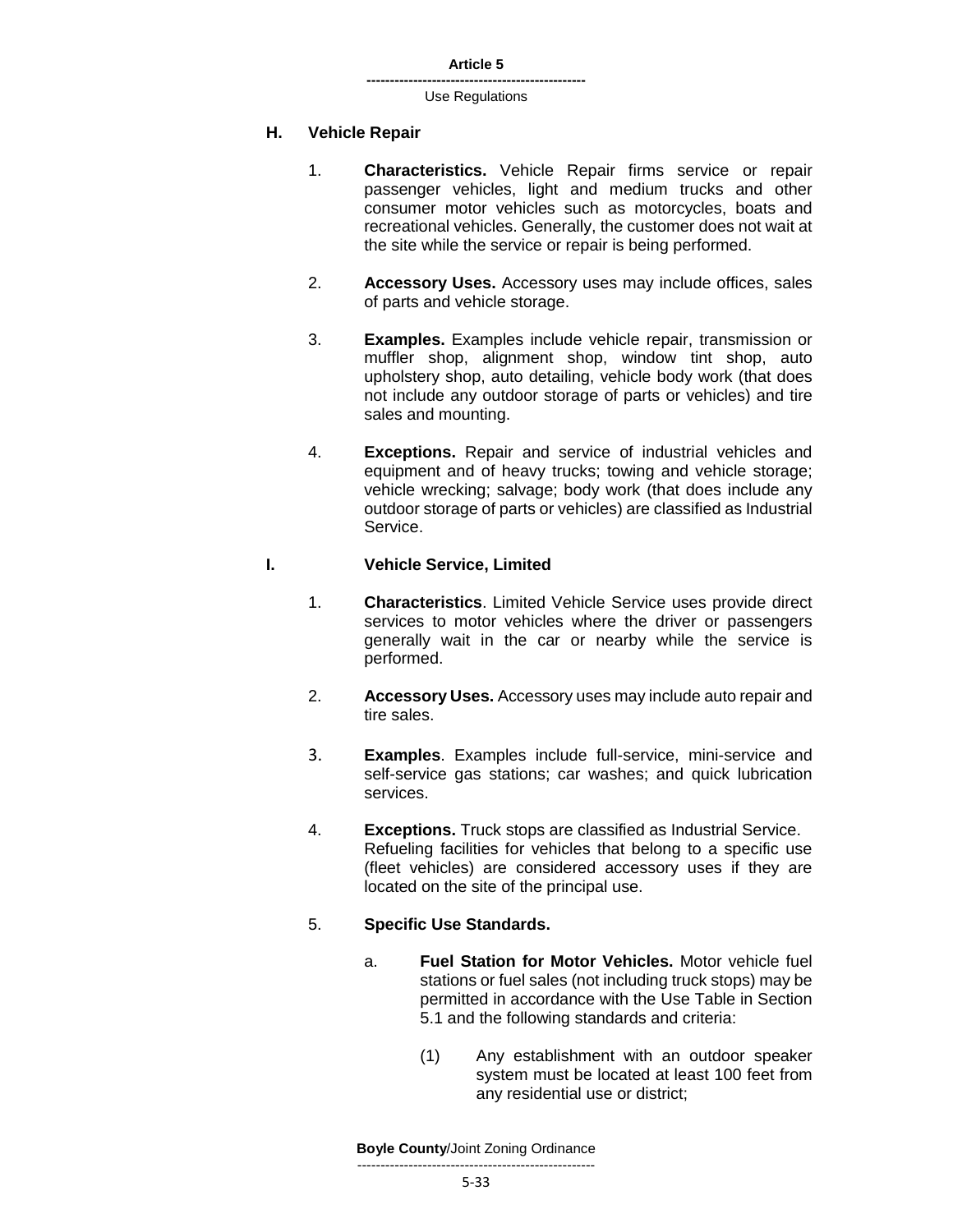#### **H. Vehicle Repair**

- 1. **Characteristics.** Vehicle Repair firms service or repair passenger vehicles, light and medium trucks and other consumer motor vehicles such as motorcycles, boats and recreational vehicles. Generally, the customer does not wait at the site while the service or repair is being performed.
- 2. **Accessory Uses.** Accessory uses may include offices, sales of parts and vehicle storage.
- 3. **Examples.** Examples include vehicle repair, transmission or muffler shop, alignment shop, window tint shop, auto upholstery shop, auto detailing, vehicle body work (that does not include any outdoor storage of parts or vehicles) and tire sales and mounting.
- 4. **Exceptions.** Repair and service of industrial vehicles and equipment and of heavy trucks; towing and vehicle storage; vehicle wrecking; salvage; body work (that does include any outdoor storage of parts or vehicles) are classified as Industrial Service.

### **I. Vehicle Service, Limited**

- 1. **Characteristics**. Limited Vehicle Service uses provide direct services to motor vehicles where the driver or passengers generally wait in the car or nearby while the service is performed.
- 2. **Accessory Uses.** Accessory uses may include auto repair and tire sales.
- 3. **Examples**. Examples include full-service, mini-service and self-service gas stations; car washes; and quick lubrication services.
- 4. **Exceptions.** Truck stops are classified as Industrial Service. Refueling facilities for vehicles that belong to a specific use (fleet vehicles) are considered accessory uses if they are located on the site of the principal use.

### 5. **Specific Use Standards.**

- a. **Fuel Station for Motor Vehicles.** Motor vehicle fuel stations or fuel sales (not including truck stops) may be permitted in accordance with the Use Table in Section 5.1 and the following standards and criteria:
	- (1) Any establishment with an outdoor speaker system must be located at least 100 feet from any residential use or district;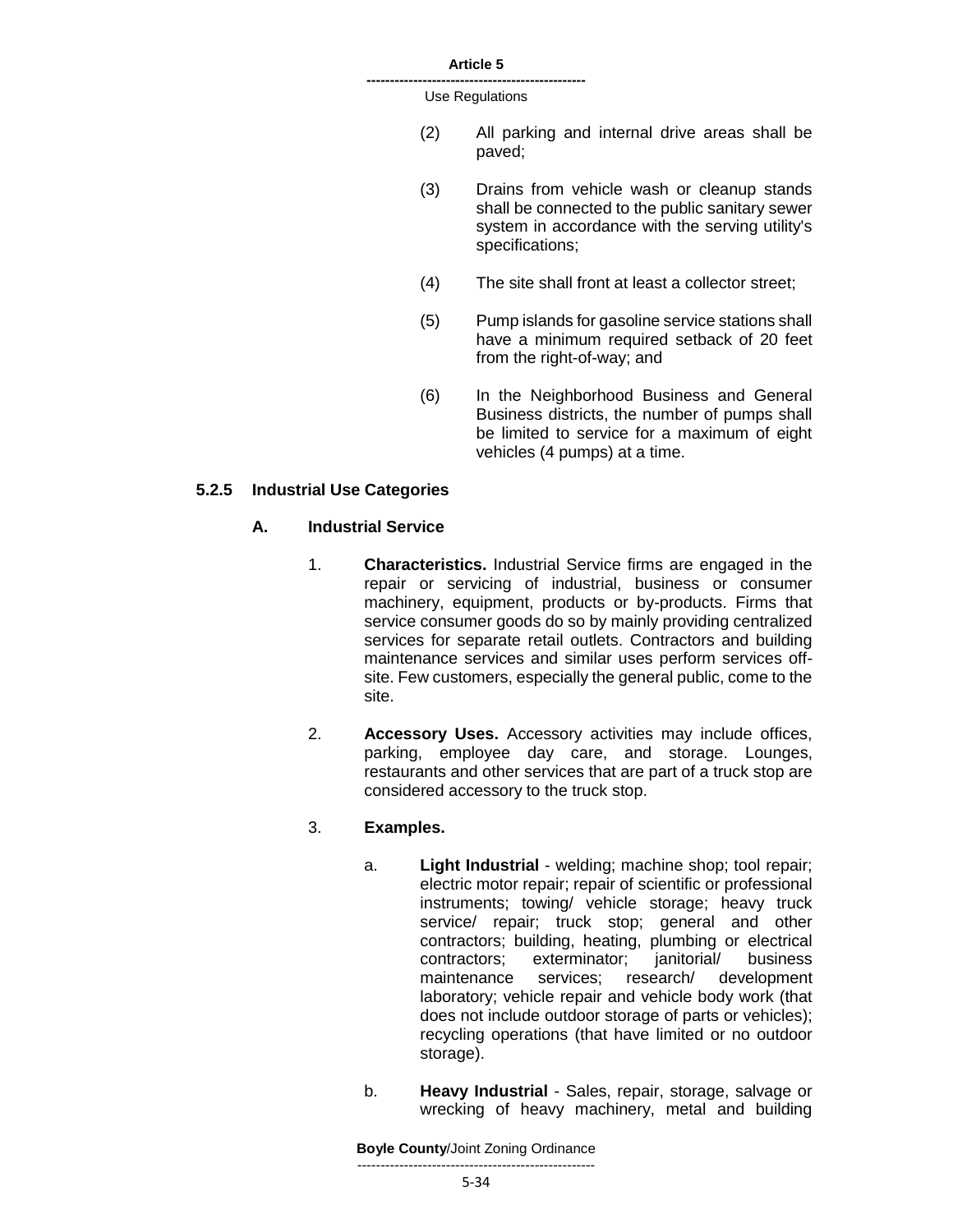**-----------------------------------------------** Use Regulations

- (2) All parking and internal drive areas shall be paved;
- (3) Drains from vehicle wash or cleanup stands shall be connected to the public sanitary sewer system in accordance with the serving utility's specifications;
- (4) The site shall front at least a collector street;
- (5) Pump islands for gasoline service stations shall have a minimum required setback of 20 feet from the right-of-way; and
- (6) In the Neighborhood Business and General Business districts, the number of pumps shall be limited to service for a maximum of eight vehicles (4 pumps) at a time.

### **5.2.5 Industrial Use Categories**

### **A. Industrial Service**

- 1. **Characteristics.** Industrial Service firms are engaged in the repair or servicing of industrial, business or consumer machinery, equipment, products or by-products. Firms that service consumer goods do so by mainly providing centralized services for separate retail outlets. Contractors and building maintenance services and similar uses perform services offsite. Few customers, especially the general public, come to the site.
- 2. **Accessory Uses.** Accessory activities may include offices, parking, employee day care, and storage. Lounges, restaurants and other services that are part of a truck stop are considered accessory to the truck stop.

### 3. **Examples.**

- a. **Light Industrial** welding; machine shop; tool repair; electric motor repair; repair of scientific or professional instruments; towing/ vehicle storage; heavy truck service/ repair; truck stop; general and other contractors; building, heating, plumbing or electrical contractors; exterminator; janitorial/ business maintenance services; research/ development laboratory; vehicle repair and vehicle body work (that does not include outdoor storage of parts or vehicles); recycling operations (that have limited or no outdoor storage).
- b. **Heavy Industrial** Sales, repair, storage, salvage or wrecking of heavy machinery, metal and building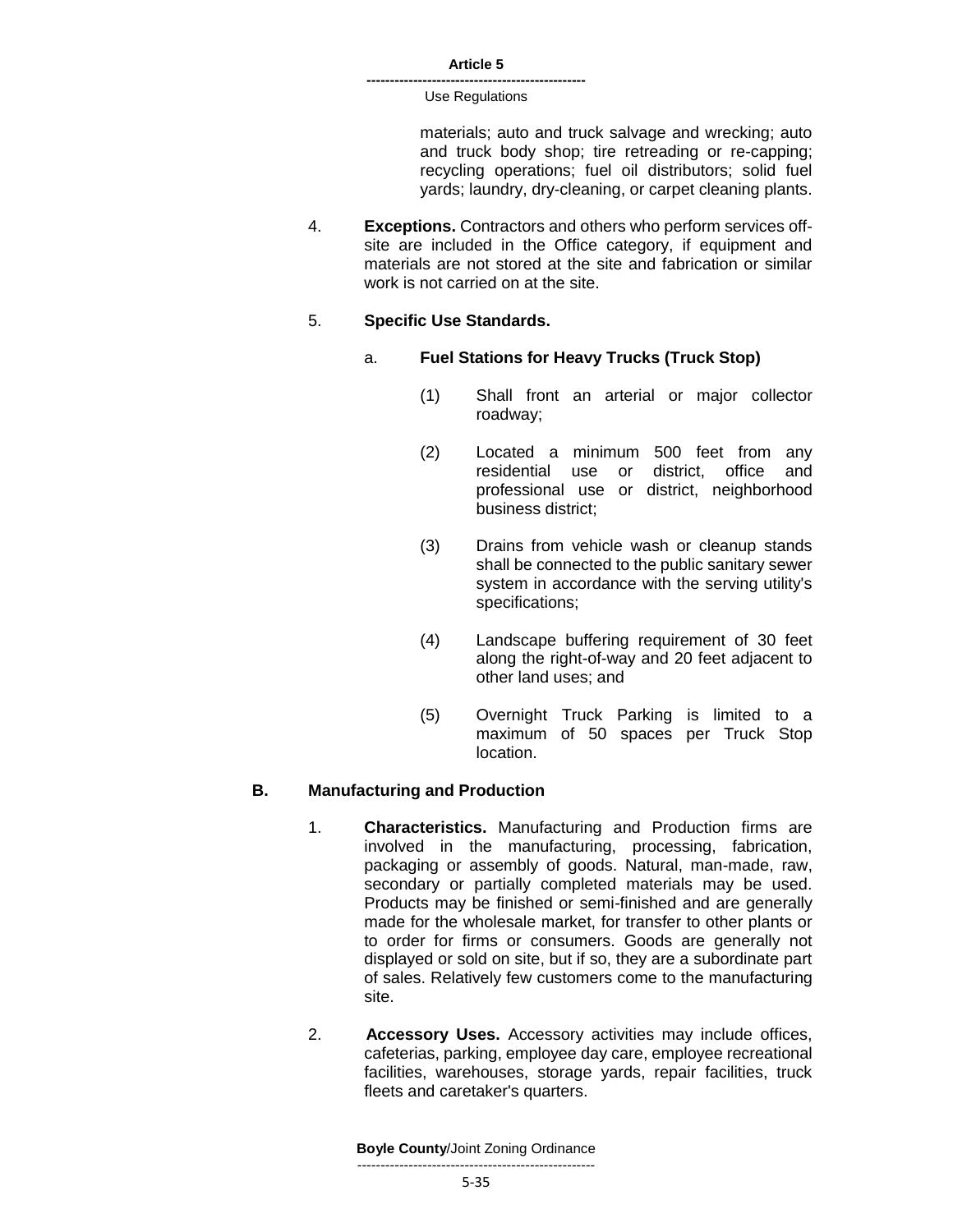> materials; auto and truck salvage and wrecking; auto and truck body shop; tire retreading or re-capping; recycling operations; fuel oil distributors; solid fuel yards; laundry, dry-cleaning, or carpet cleaning plants.

4. **Exceptions.** Contractors and others who perform services offsite are included in the Office category, if equipment and materials are not stored at the site and fabrication or similar work is not carried on at the site.

### 5. **Specific Use Standards.**

- a. **Fuel Stations for Heavy Trucks (Truck Stop)**
	- (1) Shall front an arterial or major collector roadway;
	- (2) Located a minimum 500 feet from any residential use or district, office and professional use or district, neighborhood business district;
	- (3) Drains from vehicle wash or cleanup stands shall be connected to the public sanitary sewer system in accordance with the serving utility's specifications;
	- (4) Landscape buffering requirement of 30 feet along the right-of-way and 20 feet adjacent to other land uses; and
	- (5) Overnight Truck Parking is limited to a maximum of 50 spaces per Truck Stop location.

### **B. Manufacturing and Production**

- 1. **Characteristics.** Manufacturing and Production firms are involved in the manufacturing, processing, fabrication, packaging or assembly of goods. Natural, man-made, raw, secondary or partially completed materials may be used. Products may be finished or semi-finished and are generally made for the wholesale market, for transfer to other plants or to order for firms or consumers. Goods are generally not displayed or sold on site, but if so, they are a subordinate part of sales. Relatively few customers come to the manufacturing site.
- 2. **Accessory Uses.** Accessory activities may include offices, cafeterias, parking, employee day care, employee recreational facilities, warehouses, storage yards, repair facilities, truck fleets and caretaker's quarters.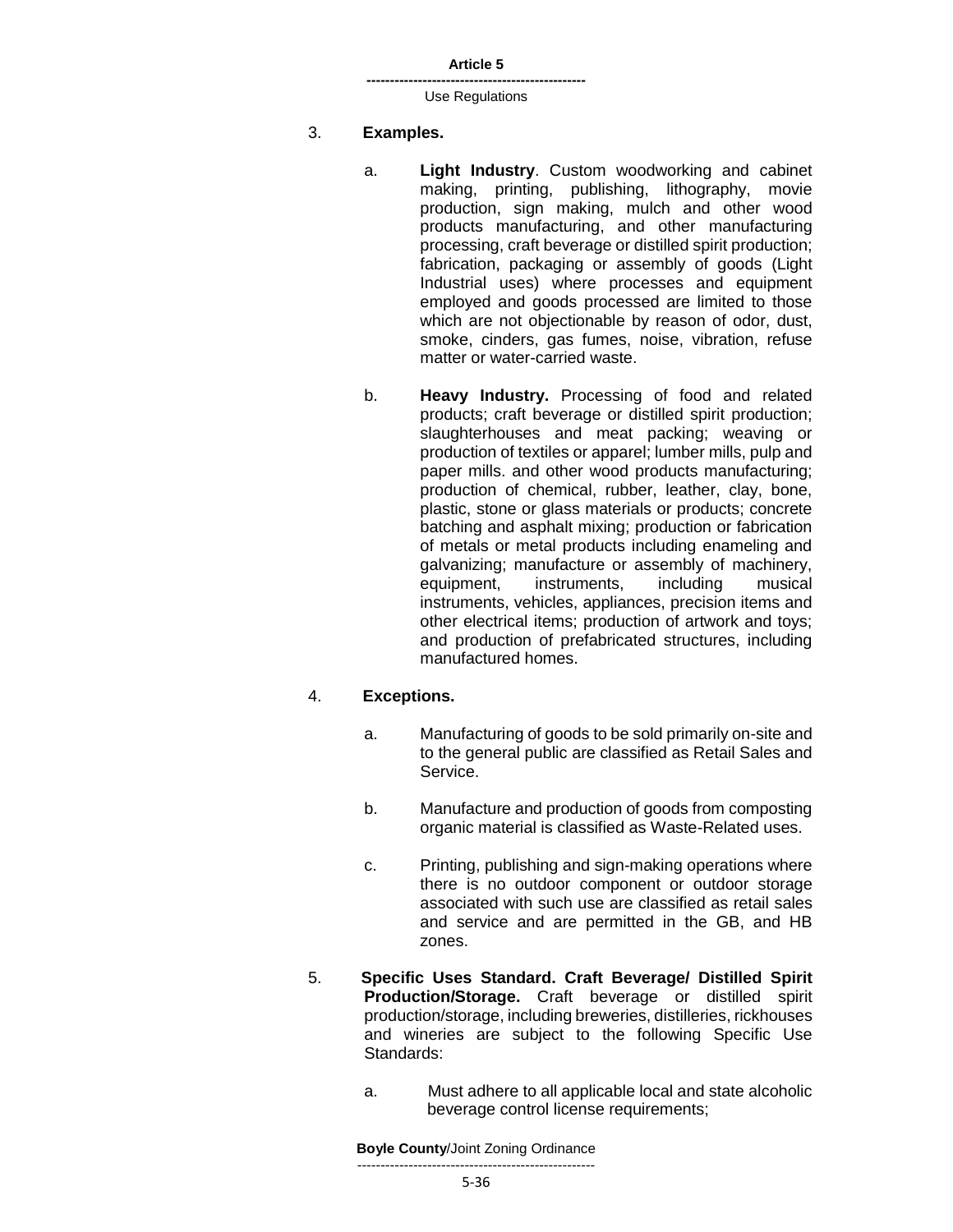**-----------------------------------------------** Use Regulations

### 3. **Examples.**

- a. **Light Industry**. Custom woodworking and cabinet making, printing, publishing, lithography, movie production, sign making, mulch and other wood products manufacturing, and other manufacturing processing, craft beverage or distilled spirit production; fabrication, packaging or assembly of goods (Light Industrial uses) where processes and equipment employed and goods processed are limited to those which are not objectionable by reason of odor, dust, smoke, cinders, gas fumes, noise, vibration, refuse matter or water-carried waste.
- b. **Heavy Industry.** Processing of food and related products; craft beverage or distilled spirit production; slaughterhouses and meat packing; weaving or production of textiles or apparel; lumber mills, pulp and paper mills. and other wood products manufacturing; production of chemical, rubber, leather, clay, bone, plastic, stone or glass materials or products; concrete batching and asphalt mixing; production or fabrication of metals or metal products including enameling and galvanizing; manufacture or assembly of machinery, equipment, instruments, including musical instruments, vehicles, appliances, precision items and other electrical items; production of artwork and toys; and production of prefabricated structures, including manufactured homes.

# 4. **Exceptions.**

- a. Manufacturing of goods to be sold primarily on-site and to the general public are classified as Retail Sales and Service.
- b. Manufacture and production of goods from composting organic material is classified as Waste-Related uses.
- c. Printing, publishing and sign-making operations where there is no outdoor component or outdoor storage associated with such use are classified as retail sales and service and are permitted in the GB, and HB zones.
- 5. **Specific Uses Standard. Craft Beverage/ Distilled Spirit Production/Storage.** Craft beverage or distilled spirit production/storage, including breweries, distilleries, rickhouses and wineries are subject to the following Specific Use Standards:
	- a. Must adhere to all applicable local and state alcoholic beverage control license requirements;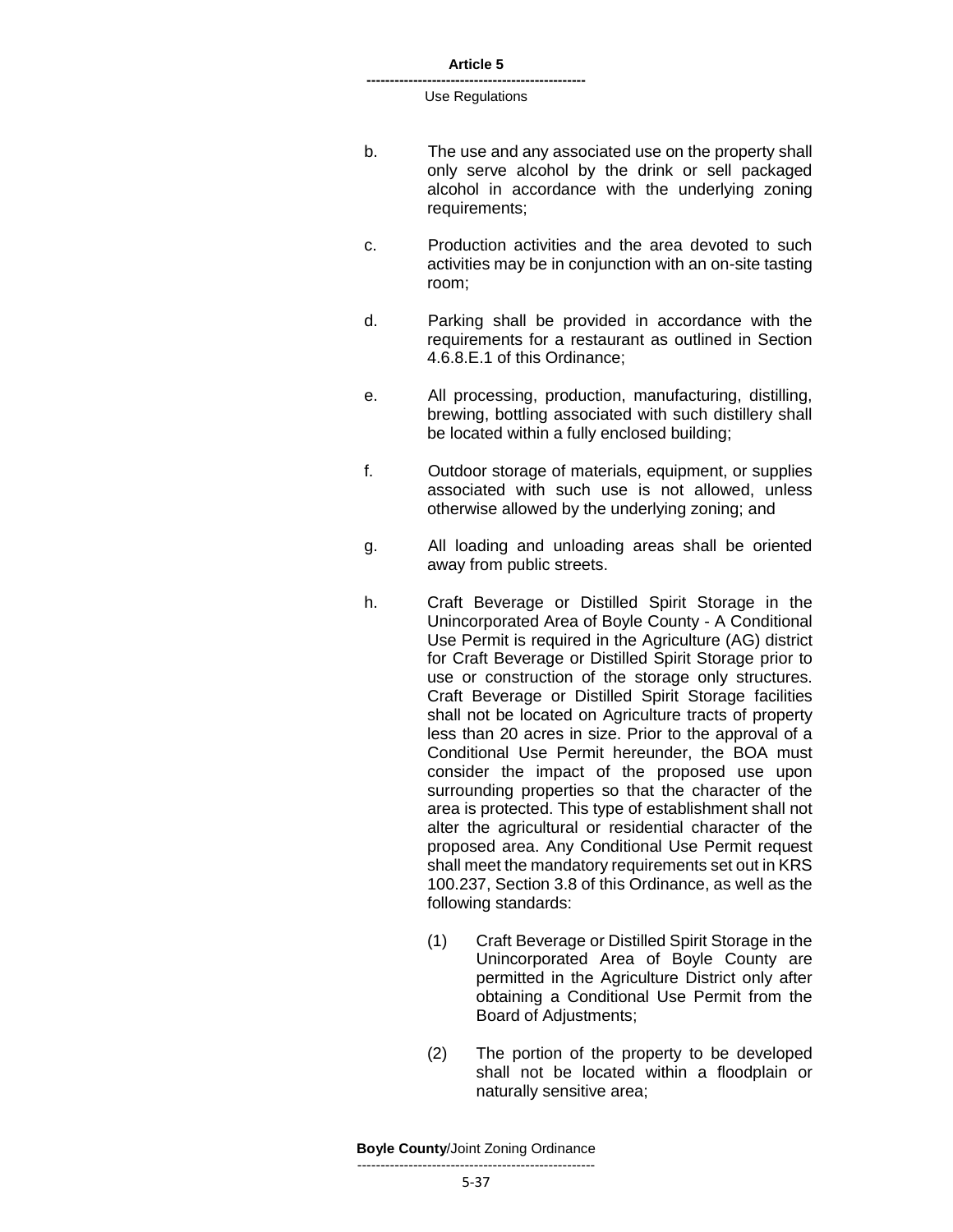- b. The use and any associated use on the property shall only serve alcohol by the drink or sell packaged alcohol in accordance with the underlying zoning requirements;
- c. Production activities and the area devoted to such activities may be in conjunction with an on-site tasting room;
- d. Parking shall be provided in accordance with the requirements for a restaurant as outlined in Section 4.6.8.E.1 of this Ordinance;
- e. All processing, production, manufacturing, distilling, brewing, bottling associated with such distillery shall be located within a fully enclosed building;
- f. Outdoor storage of materials, equipment, or supplies associated with such use is not allowed, unless otherwise allowed by the underlying zoning; and
- g. All loading and unloading areas shall be oriented away from public streets.
- h. Craft Beverage or Distilled Spirit Storage in the Unincorporated Area of Boyle County - A Conditional Use Permit is required in the Agriculture (AG) district for Craft Beverage or Distilled Spirit Storage prior to use or construction of the storage only structures. Craft Beverage or Distilled Spirit Storage facilities shall not be located on Agriculture tracts of property less than 20 acres in size. Prior to the approval of a Conditional Use Permit hereunder, the BOA must consider the impact of the proposed use upon surrounding properties so that the character of the area is protected. This type of establishment shall not alter the agricultural or residential character of the proposed area. Any Conditional Use Permit request shall meet the mandatory requirements set out in KRS 100.237, Section 3.8 of this Ordinance, as well as the following standards:
	- (1) Craft Beverage or Distilled Spirit Storage in the Unincorporated Area of Boyle County are permitted in the Agriculture District only after obtaining a Conditional Use Permit from the Board of Adjustments;
	- (2) The portion of the property to be developed shall not be located within a floodplain or naturally sensitive area;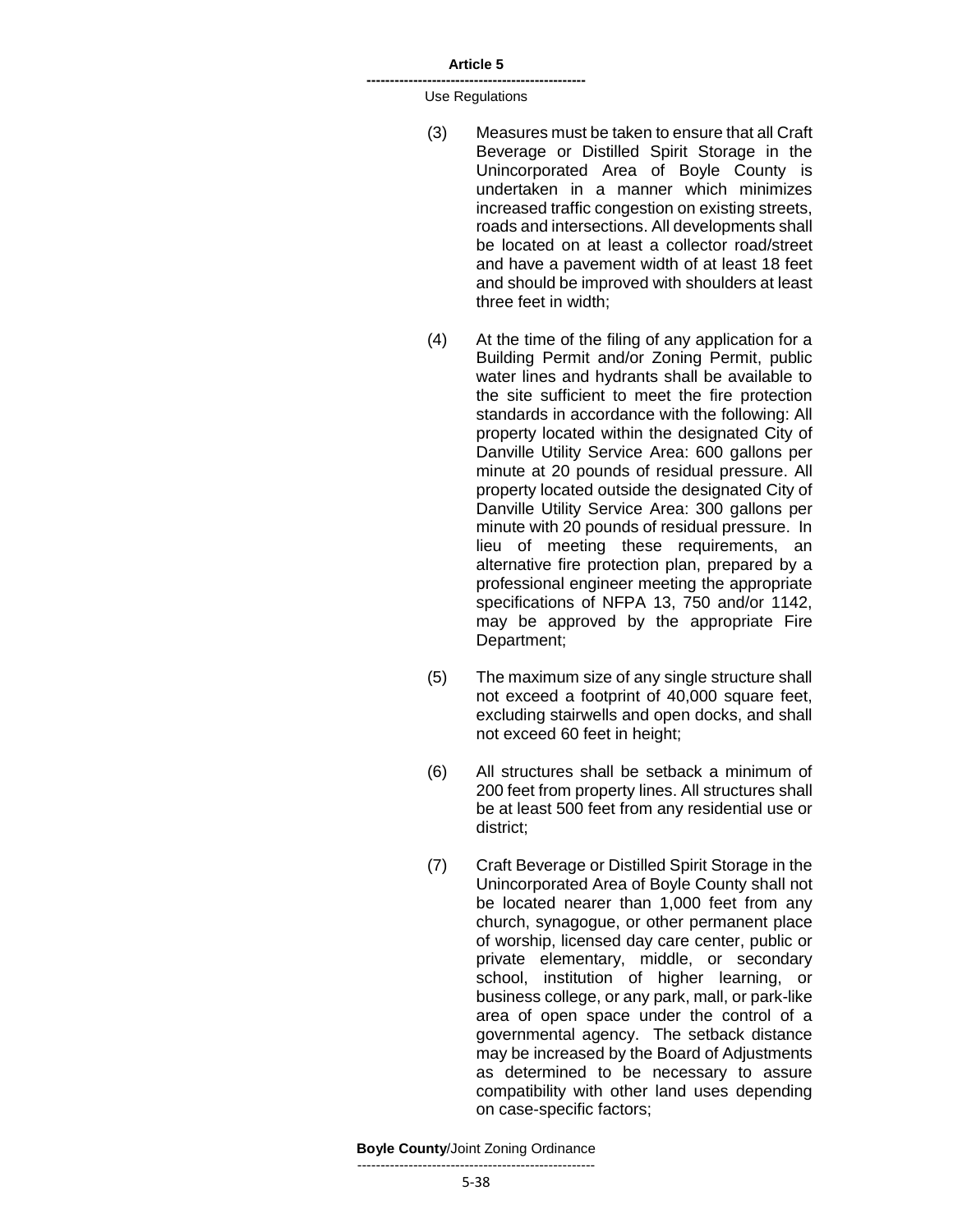**-----------------------------------------------** Use Regulations

- (3) Measures must be taken to ensure that all Craft Beverage or Distilled Spirit Storage in the Unincorporated Area of Boyle County is undertaken in a manner which minimizes increased traffic congestion on existing streets, roads and intersections. All developments shall be located on at least a collector road/street and have a pavement width of at least 18 feet and should be improved with shoulders at least three feet in width;
- (4) At the time of the filing of any application for a Building Permit and/or Zoning Permit, public water lines and hydrants shall be available to the site sufficient to meet the fire protection standards in accordance with the following: All property located within the designated City of Danville Utility Service Area: 600 gallons per minute at 20 pounds of residual pressure. All property located outside the designated City of Danville Utility Service Area: 300 gallons per minute with 20 pounds of residual pressure. In lieu of meeting these requirements, an alternative fire protection plan, prepared by a professional engineer meeting the appropriate specifications of NFPA 13, 750 and/or 1142, may be approved by the appropriate Fire Department;
- (5) The maximum size of any single structure shall not exceed a footprint of 40,000 square feet, excluding stairwells and open docks, and shall not exceed 60 feet in height;
- (6) All structures shall be setback a minimum of 200 feet from property lines. All structures shall be at least 500 feet from any residential use or district;
- (7) Craft Beverage or Distilled Spirit Storage in the Unincorporated Area of Boyle County shall not be located nearer than 1,000 feet from any church, synagogue, or other permanent place of worship, licensed day care center, public or private elementary, middle, or secondary school, institution of higher learning, or business college, or any park, mall, or park-like area of open space under the control of a governmental agency. The setback distance may be increased by the Board of Adjustments as determined to be necessary to assure compatibility with other land uses depending on case-specific factors;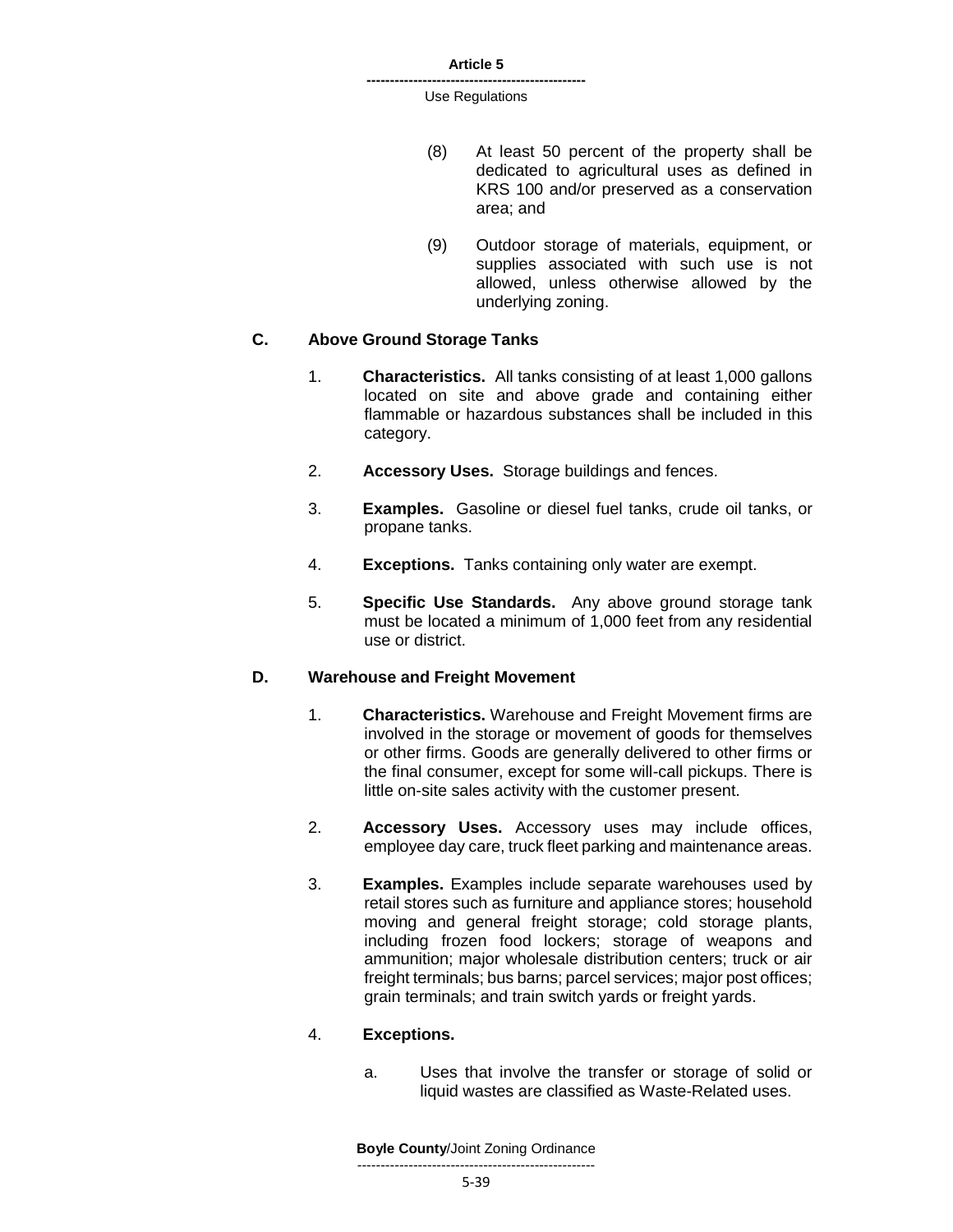- (8) At least 50 percent of the property shall be dedicated to agricultural uses as defined in KRS 100 and/or preserved as a conservation area; and
- (9) Outdoor storage of materials, equipment, or supplies associated with such use is not allowed, unless otherwise allowed by the underlying zoning.

### **C. Above Ground Storage Tanks**

- 1. **Characteristics.** All tanks consisting of at least 1,000 gallons located on site and above grade and containing either flammable or hazardous substances shall be included in this category.
- 2. **Accessory Uses.** Storage buildings and fences.
- 3. **Examples.** Gasoline or diesel fuel tanks, crude oil tanks, or propane tanks.
- 4. **Exceptions.** Tanks containing only water are exempt.
- 5. **Specific Use Standards.** Any above ground storage tank must be located a minimum of 1,000 feet from any residential use or district.

#### **D. Warehouse and Freight Movement**

- 1. **Characteristics.** Warehouse and Freight Movement firms are involved in the storage or movement of goods for themselves or other firms. Goods are generally delivered to other firms or the final consumer, except for some will-call pickups. There is little on-site sales activity with the customer present.
- 2. **Accessory Uses.** Accessory uses may include offices, employee day care, truck fleet parking and maintenance areas.
- 3. **Examples.** Examples include separate warehouses used by retail stores such as furniture and appliance stores; household moving and general freight storage; cold storage plants, including frozen food lockers; storage of weapons and ammunition; major wholesale distribution centers; truck or air freight terminals; bus barns; parcel services; major post offices; grain terminals; and train switch yards or freight yards.

#### 4. **Exceptions.**

a. Uses that involve the transfer or storage of solid or liquid wastes are classified as Waste-Related uses.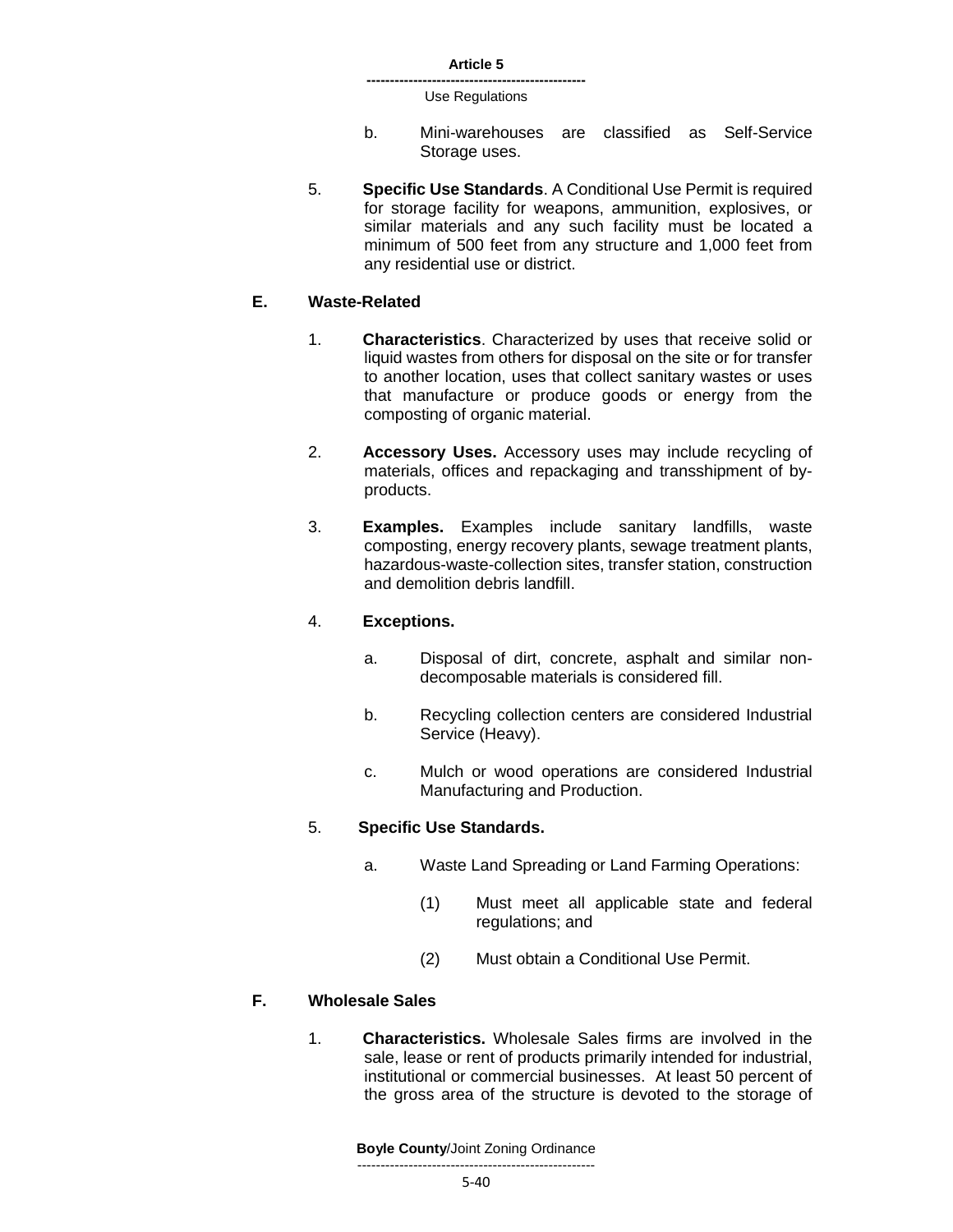- b. Mini-warehouses are classified as Self-Service Storage uses.
- 5. **Specific Use Standards**. A Conditional Use Permit is required for storage facility for weapons, ammunition, explosives, or similar materials and any such facility must be located a minimum of 500 feet from any structure and 1,000 feet from any residential use or district.

#### **E. Waste-Related**

- 1. **Characteristics**. Characterized by uses that receive solid or liquid wastes from others for disposal on the site or for transfer to another location, uses that collect sanitary wastes or uses that manufacture or produce goods or energy from the composting of organic material.
- 2. **Accessory Uses.** Accessory uses may include recycling of materials, offices and repackaging and transshipment of byproducts.
- 3. **Examples.** Examples include sanitary landfills, waste composting, energy recovery plants, sewage treatment plants, hazardous-waste-collection sites, transfer station, construction and demolition debris landfill.

#### 4. **Exceptions.**

- a. Disposal of dirt, concrete, asphalt and similar nondecomposable materials is considered fill.
- b. Recycling collection centers are considered Industrial Service (Heavy).
- c. Mulch or wood operations are considered Industrial Manufacturing and Production.

### 5. **Specific Use Standards.**

- a. Waste Land Spreading or Land Farming Operations:
	- (1) Must meet all applicable state and federal regulations; and
	- (2) Must obtain a Conditional Use Permit.

# **F. Wholesale Sales**

1. **Characteristics.** Wholesale Sales firms are involved in the sale, lease or rent of products primarily intended for industrial, institutional or commercial businesses. At least 50 percent of the gross area of the structure is devoted to the storage of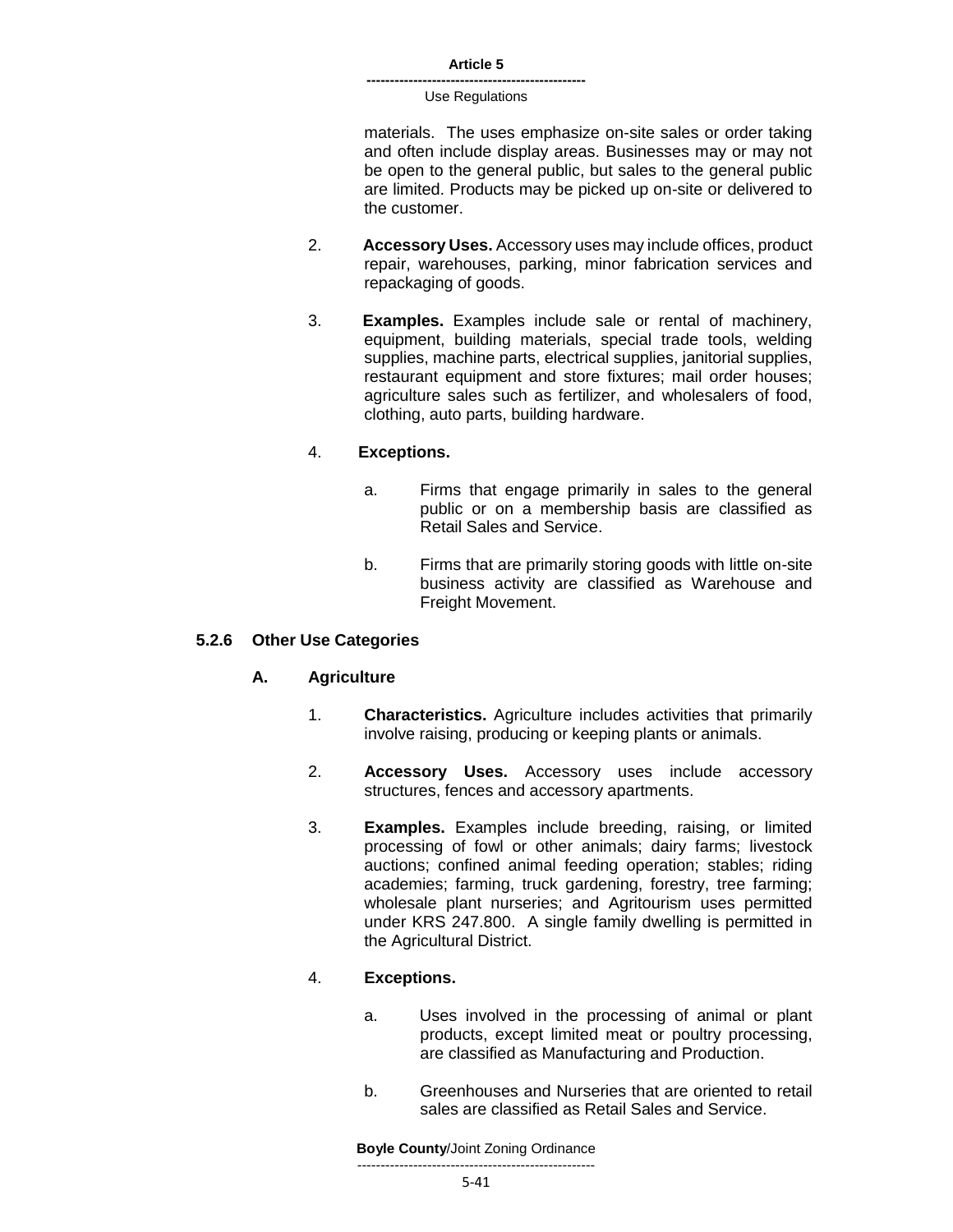materials. The uses emphasize on-site sales or order taking and often include display areas. Businesses may or may not be open to the general public, but sales to the general public are limited. Products may be picked up on-site or delivered to the customer.

- 2. **Accessory Uses.** Accessory uses may include offices, product repair, warehouses, parking, minor fabrication services and repackaging of goods.
- 3. **Examples.** Examples include sale or rental of machinery, equipment, building materials, special trade tools, welding supplies, machine parts, electrical supplies, janitorial supplies, restaurant equipment and store fixtures; mail order houses; agriculture sales such as fertilizer, and wholesalers of food, clothing, auto parts, building hardware.

# 4. **Exceptions.**

- a. Firms that engage primarily in sales to the general public or on a membership basis are classified as Retail Sales and Service.
- b. Firms that are primarily storing goods with little on-site business activity are classified as Warehouse and Freight Movement.

### **5.2.6 Other Use Categories**

### **A. Agriculture**

- 1. **Characteristics.** Agriculture includes activities that primarily involve raising, producing or keeping plants or animals.
- 2. **Accessory Uses.** Accessory uses include accessory structures, fences and accessory apartments.
- 3. **Examples.** Examples include breeding, raising, or limited processing of fowl or other animals; dairy farms; livestock auctions; confined animal feeding operation; stables; riding academies; farming, truck gardening, forestry, tree farming; wholesale plant nurseries; and Agritourism uses permitted under KRS 247.800. A single family dwelling is permitted in the Agricultural District.

### 4. **Exceptions.**

- a. Uses involved in the processing of animal or plant products, except limited meat or poultry processing, are classified as Manufacturing and Production.
- b. Greenhouses and Nurseries that are oriented to retail sales are classified as Retail Sales and Service.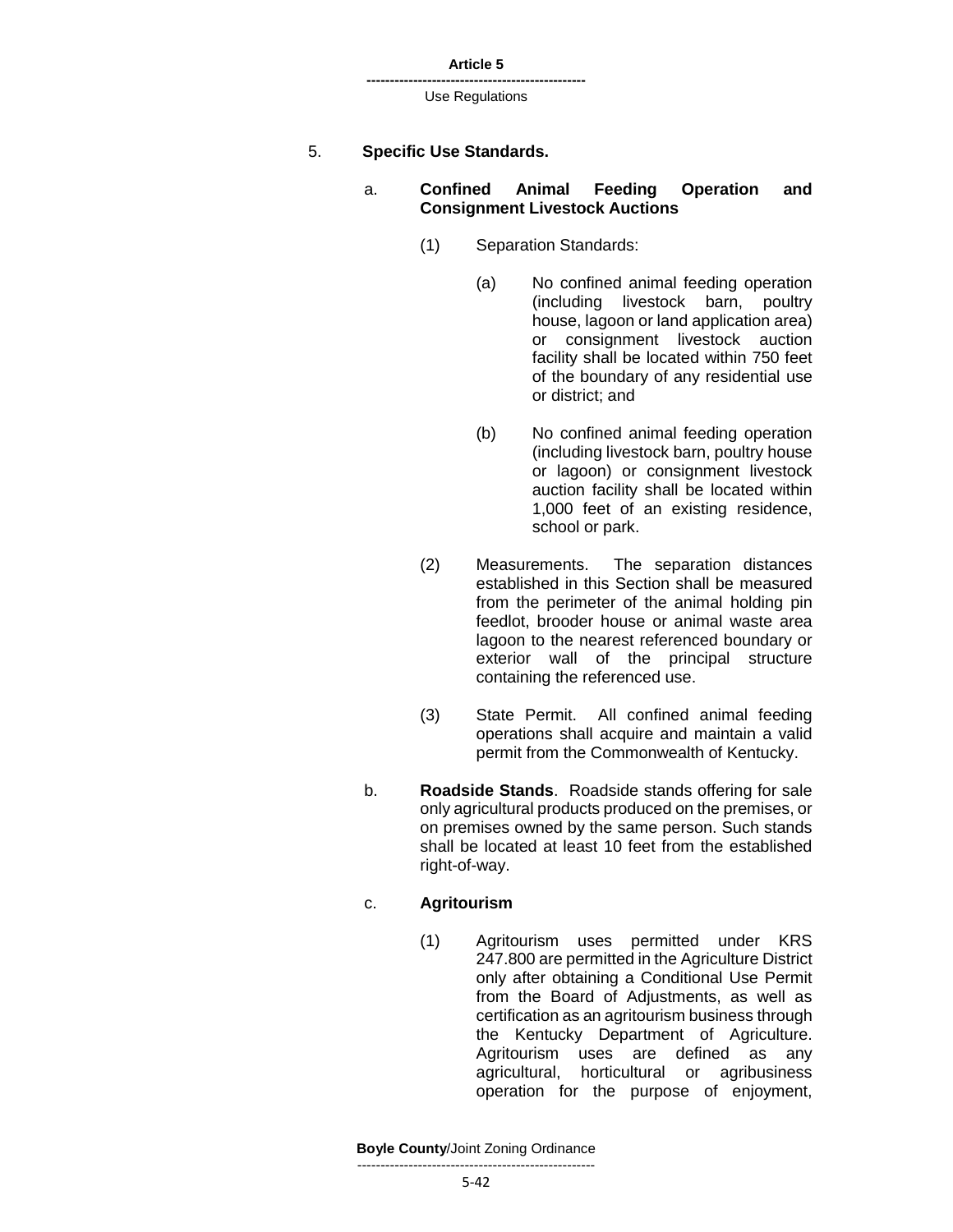| Article 5 |  |
|-----------|--|
|-----------|--|

### 5. **Specific Use Standards.**

### a. **Confined Animal Feeding Operation and Consignment Livestock Auctions**

- (1) Separation Standards:
	- (a) No confined animal feeding operation (including livestock barn, poultry house, lagoon or land application area) or consignment livestock auction facility shall be located within 750 feet of the boundary of any residential use or district; and
	- (b) No confined animal feeding operation (including livestock barn, poultry house or lagoon) or consignment livestock auction facility shall be located within 1,000 feet of an existing residence, school or park.
- (2) Measurements. The separation distances established in this Section shall be measured from the perimeter of the animal holding pin feedlot, brooder house or animal waste area lagoon to the nearest referenced boundary or exterior wall of the principal structure containing the referenced use.
- (3) State Permit. All confined animal feeding operations shall acquire and maintain a valid permit from the Commonwealth of Kentucky.
- b. **Roadside Stands**. Roadside stands offering for sale only agricultural products produced on the premises, or on premises owned by the same person. Such stands shall be located at least 10 feet from the established right-of-way.

### c. **Agritourism**

(1) Agritourism uses permitted under KRS 247.800 are permitted in the Agriculture District only after obtaining a Conditional Use Permit from the Board of Adjustments, as well as certification as an agritourism business through the Kentucky Department of Agriculture. Agritourism uses are defined as any agricultural, horticultural or agribusiness operation for the purpose of enjoyment,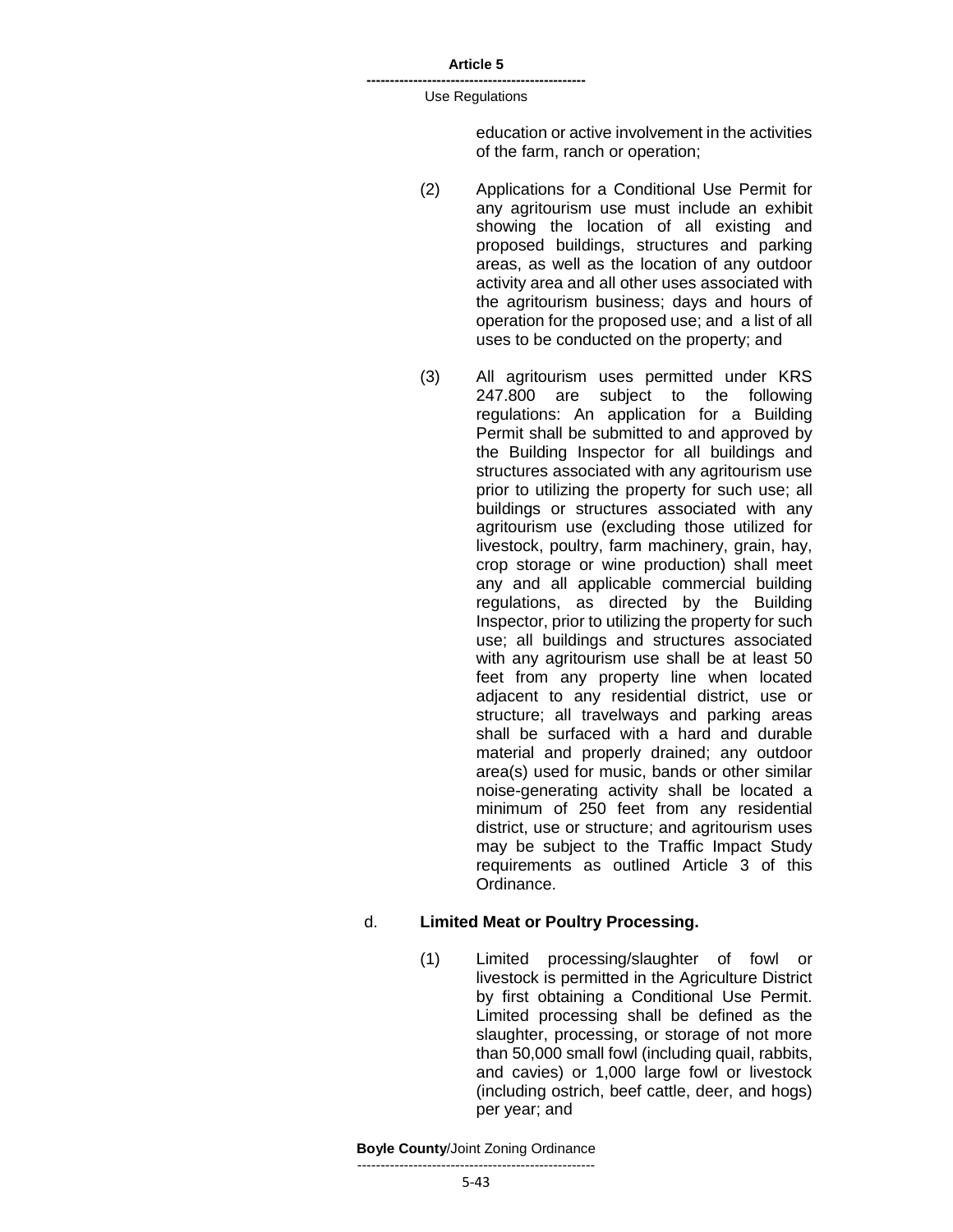#### **-----------------------------------------------** Use Regulations

education or active involvement in the activities of the farm, ranch or operation;

- (2) Applications for a Conditional Use Permit for any agritourism use must include an exhibit showing the location of all existing and proposed buildings, structures and parking areas, as well as the location of any outdoor activity area and all other uses associated with the agritourism business; days and hours of operation for the proposed use; and a list of all uses to be conducted on the property; and
- (3) All agritourism uses permitted under KRS 247.800 are subject to the following regulations: An application for a Building Permit shall be submitted to and approved by the Building Inspector for all buildings and structures associated with any agritourism use prior to utilizing the property for such use; all buildings or structures associated with any agritourism use (excluding those utilized for livestock, poultry, farm machinery, grain, hay, crop storage or wine production) shall meet any and all applicable commercial building regulations, as directed by the Building Inspector, prior to utilizing the property for such use; all buildings and structures associated with any agritourism use shall be at least 50 feet from any property line when located adjacent to any residential district, use or structure; all travelways and parking areas shall be surfaced with a hard and durable material and properly drained; any outdoor area(s) used for music, bands or other similar noise-generating activity shall be located a minimum of 250 feet from any residential district, use or structure; and agritourism uses may be subject to the Traffic Impact Study requirements as outlined Article 3 of this Ordinance.

### d. **Limited Meat or Poultry Processing.**

(1) Limited processing/slaughter of fowl or livestock is permitted in the Agriculture District by first obtaining a Conditional Use Permit. Limited processing shall be defined as the slaughter, processing, or storage of not more than 50,000 small fowl (including quail, rabbits, and cavies) or 1,000 large fowl or livestock (including ostrich, beef cattle, deer, and hogs) per year; and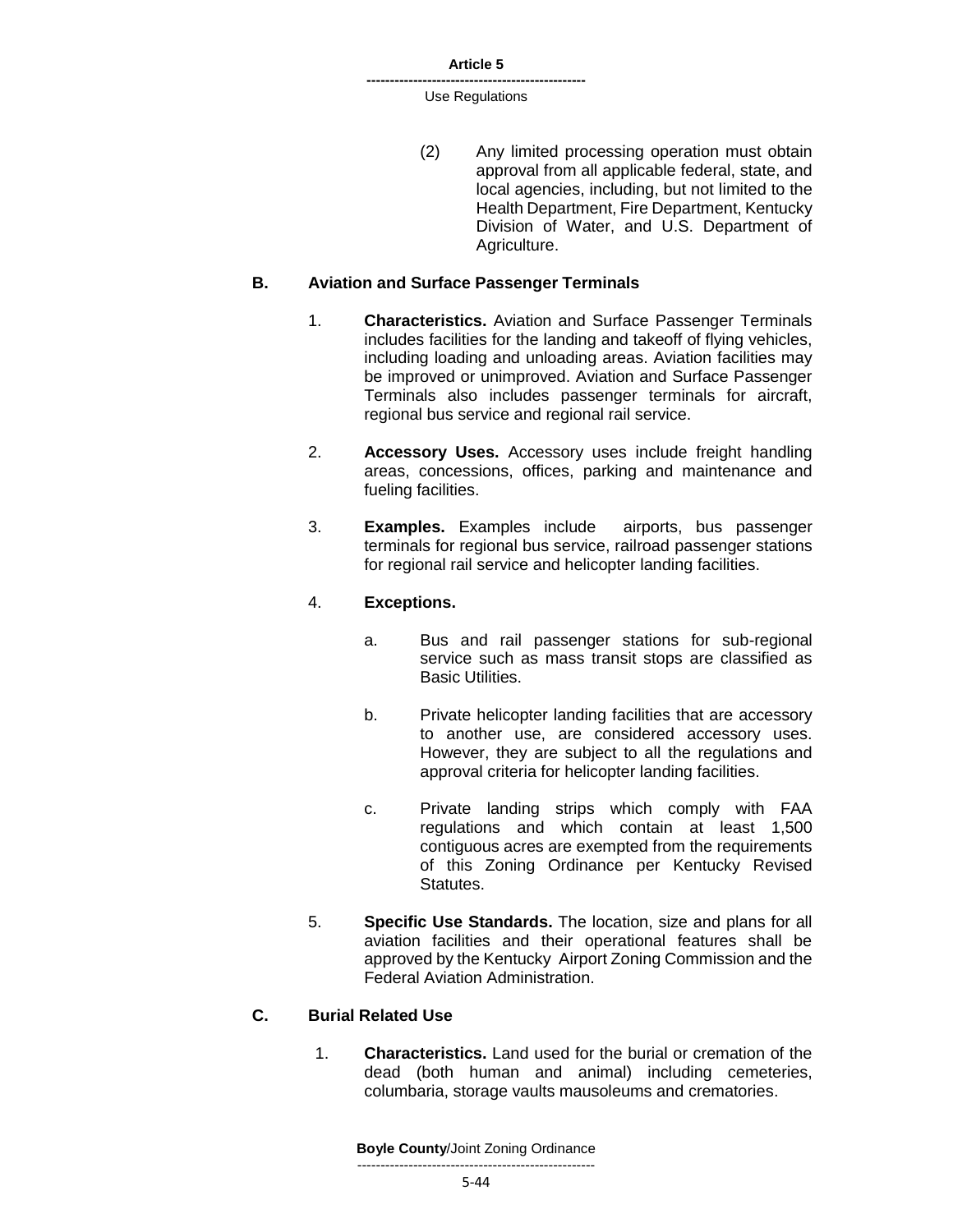#### **-----------------------------------------------** Use Regulations

(2) Any limited processing operation must obtain approval from all applicable federal, state, and local agencies, including, but not limited to the Health Department, Fire Department, Kentucky Division of Water, and U.S. Department of Agriculture.

### **B. Aviation and Surface Passenger Terminals**

- 1. **Characteristics.** Aviation and Surface Passenger Terminals includes facilities for the landing and takeoff of flying vehicles, including loading and unloading areas. Aviation facilities may be improved or unimproved. Aviation and Surface Passenger Terminals also includes passenger terminals for aircraft, regional bus service and regional rail service.
- 2. **Accessory Uses.** Accessory uses include freight handling areas, concessions, offices, parking and maintenance and fueling facilities.
- 3. **Examples.** Examples include airports, bus passenger terminals for regional bus service, railroad passenger stations for regional rail service and helicopter landing facilities.

# 4. **Exceptions.**

- a. Bus and rail passenger stations for sub-regional service such as mass transit stops are classified as Basic Utilities.
- b. Private helicopter landing facilities that are accessory to another use, are considered accessory uses. However, they are subject to all the regulations and approval criteria for helicopter landing facilities.
- c. Private landing strips which comply with FAA regulations and which contain at least 1,500 contiguous acres are exempted from the requirements of this Zoning Ordinance per Kentucky Revised Statutes.
- 5. **Specific Use Standards.** The location, size and plans for all aviation facilities and their operational features shall be approved by the Kentucky Airport Zoning Commission and the Federal Aviation Administration.

# **C. Burial Related Use**

1. **Characteristics.** Land used for the burial or cremation of the dead (both human and animal) including cemeteries, columbaria, storage vaults mausoleums and crematories.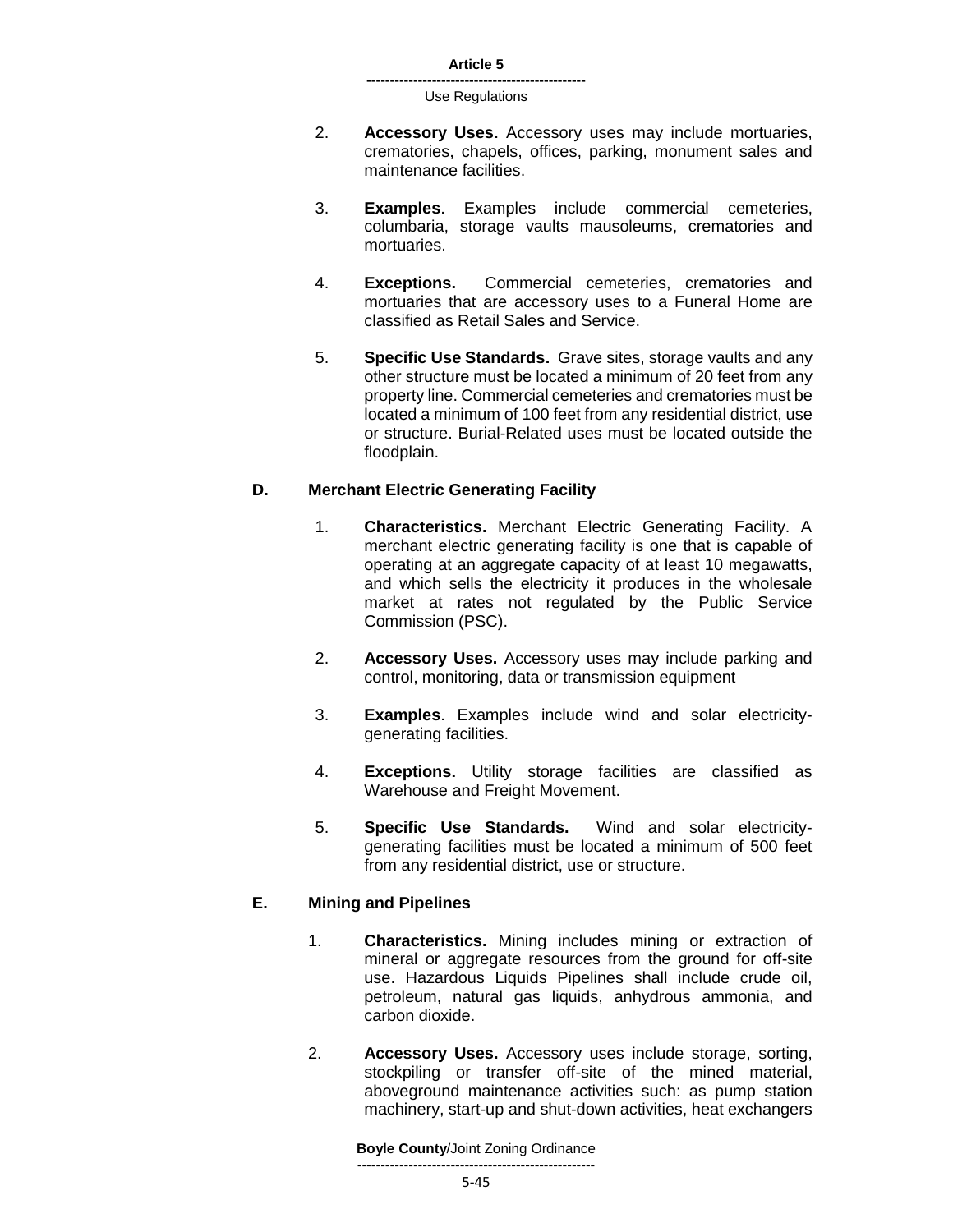- 2. **Accessory Uses.** Accessory uses may include mortuaries, crematories, chapels, offices, parking, monument sales and maintenance facilities.
- 3. **Examples**. Examples include commercial cemeteries, columbaria, storage vaults mausoleums, crematories and mortuaries.
- 4. **Exceptions.** Commercial cemeteries, crematories and mortuaries that are accessory uses to a Funeral Home are classified as Retail Sales and Service.
- 5. **Specific Use Standards.** Grave sites, storage vaults and any other structure must be located a minimum of 20 feet from any property line. Commercial cemeteries and crematories must be located a minimum of 100 feet from any residential district, use or structure. Burial-Related uses must be located outside the floodplain.

# **D. Merchant Electric Generating Facility**

- 1. **Characteristics.** Merchant Electric Generating Facility. A merchant electric generating facility is one that is capable of operating at an aggregate capacity of at least 10 megawatts, and which sells the electricity it produces in the wholesale market at rates not regulated by the Public Service Commission (PSC).
- 2. **Accessory Uses.** Accessory uses may include parking and control, monitoring, data or transmission equipment
- 3. **Examples**. Examples include wind and solar electricitygenerating facilities.
- 4. **Exceptions.** Utility storage facilities are classified as Warehouse and Freight Movement.
- 5. **Specific Use Standards.** Wind and solar electricitygenerating facilities must be located a minimum of 500 feet from any residential district, use or structure.

# **E. Mining and Pipelines**

- 1. **Characteristics.** Mining includes mining or extraction of mineral or aggregate resources from the ground for off-site use. Hazardous Liquids Pipelines shall include crude oil, petroleum, natural gas liquids, anhydrous ammonia, and carbon dioxide.
- 2. **Accessory Uses.** Accessory uses include storage, sorting, stockpiling or transfer off-site of the mined material, aboveground maintenance activities such: as pump station machinery, start-up and shut-down activities, heat exchangers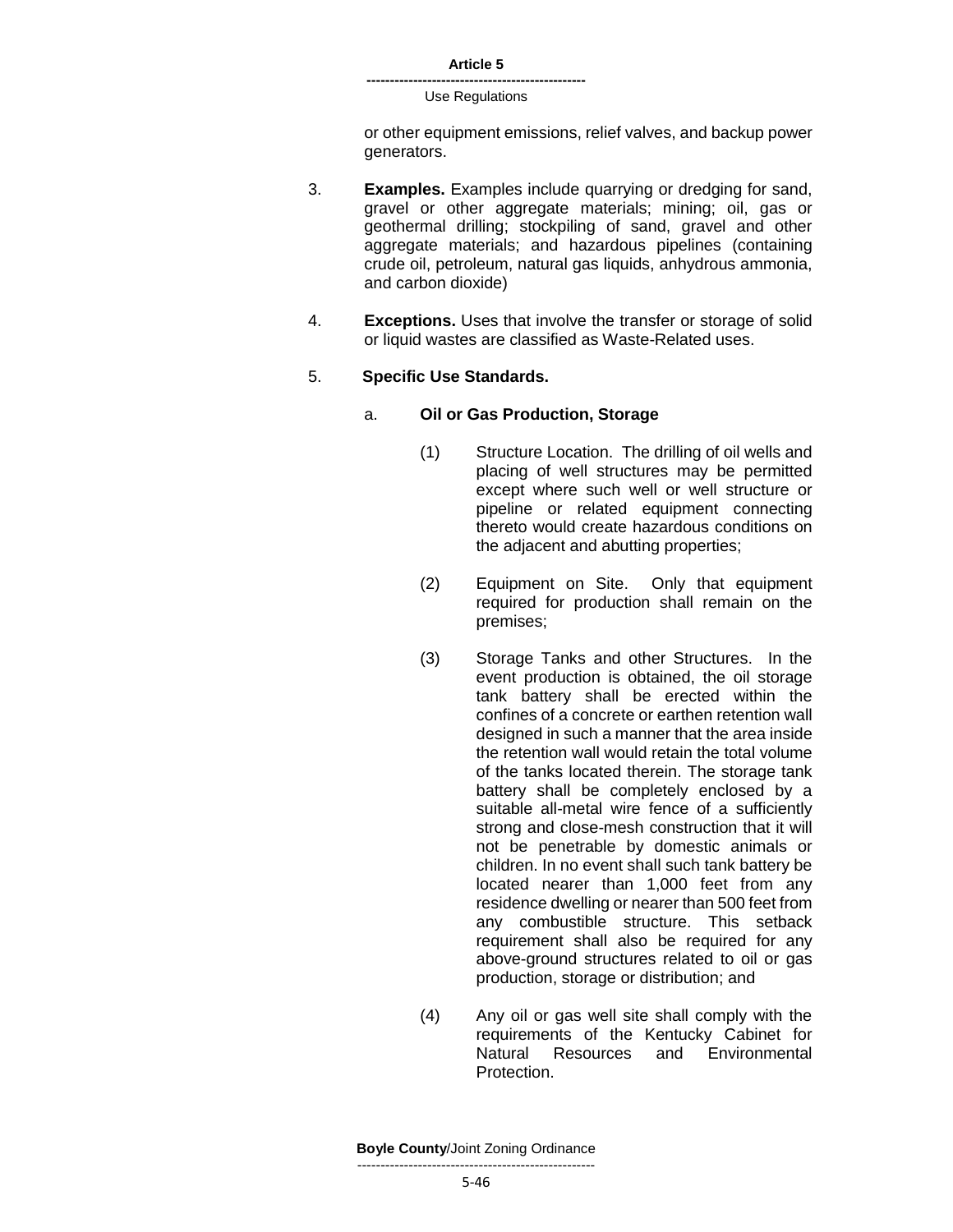or other equipment emissions, relief valves, and backup power generators.

- 3. **Examples.** Examples include quarrying or dredging for sand, gravel or other aggregate materials; mining; oil, gas or geothermal drilling; stockpiling of sand, gravel and other aggregate materials; and hazardous pipelines (containing crude oil, petroleum, natural gas liquids, anhydrous ammonia, and carbon dioxide)
- 4. **Exceptions.** Uses that involve the transfer or storage of solid or liquid wastes are classified as Waste-Related uses.

# 5. **Specific Use Standards.**

#### a. **Oil or Gas Production, Storage**

- (1) Structure Location. The drilling of oil wells and placing of well structures may be permitted except where such well or well structure or pipeline or related equipment connecting thereto would create hazardous conditions on the adjacent and abutting properties;
- (2) Equipment on Site. Only that equipment required for production shall remain on the premises;
- (3) Storage Tanks and other Structures. In the event production is obtained, the oil storage tank battery shall be erected within the confines of a concrete or earthen retention wall designed in such a manner that the area inside the retention wall would retain the total volume of the tanks located therein. The storage tank battery shall be completely enclosed by a suitable all-metal wire fence of a sufficiently strong and close-mesh construction that it will not be penetrable by domestic animals or children. In no event shall such tank battery be located nearer than 1,000 feet from any residence dwelling or nearer than 500 feet from any combustible structure. This setback requirement shall also be required for any above-ground structures related to oil or gas production, storage or distribution; and
- (4) Any oil or gas well site shall comply with the requirements of the Kentucky Cabinet for Natural Resources and Environmental Protection.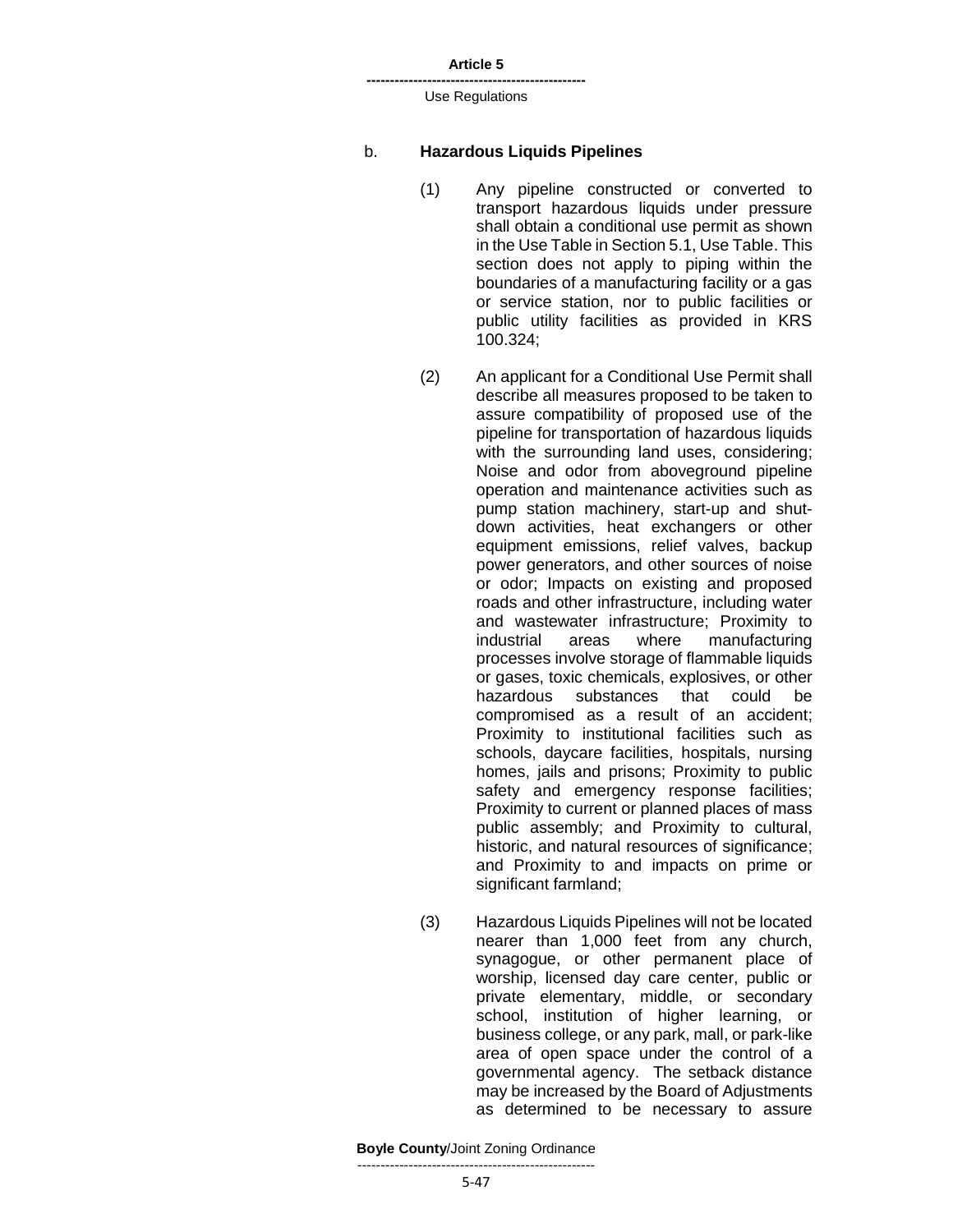**-----------------------------------------------** Use Regulations

#### b. **Hazardous Liquids Pipelines**

- (1) Any pipeline constructed or converted to transport hazardous liquids under pressure shall obtain a conditional use permit as shown in the Use Table in Section 5.1, Use Table. This section does not apply to piping within the boundaries of a manufacturing facility or a gas or service station, nor to public facilities or public utility facilities as provided in KRS 100.324;
- (2) An applicant for a Conditional Use Permit shall describe all measures proposed to be taken to assure compatibility of proposed use of the pipeline for transportation of hazardous liquids with the surrounding land uses, considering; Noise and odor from aboveground pipeline operation and maintenance activities such as pump station machinery, start-up and shutdown activities, heat exchangers or other equipment emissions, relief valves, backup power generators, and other sources of noise or odor; Impacts on existing and proposed roads and other infrastructure, including water and wastewater infrastructure; Proximity to industrial areas where manufacturing processes involve storage of flammable liquids or gases, toxic chemicals, explosives, or other hazardous substances that could be compromised as a result of an accident; Proximity to institutional facilities such as schools, daycare facilities, hospitals, nursing homes, jails and prisons; Proximity to public safety and emergency response facilities; Proximity to current or planned places of mass public assembly; and Proximity to cultural, historic, and natural resources of significance; and Proximity to and impacts on prime or significant farmland;
- (3) Hazardous Liquids Pipelines will not be located nearer than 1,000 feet from any church, synagogue, or other permanent place of worship, licensed day care center, public or private elementary, middle, or secondary school, institution of higher learning, or business college, or any park, mall, or park-like area of open space under the control of a governmental agency. The setback distance may be increased by the Board of Adjustments as determined to be necessary to assure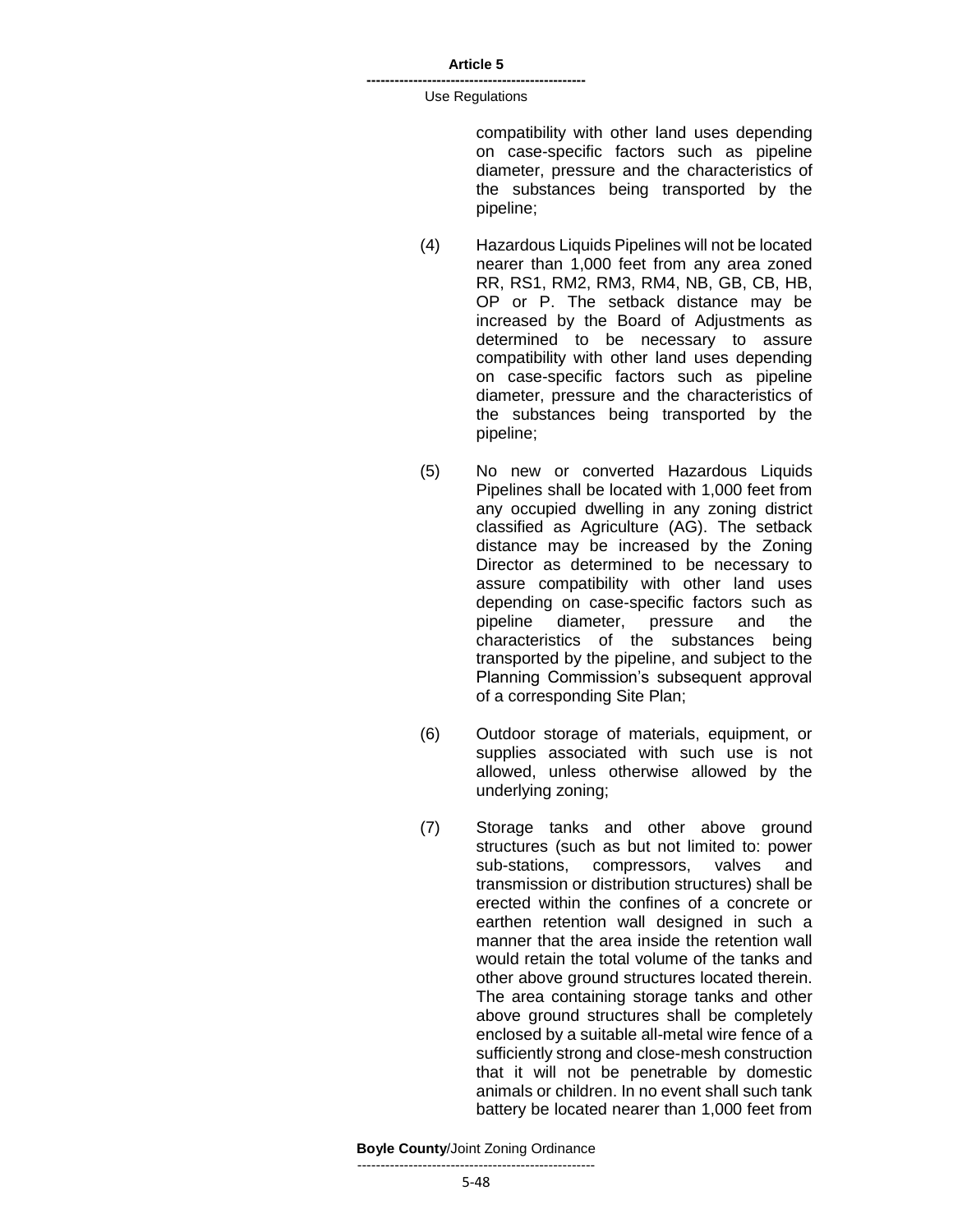#### **-----------------------------------------------** Use Regulations

compatibility with other land uses depending on case-specific factors such as pipeline diameter, pressure and the characteristics of the substances being transported by the pipeline;

- (4) Hazardous Liquids Pipelines will not be located nearer than 1,000 feet from any area zoned RR, RS1, RM2, RM3, RM4, NB, GB, CB, HB, OP or P. The setback distance may be increased by the Board of Adjustments as determined to be necessary to assure compatibility with other land uses depending on case-specific factors such as pipeline diameter, pressure and the characteristics of the substances being transported by the pipeline;
- (5) No new or converted Hazardous Liquids Pipelines shall be located with 1,000 feet from any occupied dwelling in any zoning district classified as Agriculture (AG). The setback distance may be increased by the Zoning Director as determined to be necessary to assure compatibility with other land uses depending on case-specific factors such as pipeline diameter, pressure and the characteristics of the substances being transported by the pipeline, and subject to the Planning Commission's subsequent approval of a corresponding Site Plan;
- (6) Outdoor storage of materials, equipment, or supplies associated with such use is not allowed, unless otherwise allowed by the underlying zoning;
- (7) Storage tanks and other above ground structures (such as but not limited to: power sub-stations, compressors, valves and transmission or distribution structures) shall be erected within the confines of a concrete or earthen retention wall designed in such a manner that the area inside the retention wall would retain the total volume of the tanks and other above ground structures located therein. The area containing storage tanks and other above ground structures shall be completely enclosed by a suitable all-metal wire fence of a sufficiently strong and close-mesh construction that it will not be penetrable by domestic animals or children. In no event shall such tank battery be located nearer than 1,000 feet from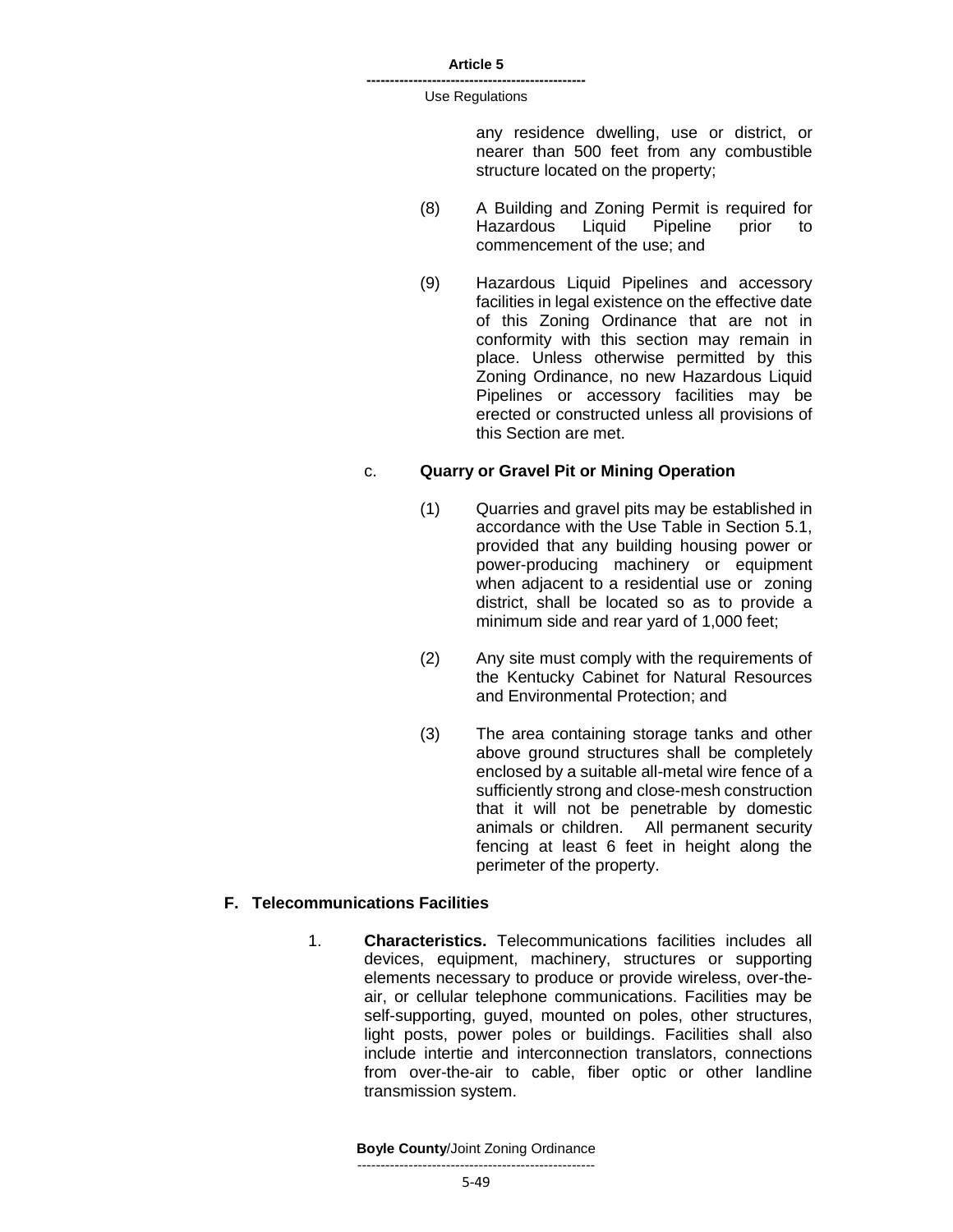#### **-----------------------------------------------** Use Regulations

any residence dwelling, use or district, or nearer than 500 feet from any combustible structure located on the property;

- (8) A Building and Zoning Permit is required for Hazardous Liquid Pipeline prior to commencement of the use; and
- (9) Hazardous Liquid Pipelines and accessory facilities in legal existence on the effective date of this Zoning Ordinance that are not in conformity with this section may remain in place. Unless otherwise permitted by this Zoning Ordinance, no new Hazardous Liquid Pipelines or accessory facilities may be erected or constructed unless all provisions of this Section are met.

### c. **Quarry or Gravel Pit or Mining Operation**

- (1) Quarries and gravel pits may be established in accordance with the Use Table in Section 5.1, provided that any building housing power or power-producing machinery or equipment when adjacent to a residential use or zoning district, shall be located so as to provide a minimum side and rear yard of 1,000 feet;
- (2) Any site must comply with the requirements of the Kentucky Cabinet for Natural Resources and Environmental Protection; and
- (3) The area containing storage tanks and other above ground structures shall be completely enclosed by a suitable all-metal wire fence of a sufficiently strong and close-mesh construction that it will not be penetrable by domestic animals or children. All permanent security fencing at least 6 feet in height along the perimeter of the property.

### **F. Telecommunications Facilities**

1. **Characteristics.** Telecommunications facilities includes all devices, equipment, machinery, structures or supporting elements necessary to produce or provide wireless, over-theair, or cellular telephone communications. Facilities may be self-supporting, guyed, mounted on poles, other structures, light posts, power poles or buildings. Facilities shall also include intertie and interconnection translators, connections from over-the-air to cable, fiber optic or other landline transmission system.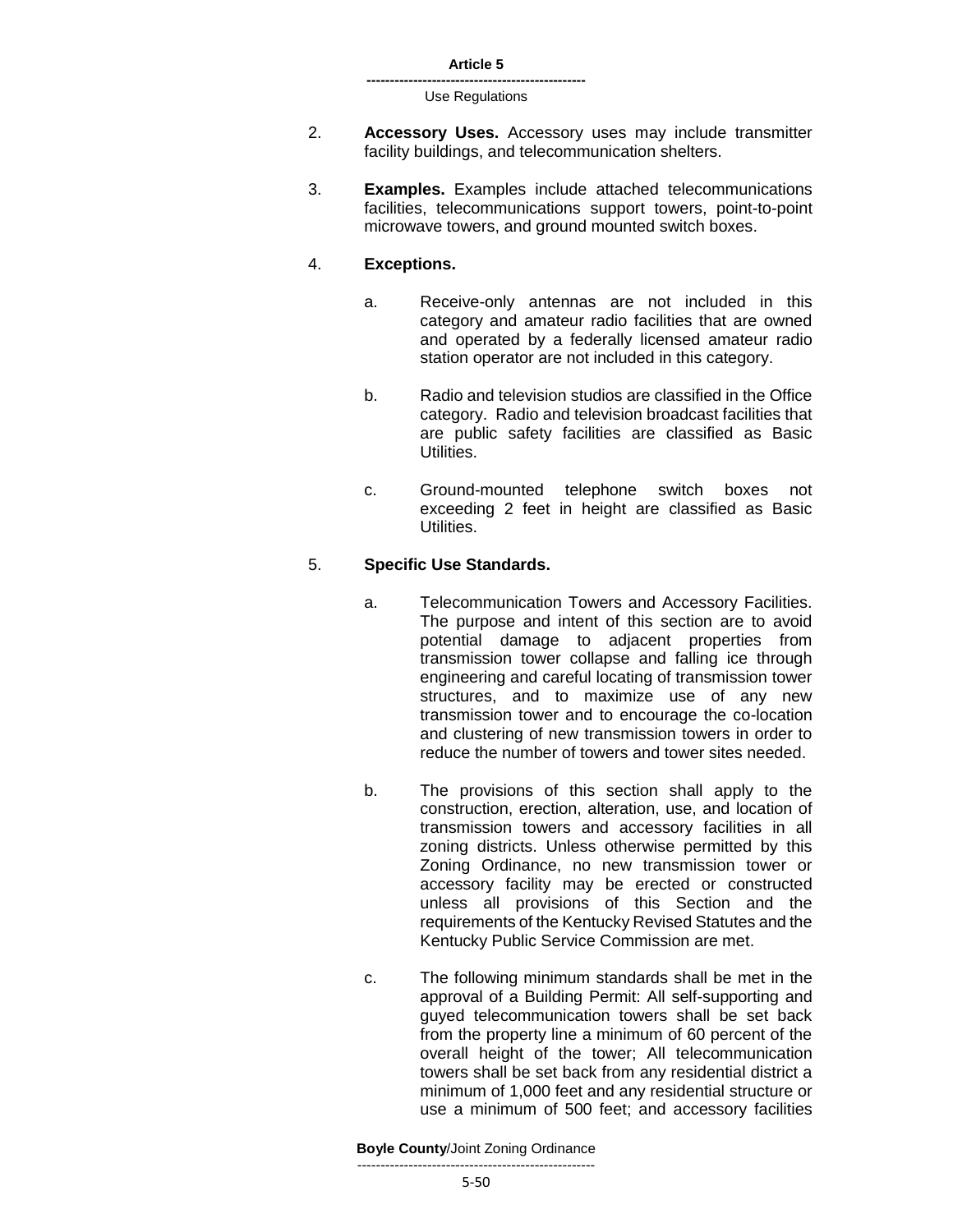- 2. **Accessory Uses.** Accessory uses may include transmitter facility buildings, and telecommunication shelters.
- 3. **Examples.** Examples include attached telecommunications facilities, telecommunications support towers, point-to-point microwave towers, and ground mounted switch boxes.

### 4. **Exceptions.**

- a. Receive-only antennas are not included in this category and amateur radio facilities that are owned and operated by a federally licensed amateur radio station operator are not included in this category.
- b. Radio and television studios are classified in the Office category. Radio and television broadcast facilities that are public safety facilities are classified as Basic Utilities.
- c. Ground-mounted telephone switch boxes not exceeding 2 feet in height are classified as Basic Utilities.

# 5. **Specific Use Standards.**

- a. Telecommunication Towers and Accessory Facilities. The purpose and intent of this section are to avoid potential damage to adjacent properties from transmission tower collapse and falling ice through engineering and careful locating of transmission tower structures, and to maximize use of any new transmission tower and to encourage the co-location and clustering of new transmission towers in order to reduce the number of towers and tower sites needed.
- b. The provisions of this section shall apply to the construction, erection, alteration, use, and location of transmission towers and accessory facilities in all zoning districts. Unless otherwise permitted by this Zoning Ordinance, no new transmission tower or accessory facility may be erected or constructed unless all provisions of this Section and the requirements of the Kentucky Revised Statutes and the Kentucky Public Service Commission are met.
- c. The following minimum standards shall be met in the approval of a Building Permit: All self-supporting and guyed telecommunication towers shall be set back from the property line a minimum of 60 percent of the overall height of the tower; All telecommunication towers shall be set back from any residential district a minimum of 1,000 feet and any residential structure or use a minimum of 500 feet; and accessory facilities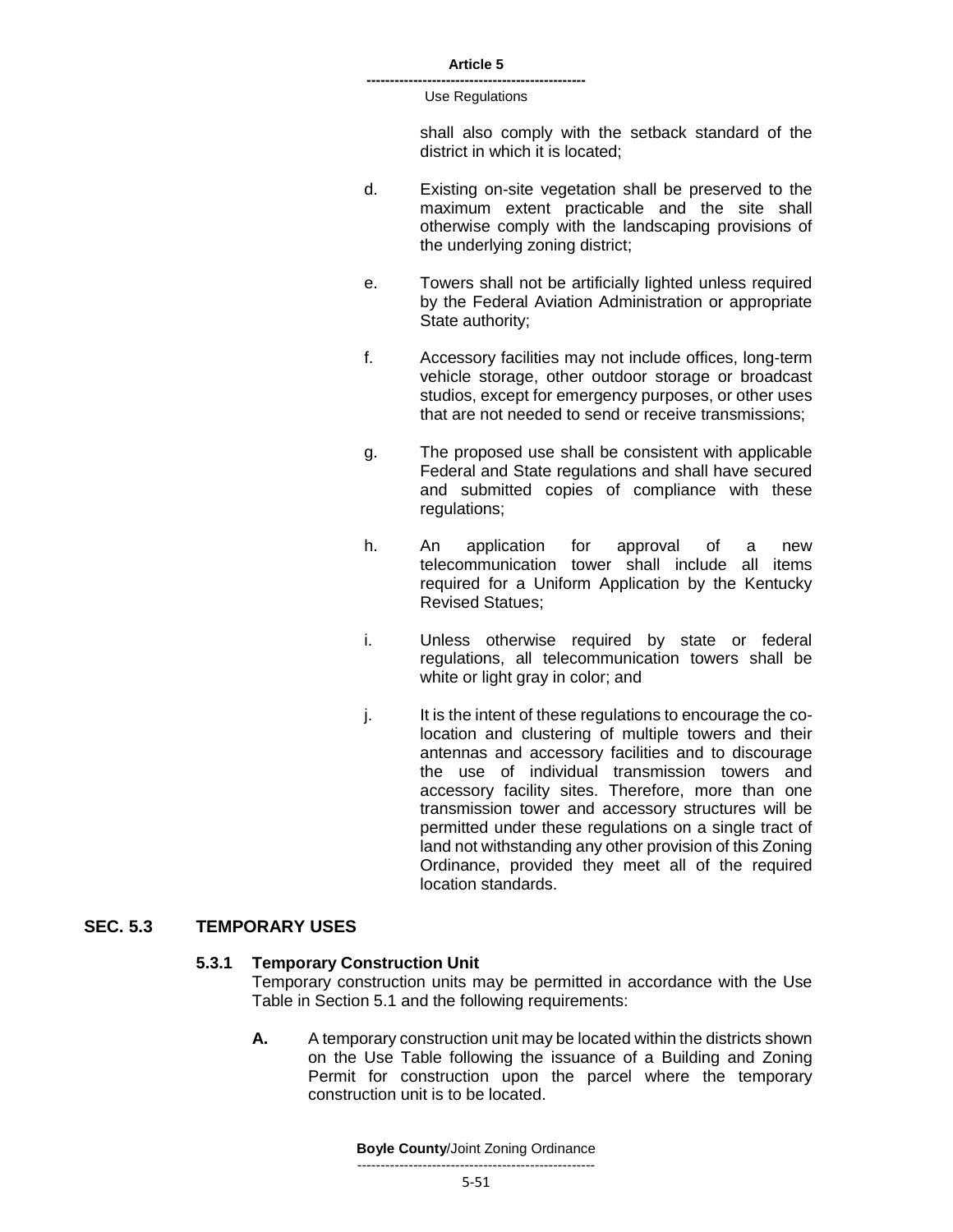#### **-----------------------------------------------** Use Regulations

shall also comply with the setback standard of the district in which it is located;

- d. Existing on-site vegetation shall be preserved to the maximum extent practicable and the site shall otherwise comply with the landscaping provisions of the underlying zoning district;
- e. Towers shall not be artificially lighted unless required by the Federal Aviation Administration or appropriate State authority;
- f. Accessory facilities may not include offices, long-term vehicle storage, other outdoor storage or broadcast studios, except for emergency purposes, or other uses that are not needed to send or receive transmissions;
- g. The proposed use shall be consistent with applicable Federal and State regulations and shall have secured and submitted copies of compliance with these regulations;
- h. An application for approval of a new telecommunication tower shall include all items required for a Uniform Application by the Kentucky Revised Statues;
- i. Unless otherwise required by state or federal regulations, all telecommunication towers shall be white or light gray in color; and
- j. It is the intent of these regulations to encourage the colocation and clustering of multiple towers and their antennas and accessory facilities and to discourage the use of individual transmission towers and accessory facility sites. Therefore, more than one transmission tower and accessory structures will be permitted under these regulations on a single tract of land not withstanding any other provision of this Zoning Ordinance, provided they meet all of the required location standards.

### **SEC. 5.3 TEMPORARY USES**

### **5.3.1 Temporary Construction Unit**

Temporary construction units may be permitted in accordance with the Use Table in Section 5.1 and the following requirements:

**A.** A temporary construction unit may be located within the districts shown on the Use Table following the issuance of a Building and Zoning Permit for construction upon the parcel where the temporary construction unit is to be located.